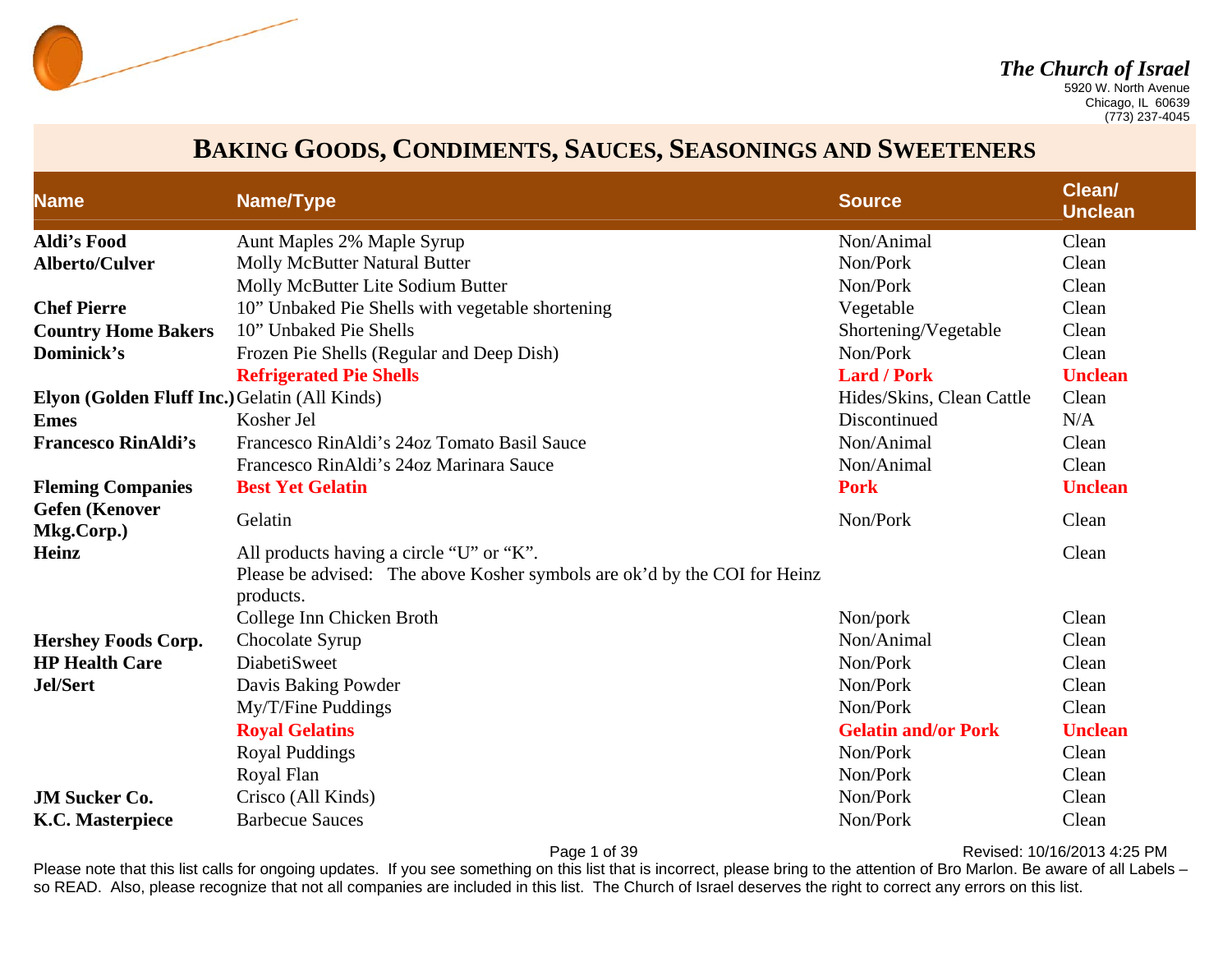

 Chicago, IL 60639 (773) 237-4045

### **BAKING GOODS, CONDIMENTS, SAUCES, SEASONINGS AND SWEETENERS**

| <b>Name</b>                                   | Name/Type                                                                              | <b>Source</b>              | Clean/<br><b>Unclean</b> |
|-----------------------------------------------|----------------------------------------------------------------------------------------|----------------------------|--------------------------|
| <b>Aldi's Food</b>                            | Aunt Maples 2% Maple Syrup                                                             | Non/Animal                 | Clean                    |
| <b>Alberto/Culver</b>                         | <b>Molly McButter Natural Butter</b>                                                   | Non/Pork                   | Clean                    |
|                                               | Molly McButter Lite Sodium Butter                                                      | Non/Pork                   | Clean                    |
| <b>Chef Pierre</b>                            | 10" Unbaked Pie Shells with vegetable shortening                                       | Vegetable                  | Clean                    |
| <b>Country Home Bakers</b>                    | 10" Unbaked Pie Shells                                                                 | Shortening/Vegetable       | Clean                    |
| Dominick's                                    | Frozen Pie Shells (Regular and Deep Dish)                                              | Non/Pork                   | Clean                    |
|                                               | <b>Refrigerated Pie Shells</b>                                                         | <b>Lard / Pork</b>         | <b>Unclean</b>           |
| Elyon (Golden Fluff Inc.) Gelatin (All Kinds) |                                                                                        | Hides/Skins, Clean Cattle  | Clean                    |
| <b>Emes</b>                                   | Kosher Jel                                                                             | Discontinued               | N/A                      |
| <b>Francesco RinAldi's</b>                    | Francesco RinAldi's 24oz Tomato Basil Sauce                                            | Non/Animal                 | Clean                    |
|                                               | Francesco RinAldi's 24oz Marinara Sauce                                                | Non/Animal                 | Clean                    |
| <b>Fleming Companies</b>                      | <b>Best Yet Gelatin</b>                                                                | <b>Pork</b>                | <b>Unclean</b>           |
| <b>Gefen</b> (Kenover<br>Mkg.Corp.)           | Gelatin                                                                                | Non/Pork                   | Clean                    |
| <b>Heinz</b>                                  | All products having a circle "U" or "K".                                               |                            | Clean                    |
|                                               | Please be advised: The above Kosher symbols are ok'd by the COI for Heinz<br>products. |                            |                          |
|                                               | College Inn Chicken Broth                                                              | Non/pork                   | Clean                    |
| <b>Hershey Foods Corp.</b>                    | Chocolate Syrup                                                                        | Non/Animal                 | Clean                    |
| <b>HP Health Care</b>                         | <b>DiabetiSweet</b>                                                                    | Non/Pork                   | Clean                    |
| <b>Jel/Sert</b>                               | Davis Baking Powder                                                                    | Non/Pork                   | Clean                    |
|                                               | My/T/Fine Puddings                                                                     | Non/Pork                   | Clean                    |
|                                               | <b>Royal Gelatins</b>                                                                  | <b>Gelatin and/or Pork</b> | <b>Unclean</b>           |
|                                               | <b>Royal Puddings</b>                                                                  | Non/Pork                   | Clean                    |
|                                               | Royal Flan                                                                             | Non/Pork                   | Clean                    |
| <b>JM Sucker Co.</b>                          | Crisco (All Kinds)                                                                     | Non/Pork                   | Clean                    |
| <b>K.C. Masterpiece</b>                       | <b>Barbecue Sauces</b>                                                                 | Non/Pork                   | Clean                    |

Page 1 of 39 Revised: 10/16/2013 4:25 PM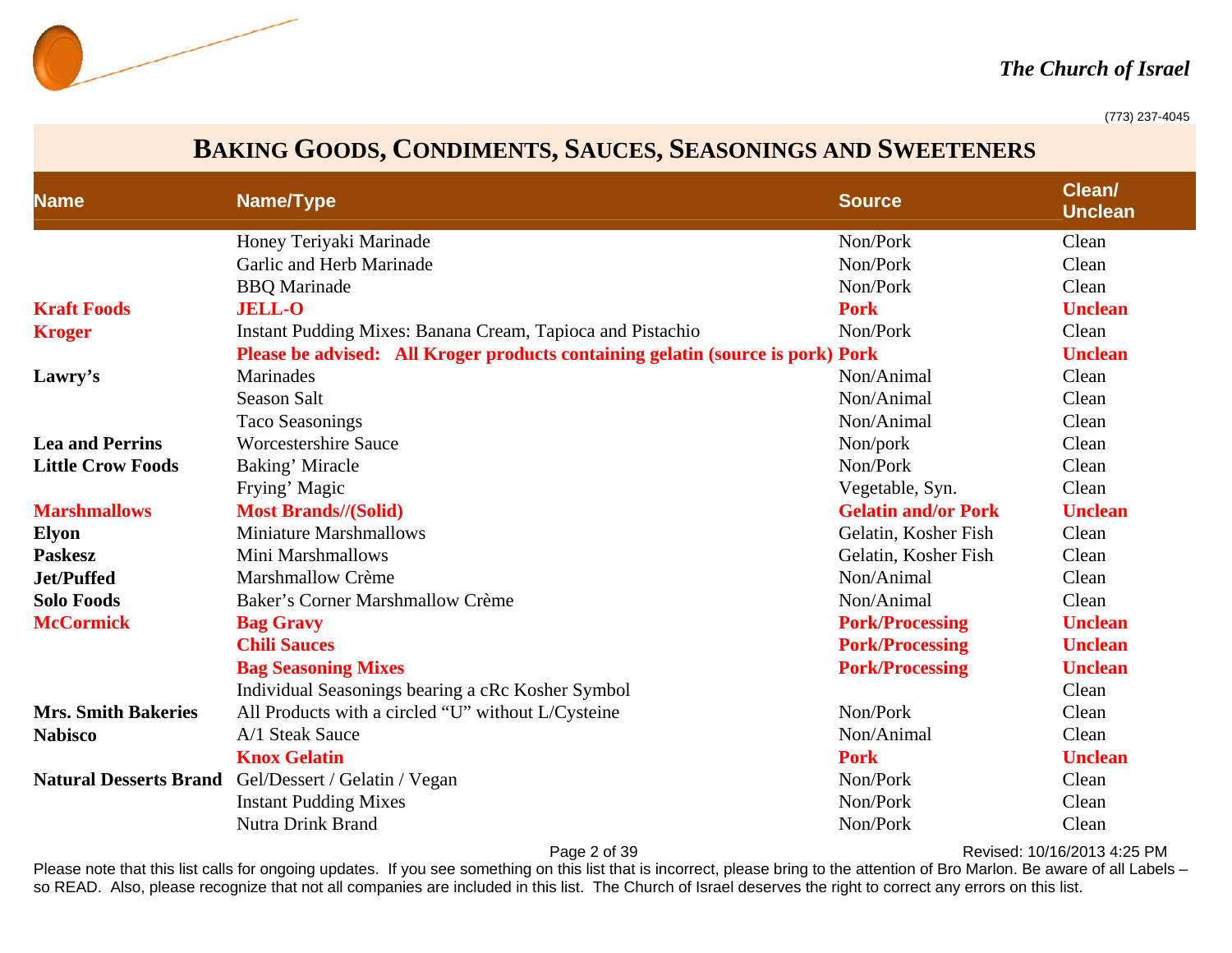

#### *The Church of Israel*

(773) 237-4045

### **BAKING GOODS, CONDIMENTS, SAUCES, SEASONINGS AND SWEETENERS**

| <b>Name</b>                | Name/Type                                                                       | <b>Source</b>              | Clean/<br><b>Unclean</b> |
|----------------------------|---------------------------------------------------------------------------------|----------------------------|--------------------------|
|                            | Honey Teriyaki Marinade                                                         | Non/Pork                   | Clean                    |
|                            | Garlic and Herb Marinade                                                        | Non/Pork                   | Clean                    |
|                            | <b>BBQ</b> Marinade                                                             | Non/Pork                   | Clean                    |
| <b>Kraft Foods</b>         | <b>JELL-O</b>                                                                   | <b>Pork</b>                | <b>Unclean</b>           |
| <b>Kroger</b>              | Instant Pudding Mixes: Banana Cream, Tapioca and Pistachio                      | Non/Pork                   | Clean                    |
|                            | Please be advised: All Kroger products containing gelatin (source is pork) Pork |                            | <b>Unclean</b>           |
| Lawry's                    | Marinades                                                                       | Non/Animal                 | Clean                    |
|                            | Season Salt                                                                     | Non/Animal                 | Clean                    |
|                            | <b>Taco Seasonings</b>                                                          | Non/Animal                 | Clean                    |
| <b>Lea and Perrins</b>     | <b>Worcestershire Sauce</b>                                                     | Non/pork                   | Clean                    |
| <b>Little Crow Foods</b>   | Baking' Miracle                                                                 | Non/Pork                   | Clean                    |
|                            | Frying' Magic                                                                   | Vegetable, Syn.            | Clean                    |
| <b>Marshmallows</b>        | <b>Most Brands//(Solid)</b>                                                     | <b>Gelatin and/or Pork</b> | <b>Unclean</b>           |
| <b>Elyon</b>               | <b>Miniature Marshmallows</b>                                                   | Gelatin, Kosher Fish       | Clean                    |
| <b>Paskesz</b>             | Mini Marshmallows                                                               | Gelatin, Kosher Fish       | Clean                    |
| Jet/Puffed                 | Marshmallow Crème                                                               | Non/Animal                 | Clean                    |
| <b>Solo Foods</b>          | Baker's Corner Marshmallow Crème                                                | Non/Animal                 | Clean                    |
| <b>McCormick</b>           | <b>Bag Gravy</b>                                                                | <b>Pork/Processing</b>     | <b>Unclean</b>           |
|                            | <b>Chili Sauces</b>                                                             | <b>Pork/Processing</b>     | <b>Unclean</b>           |
|                            | <b>Bag Seasoning Mixes</b>                                                      | <b>Pork/Processing</b>     | <b>Unclean</b>           |
|                            | Individual Seasonings bearing a cRc Kosher Symbol                               |                            | Clean                    |
| <b>Mrs. Smith Bakeries</b> | All Products with a circled "U" without L/Cysteine                              | Non/Pork                   | Clean                    |
| <b>Nabisco</b>             | A/1 Steak Sauce                                                                 | Non/Animal                 | Clean                    |
|                            | <b>Knox Gelatin</b>                                                             | <b>Pork</b>                | <b>Unclean</b>           |
|                            | Natural Desserts Brand Gel/Dessert / Gelatin / Vegan                            | Non/Pork                   | Clean                    |
|                            | <b>Instant Pudding Mixes</b>                                                    | Non/Pork                   | Clean                    |
|                            | <b>Nutra Drink Brand</b>                                                        | Non/Pork                   | Clean                    |

Page 2 of 39 Revised: 10/16/2013 4:25 PM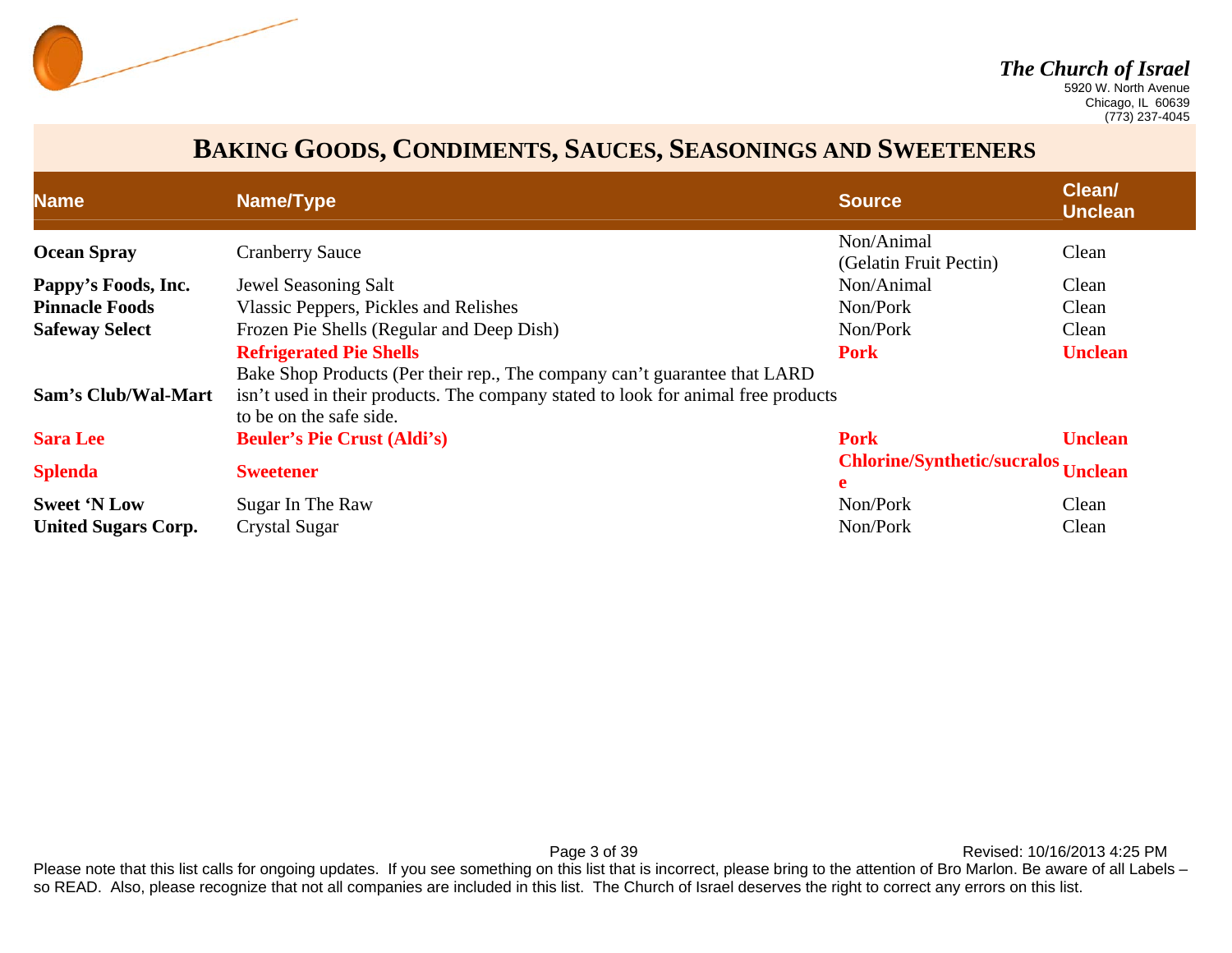

 Chicago, IL 60639 (773) 237-4045

### **BAKING GOODS, CONDIMENTS, SAUCES, SEASONINGS AND SWEETENERS**

| <b>Name</b>                | Name/Type                                                                                                                                                                                 | <b>Source</b>                            | Clean/<br><b>Unclean</b> |
|----------------------------|-------------------------------------------------------------------------------------------------------------------------------------------------------------------------------------------|------------------------------------------|--------------------------|
| <b>Ocean Spray</b>         | <b>Cranberry Sauce</b>                                                                                                                                                                    | Non/Animal<br>(Gelatin Fruit Pectin)     | Clean                    |
| Pappy's Foods, Inc.        | Jewel Seasoning Salt                                                                                                                                                                      | Non/Animal                               | Clean                    |
| <b>Pinnacle Foods</b>      | Vlassic Peppers, Pickles and Relishes                                                                                                                                                     | Non/Pork                                 | Clean                    |
| <b>Safeway Select</b>      | Frozen Pie Shells (Regular and Deep Dish)                                                                                                                                                 | Non/Pork                                 | Clean                    |
|                            | <b>Refrigerated Pie Shells</b>                                                                                                                                                            | <b>Pork</b>                              | <b>Unclean</b>           |
| <b>Sam's Club/Wal-Mart</b> | Bake Shop Products (Per their rep., The company can't guarantee that LARD<br>isn't used in their products. The company stated to look for animal free products<br>to be on the safe side. |                                          |                          |
| <b>Sara Lee</b>            | <b>Beuler's Pie Crust (Aldi's)</b>                                                                                                                                                        | <b>Pork</b>                              | <b>Unclean</b>           |
| <b>Splenda</b>             | <b>Sweetener</b>                                                                                                                                                                          | Chlorine/Synthetic/sucralos Unclean<br>e |                          |
| <b>Sweet 'N Low</b>        | Sugar In The Raw                                                                                                                                                                          | Non/Pork                                 | Clean                    |
| <b>United Sugars Corp.</b> | <b>Crystal Sugar</b>                                                                                                                                                                      | Non/Pork                                 | Clean                    |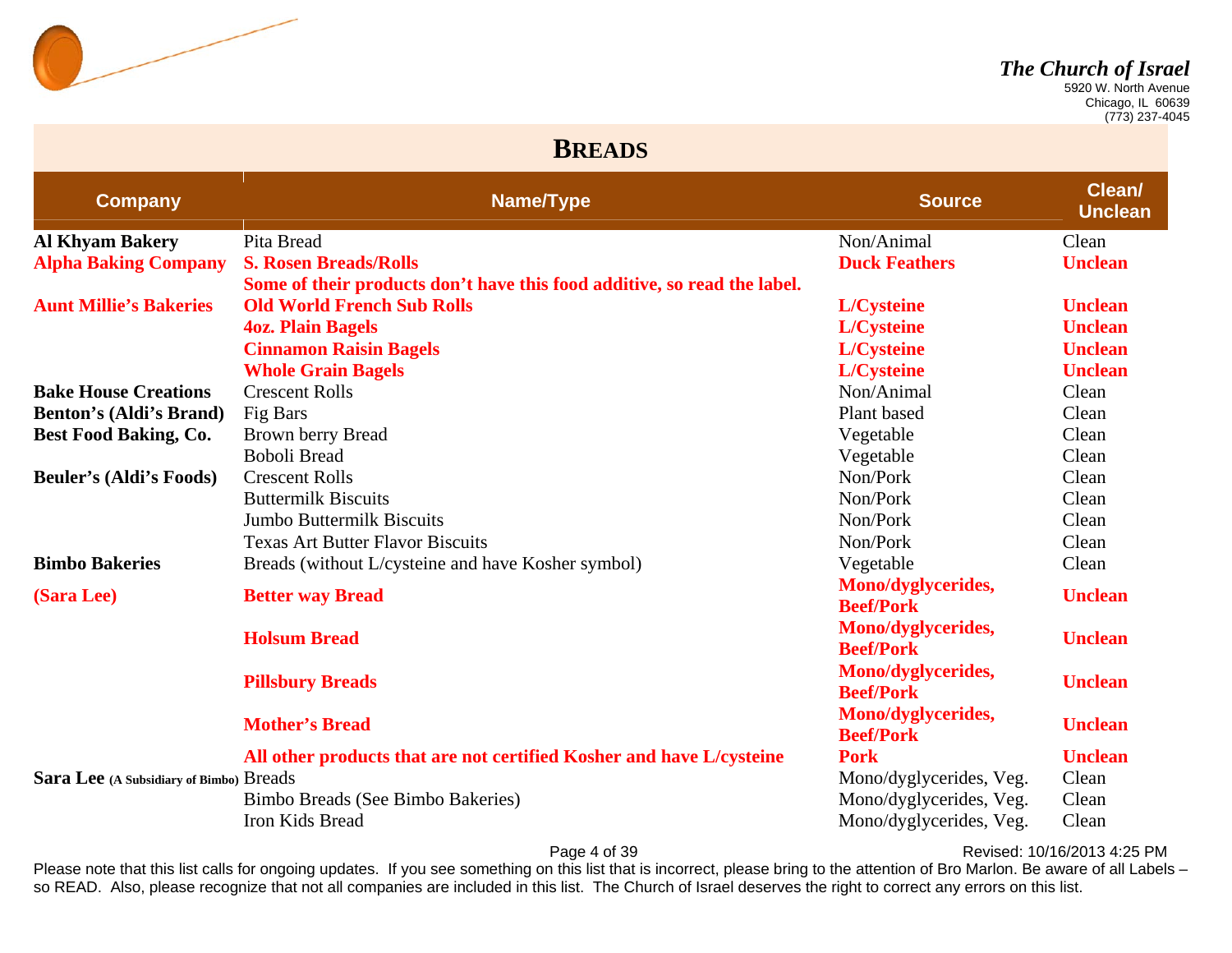

 Chicago, IL 60639 (773) 237-4045

#### **BREADS**

| <b>Company</b>                          | Name/Type                                                                | <b>Source</b>                          | Clean/<br><b>Unclean</b> |
|-----------------------------------------|--------------------------------------------------------------------------|----------------------------------------|--------------------------|
| <b>Al Khyam Bakery</b>                  | Pita Bread                                                               | Non/Animal                             | Clean                    |
| <b>Alpha Baking Company</b>             | <b>S. Rosen Breads/Rolls</b>                                             | <b>Duck Feathers</b>                   | <b>Unclean</b>           |
|                                         | Some of their products don't have this food additive, so read the label. |                                        |                          |
| <b>Aunt Millie's Bakeries</b>           | <b>Old World French Sub Rolls</b>                                        | L/Cysteine                             | <b>Unclean</b>           |
|                                         | <b>4oz. Plain Bagels</b>                                                 | <b>L/Cysteine</b>                      | <b>Unclean</b>           |
|                                         | <b>Cinnamon Raisin Bagels</b>                                            | L/Cysteine                             | <b>Unclean</b>           |
|                                         | <b>Whole Grain Bagels</b>                                                | <b>L/Cysteine</b>                      | <b>Unclean</b>           |
| <b>Bake House Creations</b>             | <b>Crescent Rolls</b>                                                    | Non/Animal                             | Clean                    |
| <b>Benton's (Aldi's Brand)</b>          | Fig Bars                                                                 | Plant based                            | Clean                    |
| <b>Best Food Baking, Co.</b>            | Brown berry Bread                                                        | Vegetable                              | Clean                    |
|                                         | <b>Boboli Bread</b>                                                      | Vegetable                              | Clean                    |
| <b>Beuler's (Aldi's Foods)</b>          | <b>Crescent Rolls</b>                                                    | Non/Pork                               | Clean                    |
|                                         | <b>Buttermilk Biscuits</b>                                               | Non/Pork                               | Clean                    |
|                                         | <b>Jumbo Buttermilk Biscuits</b>                                         | Non/Pork                               | Clean                    |
|                                         | <b>Texas Art Butter Flavor Biscuits</b>                                  | Non/Pork                               | Clean                    |
| <b>Bimbo Bakeries</b>                   | Breads (without L/cysteine and have Kosher symbol)                       | Vegetable                              | Clean                    |
| (Sara Lee)                              | <b>Better way Bread</b>                                                  | Mono/dyglycerides,<br><b>Beef/Pork</b> | <b>Unclean</b>           |
|                                         | <b>Holsum Bread</b>                                                      | Mono/dyglycerides,<br><b>Beef/Pork</b> | <b>Unclean</b>           |
|                                         | <b>Pillsbury Breads</b>                                                  | Mono/dyglycerides,<br><b>Beef/Pork</b> | <b>Unclean</b>           |
|                                         | <b>Mother's Bread</b>                                                    | Mono/dyglycerides,<br><b>Beef/Pork</b> | <b>Unclean</b>           |
|                                         | All other products that are not certified Kosher and have L/cysteine     | <b>Pork</b>                            | <b>Unclean</b>           |
| Sara Lee (A Subsidiary of Bimbo) Breads |                                                                          | Mono/dyglycerides, Veg.                | Clean                    |
|                                         | Bimbo Breads (See Bimbo Bakeries)                                        | Mono/dyglycerides, Veg.                | Clean                    |
|                                         | Iron Kids Bread                                                          | Mono/dyglycerides, Veg.                | Clean                    |

Page 4 of 39 Revised: 10/16/2013 4:25 PM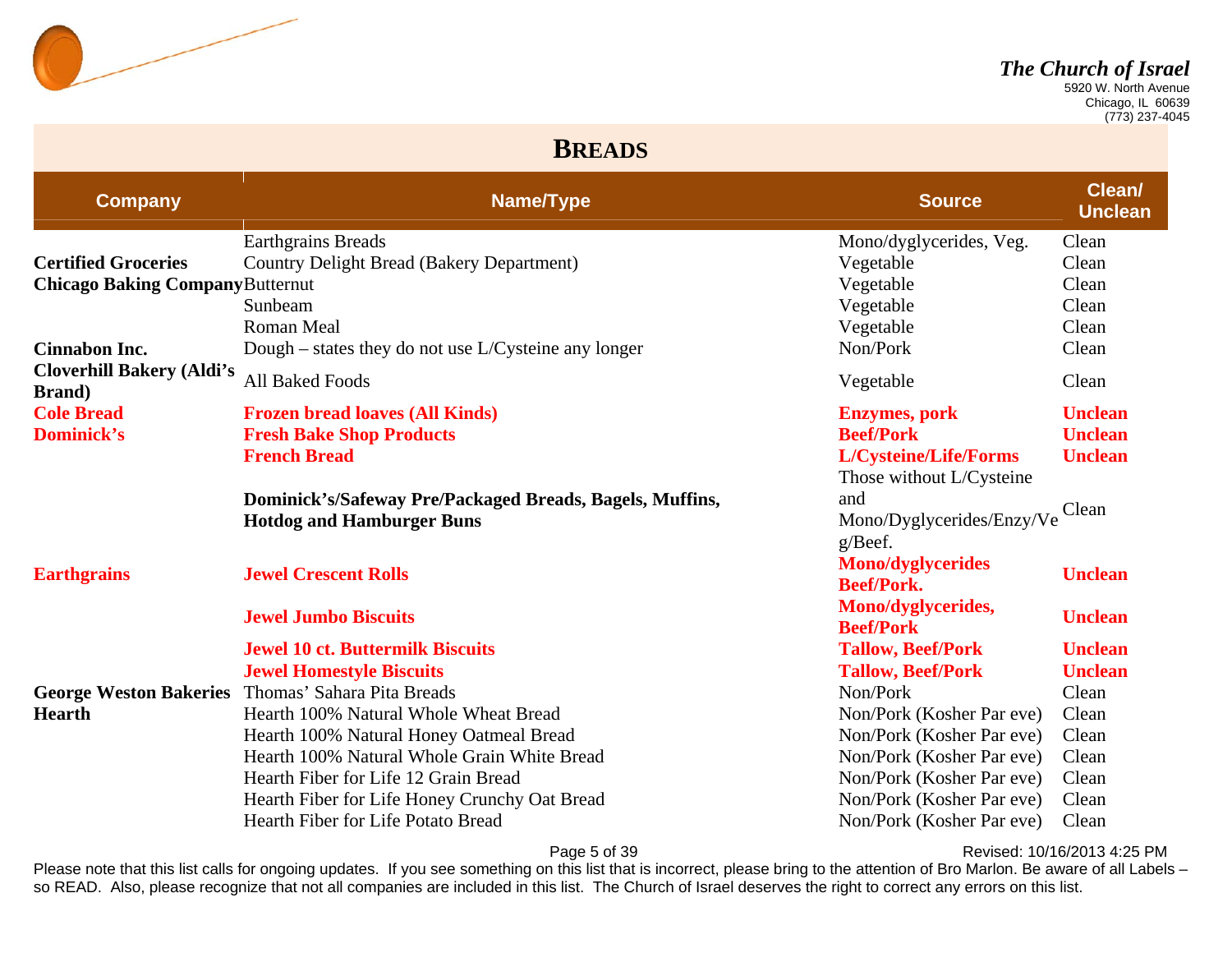

 Chicago, IL 60639 (773) 237-4045

#### **BREADS**

| <b>Company</b>                                     | Name/Type                                                | <b>Source</b>                                 | <b>Clean/</b><br><b>Unclean</b> |
|----------------------------------------------------|----------------------------------------------------------|-----------------------------------------------|---------------------------------|
|                                                    | <b>Earthgrains Breads</b>                                | Mono/dyglycerides, Veg.                       | Clean                           |
| <b>Certified Groceries</b>                         | Country Delight Bread (Bakery Department)                | Vegetable                                     | Clean                           |
| <b>Chicago Baking Company Butternut</b>            |                                                          | Vegetable                                     | Clean                           |
|                                                    | Sunbeam                                                  | Vegetable                                     | Clean                           |
|                                                    | Roman Meal                                               | Vegetable                                     | Clean                           |
| <b>Cinnabon Inc.</b>                               | Dough – states they do not use $L/C$ ysteine any longer  | Non/Pork                                      | Clean                           |
| <b>Cloverhill Bakery (Aldi's</b><br><b>Brand</b> ) | <b>All Baked Foods</b>                                   | Vegetable                                     | Clean                           |
| <b>Cole Bread</b>                                  | <b>Frozen bread loaves (All Kinds)</b>                   | <b>Enzymes</b> , pork                         | <b>Unclean</b>                  |
| <b>Dominick's</b>                                  | <b>Fresh Bake Shop Products</b>                          | <b>Beef/Pork</b>                              | <b>Unclean</b>                  |
|                                                    | <b>French Bread</b>                                      | L/Cysteine/Life/Forms                         | <b>Unclean</b>                  |
|                                                    |                                                          | Those without L/Cysteine                      |                                 |
|                                                    | Dominick's/Safeway Pre/Packaged Breads, Bagels, Muffins, | and                                           |                                 |
|                                                    | <b>Hotdog and Hamburger Buns</b>                         | Mono/Dyglycerides/Enzy/Ve                     | Clean                           |
|                                                    |                                                          | g/Beef.                                       |                                 |
| <b>Earthgrains</b>                                 | <b>Jewel Crescent Rolls</b>                              | <b>Mono/dyglycerides</b><br><b>Beef/Pork.</b> | <b>Unclean</b>                  |
|                                                    | <b>Jewel Jumbo Biscuits</b>                              | Mono/dyglycerides,<br><b>Beef/Pork</b>        | <b>Unclean</b>                  |
|                                                    | <b>Jewel 10 ct. Buttermilk Biscuits</b>                  | <b>Tallow, Beef/Pork</b>                      | <b>Unclean</b>                  |
|                                                    | <b>Jewel Homestyle Biscuits</b>                          | <b>Tallow, Beef/Pork</b>                      | <b>Unclean</b>                  |
| <b>George Weston Bakeries</b>                      | Thomas' Sahara Pita Breads                               | Non/Pork                                      | Clean                           |
| <b>Hearth</b>                                      | Hearth 100% Natural Whole Wheat Bread                    | Non/Pork (Kosher Par eve)                     | Clean                           |
|                                                    | Hearth 100% Natural Honey Oatmeal Bread                  | Non/Pork (Kosher Par eve)                     | Clean                           |
|                                                    | Hearth 100% Natural Whole Grain White Bread              | Non/Pork (Kosher Par eve)                     | Clean                           |
|                                                    | Hearth Fiber for Life 12 Grain Bread                     | Non/Pork (Kosher Par eve)                     | Clean                           |
|                                                    | Hearth Fiber for Life Honey Crunchy Oat Bread            | Non/Pork (Kosher Par eve)                     | Clean                           |
|                                                    | Hearth Fiber for Life Potato Bread                       | Non/Pork (Kosher Par eve)                     | Clean                           |

Page 5 of 39 Revised: 10/16/2013 4:25 PM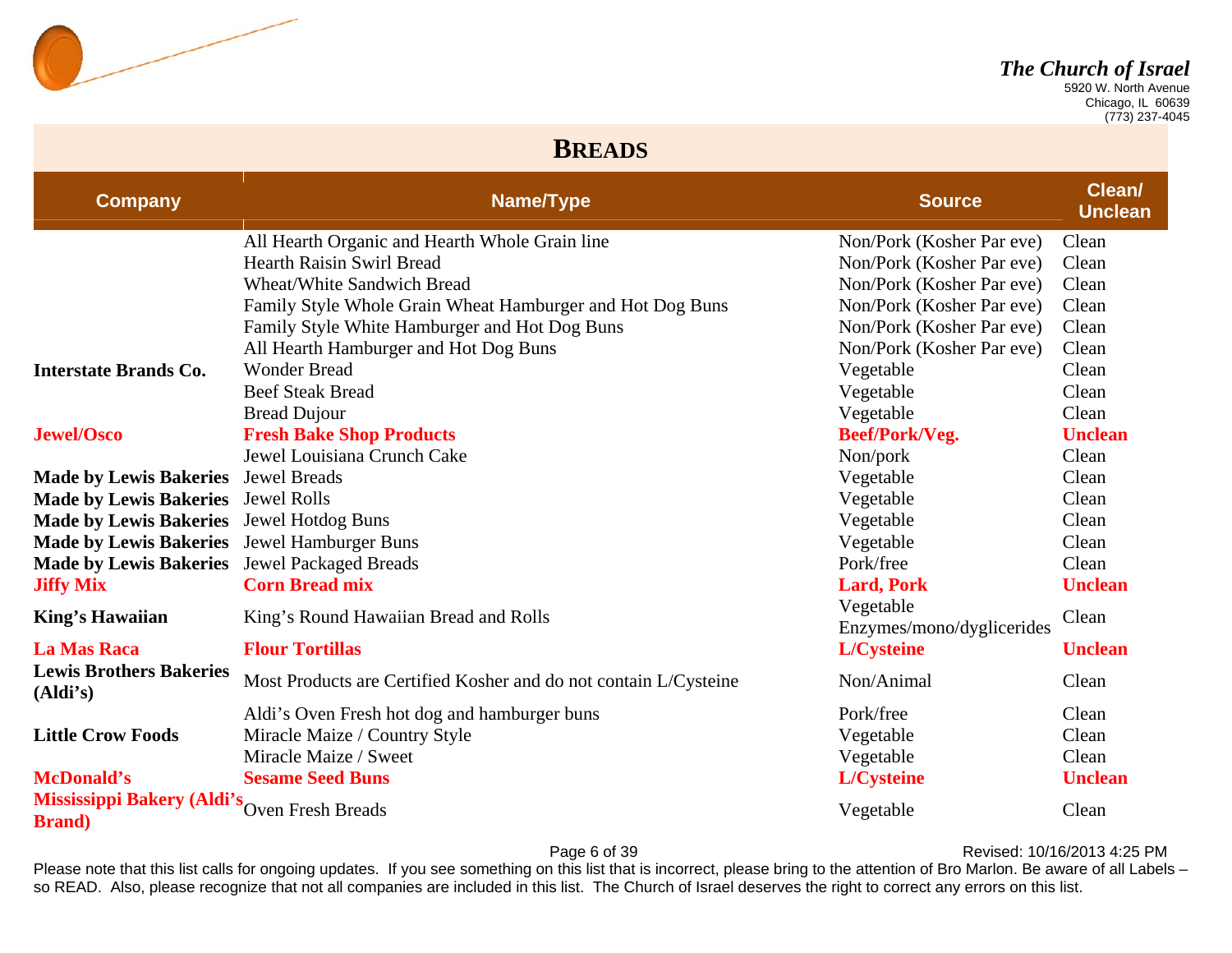

 Chicago, IL 60639 (773) 237-4045

#### **BREADS**

| <b>Company</b>                               | Name/Type                                                        | <b>Source</b>                          | Clean/<br><b>Unclean</b> |
|----------------------------------------------|------------------------------------------------------------------|----------------------------------------|--------------------------|
|                                              | All Hearth Organic and Hearth Whole Grain line                   | Non/Pork (Kosher Par eve)              | Clean                    |
|                                              | <b>Hearth Raisin Swirl Bread</b>                                 | Non/Pork (Kosher Par eve)              | Clean                    |
|                                              | <b>Wheat/White Sandwich Bread</b>                                | Non/Pork (Kosher Par eve)              | Clean                    |
|                                              | Family Style Whole Grain Wheat Hamburger and Hot Dog Buns        | Non/Pork (Kosher Par eve)              | Clean                    |
|                                              | Family Style White Hamburger and Hot Dog Buns                    | Non/Pork (Kosher Par eve)              | Clean                    |
|                                              | All Hearth Hamburger and Hot Dog Buns                            | Non/Pork (Kosher Par eve)              | Clean                    |
| <b>Interstate Brands Co.</b>                 | <b>Wonder Bread</b>                                              | Vegetable                              | Clean                    |
|                                              | <b>Beef Steak Bread</b>                                          | Vegetable                              | Clean                    |
|                                              | <b>Bread Dujour</b>                                              | Vegetable                              | Clean                    |
| <b>Jewel/Osco</b>                            | <b>Fresh Bake Shop Products</b>                                  | Beef/Pork/Veg.                         | <b>Unclean</b>           |
|                                              | Jewel Louisiana Crunch Cake                                      | Non/pork                               | Clean                    |
| <b>Made by Lewis Bakeries</b>                | <b>Jewel Breads</b>                                              | Vegetable                              | Clean                    |
| <b>Made by Lewis Bakeries</b>                | <b>Jewel Rolls</b>                                               | Vegetable                              | Clean                    |
| <b>Made by Lewis Bakeries</b>                | <b>Jewel Hotdog Buns</b>                                         | Vegetable                              | Clean                    |
| <b>Made by Lewis Bakeries</b>                | Jewel Hamburger Buns                                             | Vegetable                              | Clean                    |
| <b>Made by Lewis Bakeries</b>                | <b>Jewel Packaged Breads</b>                                     | Pork/free                              | Clean                    |
| <b>Jiffy Mix</b>                             | <b>Corn Bread mix</b>                                            | <b>Lard, Pork</b>                      | <b>Unclean</b>           |
| <b>King's Hawaiian</b>                       | King's Round Hawaiian Bread and Rolls                            | Vegetable<br>Enzymes/mono/dyglicerides | Clean                    |
| <b>La Mas Raca</b>                           | <b>Flour Tortillas</b>                                           | L/Cysteine                             | <b>Unclean</b>           |
| <b>Lewis Brothers Bakeries</b><br>(Aldi's)   | Most Products are Certified Kosher and do not contain L/Cysteine | Non/Animal                             | Clean                    |
|                                              | Aldi's Oven Fresh hot dog and hamburger buns                     | Pork/free                              | Clean                    |
| <b>Little Crow Foods</b>                     | Miracle Maize / Country Style                                    | Vegetable                              | Clean                    |
|                                              | Miracle Maize / Sweet                                            | Vegetable                              | Clean                    |
| <b>McDonald's</b>                            | <b>Sesame Seed Buns</b>                                          | L/Cysteine                             | <b>Unclean</b>           |
| Mississippi Bakery (Aldi's<br><b>Brand</b> ) | Oven Fresh Breads                                                | Vegetable                              | Clean                    |

Page 6 of 39 Revised: 10/16/2013 4:25 PM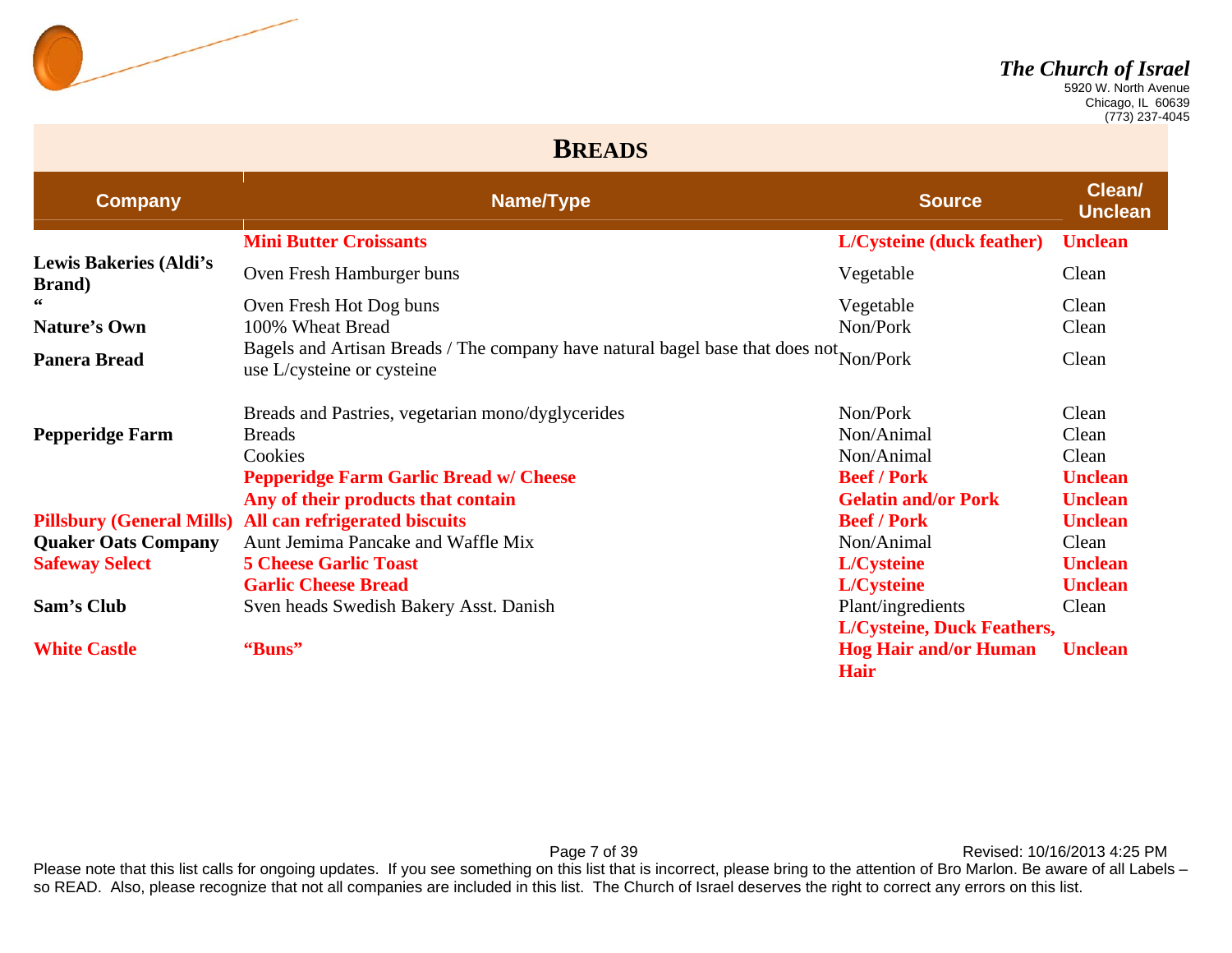

 Chicago, IL 60639 (773) 237-4045

#### **BREADS**

| <b>Company</b>                                  | Name/Type                                                                                                            | <b>Source</b>                               | Clean/<br><b>Unclean</b> |
|-------------------------------------------------|----------------------------------------------------------------------------------------------------------------------|---------------------------------------------|--------------------------|
|                                                 | <b>Mini Butter Croissants</b>                                                                                        | <b>L/Cysteine (duck feather)</b>            | <b>Unclean</b>           |
| <b>Lewis Bakeries (Aldi's</b><br><b>Brand</b> ) | Oven Fresh Hamburger buns                                                                                            | Vegetable                                   | Clean                    |
| 66                                              | Oven Fresh Hot Dog buns                                                                                              | Vegetable                                   | Clean                    |
| Nature's Own                                    | 100% Wheat Bread                                                                                                     | Non/Pork                                    | Clean                    |
| <b>Panera Bread</b>                             | Bagels and Artisan Breads / The company have natural bagel base that does not Non/Pork<br>use L/cysteine or cysteine |                                             | Clean                    |
|                                                 | Breads and Pastries, vegetarian mono/dyglycerides                                                                    | Non/Pork                                    | Clean                    |
| <b>Pepperidge Farm</b>                          | <b>Breads</b>                                                                                                        | Non/Animal                                  | Clean                    |
|                                                 | Cookies                                                                                                              | Non/Animal                                  | Clean                    |
|                                                 | <b>Pepperidge Farm Garlic Bread w/ Cheese</b>                                                                        | <b>Beef / Pork</b>                          | <b>Unclean</b>           |
|                                                 | Any of their products that contain                                                                                   | <b>Gelatin and/or Pork</b>                  | <b>Unclean</b>           |
| <b>Pillsbury (General Mills)</b>                | All can refrigerated biscuits                                                                                        | <b>Beef / Pork</b>                          | <b>Unclean</b>           |
| <b>Quaker Oats Company</b>                      | Aunt Jemima Pancake and Waffle Mix                                                                                   | Non/Animal                                  | Clean                    |
| <b>Safeway Select</b>                           | <b>5 Cheese Garlic Toast</b>                                                                                         | L/Cysteine                                  | <b>Unclean</b>           |
|                                                 | <b>Garlic Cheese Bread</b>                                                                                           | <b>L/Cysteine</b>                           | <b>Unclean</b>           |
| Sam's Club                                      | Sven heads Swedish Bakery Asst. Danish                                                                               | Plant/ingredients                           | Clean                    |
|                                                 |                                                                                                                      | <b>L/Cysteine, Duck Feathers,</b>           |                          |
| <b>White Castle</b>                             | "Buns"                                                                                                               | <b>Hog Hair and/or Human</b><br><b>Hair</b> | <b>Unclean</b>           |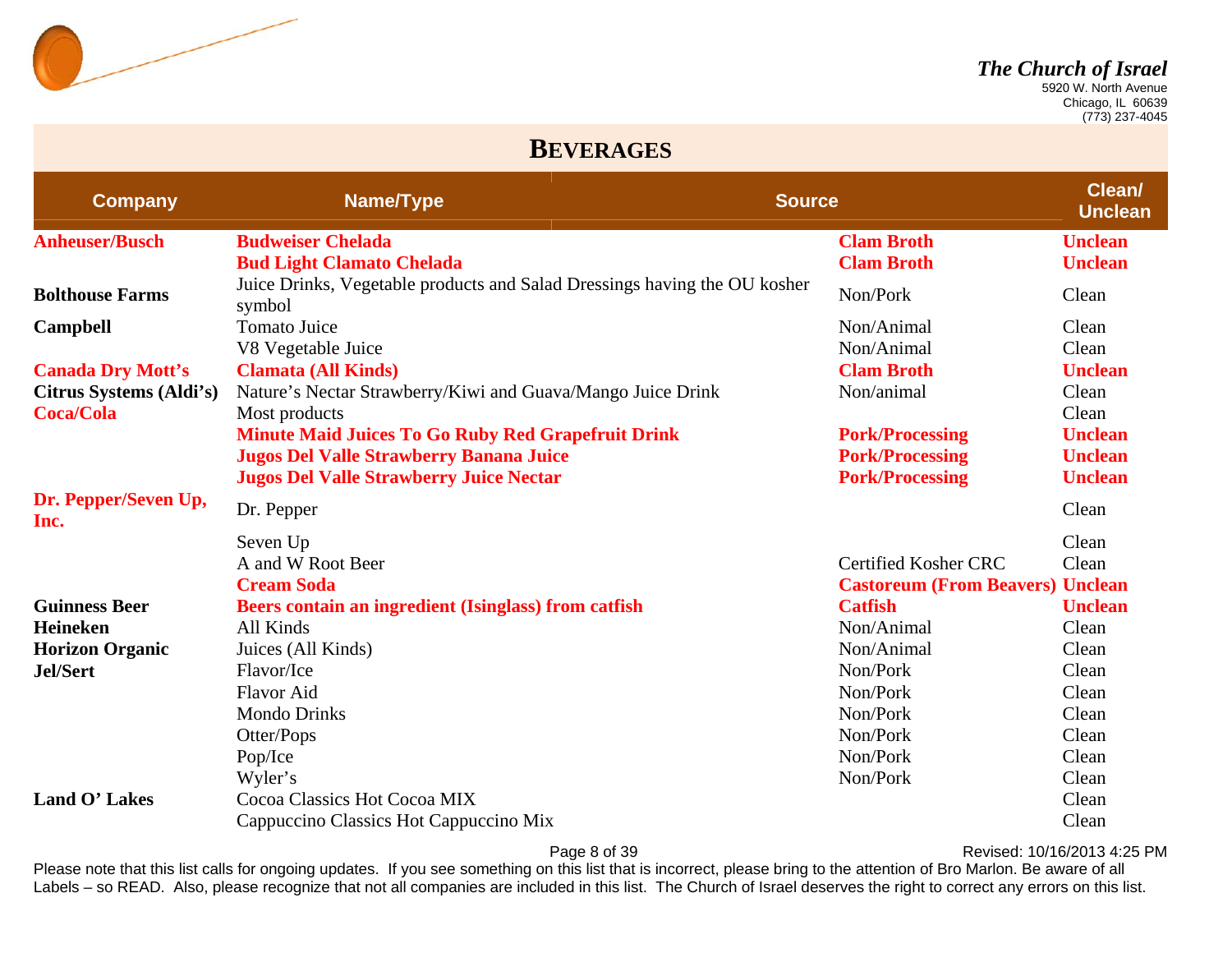

 Chicago, IL 60639 (773) 237-4045

#### **BEVERAGES**

| <b>Company</b>               | Name/Type                                                                           | <b>Source</b> |                                         | Clean/<br><b>Unclean</b> |
|------------------------------|-------------------------------------------------------------------------------------|---------------|-----------------------------------------|--------------------------|
| <b>Anheuser/Busch</b>        | <b>Budweiser Chelada</b>                                                            |               | <b>Clam Broth</b>                       | <b>Unclean</b>           |
|                              | <b>Bud Light Clamato Chelada</b>                                                    |               | <b>Clam Broth</b>                       | <b>Unclean</b>           |
| <b>Bolthouse Farms</b>       | Juice Drinks, Vegetable products and Salad Dressings having the OU kosher<br>symbol |               | Non/Pork                                | Clean                    |
| <b>Campbell</b>              | <b>Tomato Juice</b>                                                                 |               | Non/Animal                              | Clean                    |
|                              | V8 Vegetable Juice                                                                  |               | Non/Animal                              | Clean                    |
| <b>Canada Dry Mott's</b>     | <b>Clamata (All Kinds)</b>                                                          |               | <b>Clam Broth</b>                       | <b>Unclean</b>           |
| Citrus Systems (Aldi's)      | Nature's Nectar Strawberry/Kiwi and Guava/Mango Juice Drink                         |               | Non/animal                              | Clean                    |
| <b>Coca/Cola</b>             | Most products                                                                       |               |                                         | Clean                    |
|                              | <b>Minute Maid Juices To Go Ruby Red Grapefruit Drink</b>                           |               | <b>Pork/Processing</b>                  | <b>Unclean</b>           |
|                              | <b>Jugos Del Valle Strawberry Banana Juice</b>                                      |               | <b>Pork/Processing</b>                  | <b>Unclean</b>           |
|                              | <b>Jugos Del Valle Strawberry Juice Nectar</b>                                      |               | <b>Pork/Processing</b>                  | <b>Unclean</b>           |
| Dr. Pepper/Seven Up,<br>Inc. | Dr. Pepper                                                                          |               |                                         | Clean                    |
|                              | Seven Up                                                                            |               |                                         | Clean                    |
|                              | A and W Root Beer                                                                   |               | <b>Certified Kosher CRC</b>             | Clean                    |
|                              | <b>Cream Soda</b>                                                                   |               | <b>Castoreum (From Beavers) Unclean</b> |                          |
| <b>Guinness Beer</b>         | Beers contain an ingredient (Isinglass) from catfish                                |               | <b>Catfish</b>                          | <b>Unclean</b>           |
| Heineken                     | All Kinds                                                                           |               | Non/Animal                              | Clean                    |
| <b>Horizon Organic</b>       | Juices (All Kinds)                                                                  |               | Non/Animal                              | Clean                    |
| Jel/Sert                     | Flavor/Ice                                                                          |               | Non/Pork                                | Clean                    |
|                              | <b>Flavor Aid</b>                                                                   |               | Non/Pork                                | Clean                    |
|                              | <b>Mondo Drinks</b>                                                                 |               | Non/Pork                                | Clean                    |
|                              | Otter/Pops                                                                          |               | Non/Pork                                | Clean                    |
|                              | Pop/Ice                                                                             |               | Non/Pork                                | Clean                    |
|                              | Wyler's                                                                             |               | Non/Pork                                | Clean                    |
| Land O' Lakes                | Cocoa Classics Hot Cocoa MIX                                                        |               |                                         | Clean                    |
|                              | Cappuccino Classics Hot Cappuccino Mix                                              |               |                                         | Clean                    |

Page 8 of 39 Revised: 10/16/2013 4:25 PM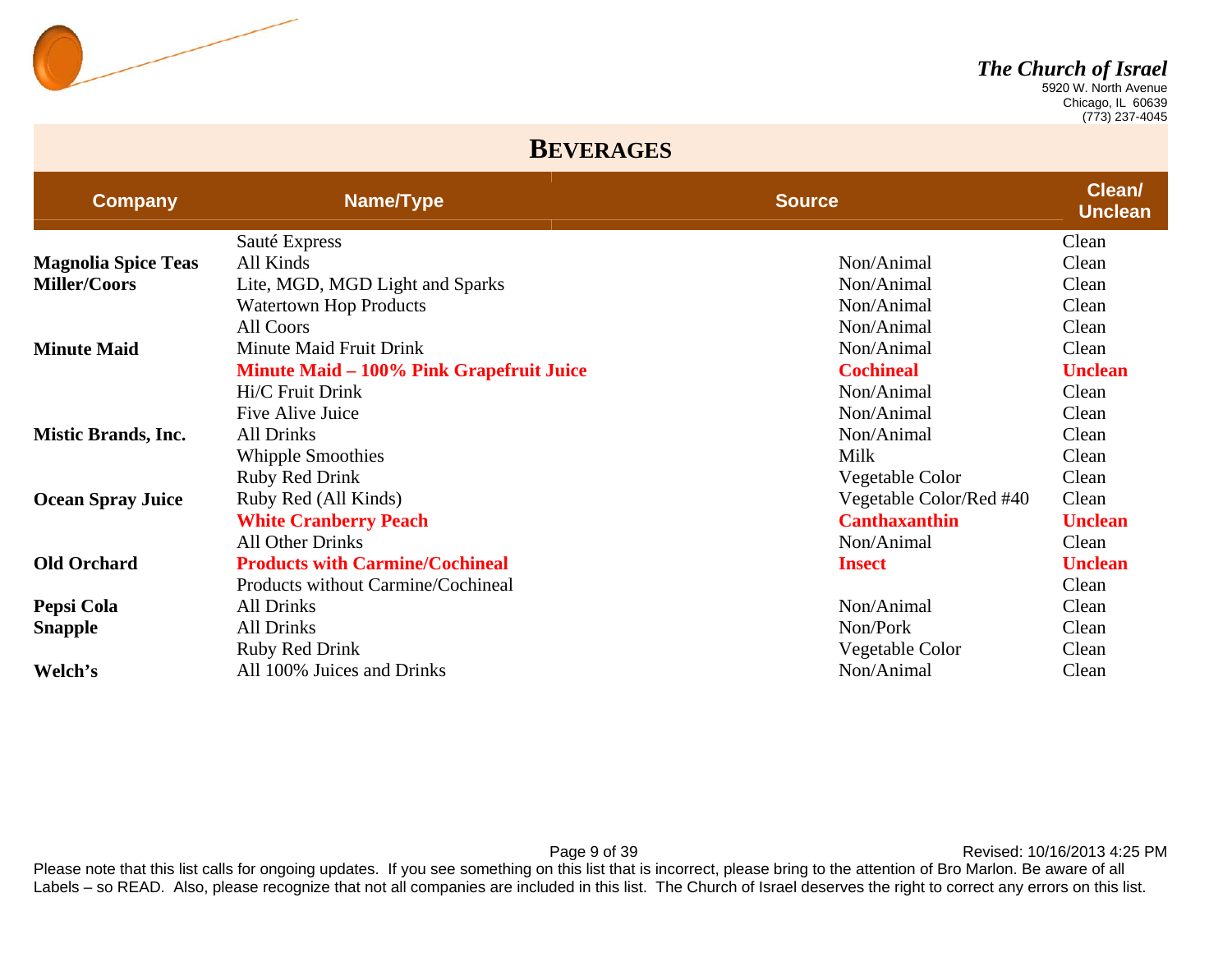

 Chicago, IL 60639 (773) 237-4045

#### **BEVERAGES**

| <b>Company</b>             | Name/Type                                       | <b>Source</b>           | Clean/<br><b>Unclean</b> |
|----------------------------|-------------------------------------------------|-------------------------|--------------------------|
|                            | Sauté Express                                   |                         | Clean                    |
| <b>Magnolia Spice Teas</b> | All Kinds                                       | Non/Animal              | Clean                    |
| <b>Miller/Coors</b>        | Lite, MGD, MGD Light and Sparks                 | Non/Animal              | Clean                    |
|                            | <b>Watertown Hop Products</b>                   | Non/Animal              | Clean                    |
|                            | All Coors                                       | Non/Animal              | Clean                    |
| <b>Minute Maid</b>         | Minute Maid Fruit Drink                         | Non/Animal              | Clean                    |
|                            | <b>Minute Maid – 100% Pink Grapefruit Juice</b> | <b>Cochineal</b>        | <b>Unclean</b>           |
|                            | Hi/C Fruit Drink                                | Non/Animal              | Clean                    |
|                            | Five Alive Juice                                | Non/Animal              | Clean                    |
| <b>Mistic Brands, Inc.</b> | <b>All Drinks</b>                               | Non/Animal              | Clean                    |
|                            | <b>Whipple Smoothies</b>                        | Milk                    | Clean                    |
|                            | <b>Ruby Red Drink</b>                           | Vegetable Color         | Clean                    |
| <b>Ocean Spray Juice</b>   | Ruby Red (All Kinds)                            | Vegetable Color/Red #40 | Clean                    |
|                            | <b>White Cranberry Peach</b>                    | <b>Canthaxanthin</b>    | <b>Unclean</b>           |
|                            | <b>All Other Drinks</b>                         | Non/Animal              | Clean                    |
| <b>Old Orchard</b>         | <b>Products with Carmine/Cochineal</b>          | <b>Insect</b>           | <b>Unclean</b>           |
|                            | Products without Carmine/Cochineal              |                         | Clean                    |
| Pepsi Cola                 | <b>All Drinks</b>                               | Non/Animal              | Clean                    |
| <b>Snapple</b>             | <b>All Drinks</b>                               | Non/Pork                | Clean                    |
|                            | Ruby Red Drink                                  | Vegetable Color         | Clean                    |
| Welch's                    | All 100% Juices and Drinks                      | Non/Animal              | Clean                    |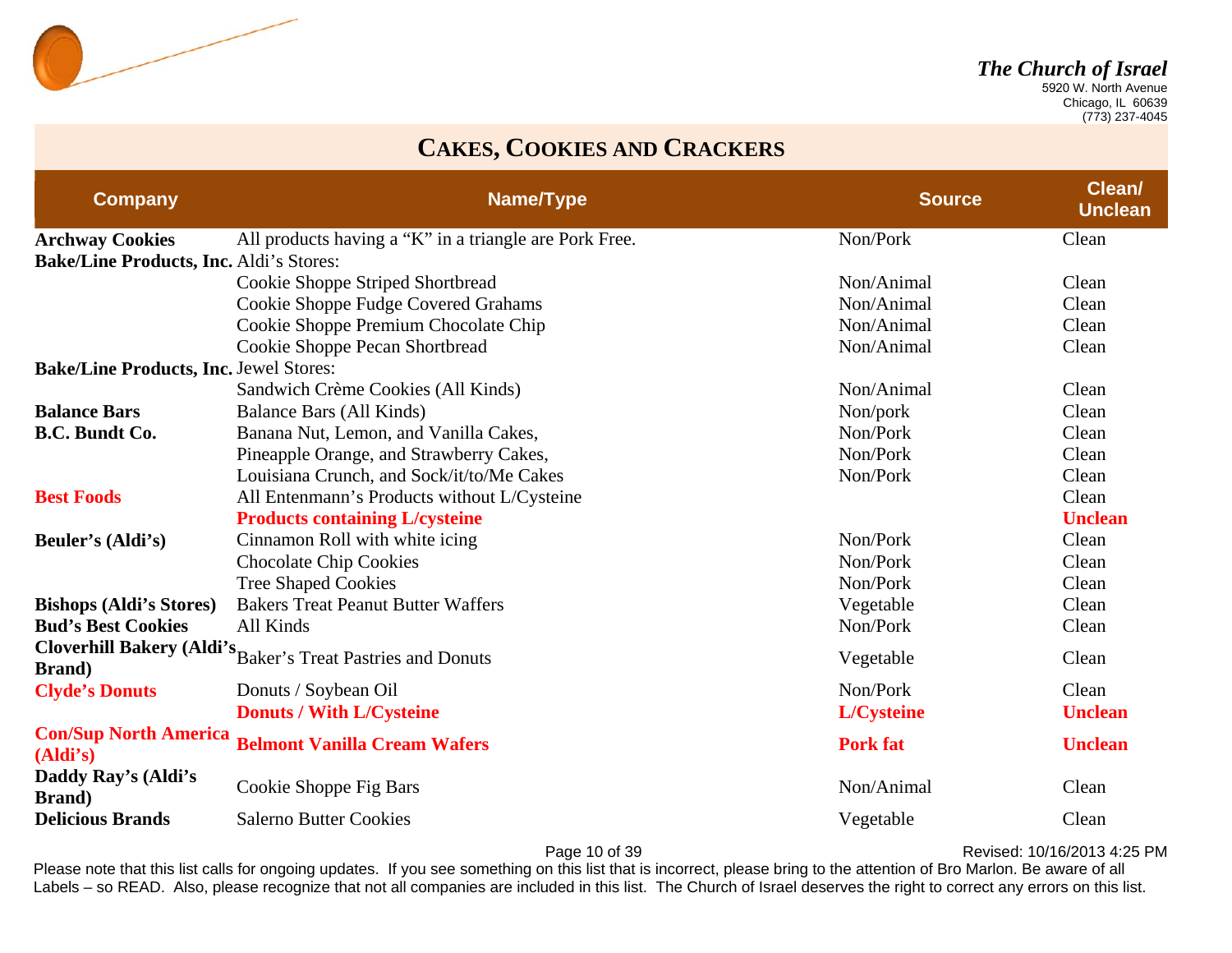

 Chicago, IL 60639 (773) 237-4045

### **CAKES, COOKIES AND CRACKERS**

| <b>Company</b>                                 | Name/Type                                                          | <b>Source</b>   | Clean/<br><b>Unclean</b> |
|------------------------------------------------|--------------------------------------------------------------------|-----------------|--------------------------|
| <b>Archway Cookies</b>                         | All products having a "K" in a triangle are Pork Free.             | Non/Pork        | Clean                    |
| <b>Bake/Line Products, Inc. Aldi's Stores:</b> |                                                                    |                 |                          |
|                                                | Cookie Shoppe Striped Shortbread                                   | Non/Animal      | Clean                    |
|                                                | Cookie Shoppe Fudge Covered Grahams                                | Non/Animal      | Clean                    |
|                                                | Cookie Shoppe Premium Chocolate Chip                               | Non/Animal      | Clean                    |
|                                                | Cookie Shoppe Pecan Shortbread                                     | Non/Animal      | Clean                    |
| <b>Bake/Line Products, Inc. Jewel Stores:</b>  |                                                                    |                 |                          |
|                                                | Sandwich Crème Cookies (All Kinds)                                 | Non/Animal      | Clean                    |
| <b>Balance Bars</b>                            | Balance Bars (All Kinds)                                           | Non/pork        | Clean                    |
| <b>B.C. Bundt Co.</b>                          | Banana Nut, Lemon, and Vanilla Cakes,                              | Non/Pork        | Clean                    |
|                                                | Pineapple Orange, and Strawberry Cakes,                            | Non/Pork        | Clean                    |
|                                                | Louisiana Crunch, and Sock/it/to/Me Cakes                          | Non/Pork        | Clean                    |
| <b>Best Foods</b>                              | All Entenmann's Products without L/Cysteine                        |                 | Clean                    |
|                                                | <b>Products containing L/cysteine</b>                              |                 | <b>Unclean</b>           |
| Beuler's (Aldi's)                              | Cinnamon Roll with white icing                                     | Non/Pork        | Clean                    |
|                                                | <b>Chocolate Chip Cookies</b>                                      | Non/Pork        | Clean                    |
|                                                | <b>Tree Shaped Cookies</b>                                         | Non/Pork        | Clean                    |
| <b>Bishops (Aldi's Stores)</b>                 | <b>Bakers Treat Peanut Butter Waffers</b>                          | Vegetable       | Clean                    |
| <b>Bud's Best Cookies</b>                      | All Kinds                                                          | Non/Pork        | Clean                    |
| <b>Brand</b> )                                 | <b>Cloverhill Bakery (Aldi's Baker's Treat Pastries and Donuts</b> | Vegetable       | Clean                    |
| <b>Clyde's Donuts</b>                          | Donuts / Soybean Oil                                               | Non/Pork        | Clean                    |
|                                                | <b>Donuts / With L/Cysteine</b>                                    | L/Cysteine      | <b>Unclean</b>           |
| <b>Con/Sup North America</b><br>(Aldi's)       | <b>Belmont Vanilla Cream Wafers</b>                                | <b>Pork fat</b> | <b>Unclean</b>           |
| Daddy Ray's (Aldi's<br><b>Brand</b> )          | Cookie Shoppe Fig Bars                                             | Non/Animal      | Clean                    |
| <b>Delicious Brands</b>                        | <b>Salerno Butter Cookies</b>                                      | Vegetable       | Clean                    |

Page 10 of 39 **Page 10 of 39** Revised: 10/16/2013 4:25 PM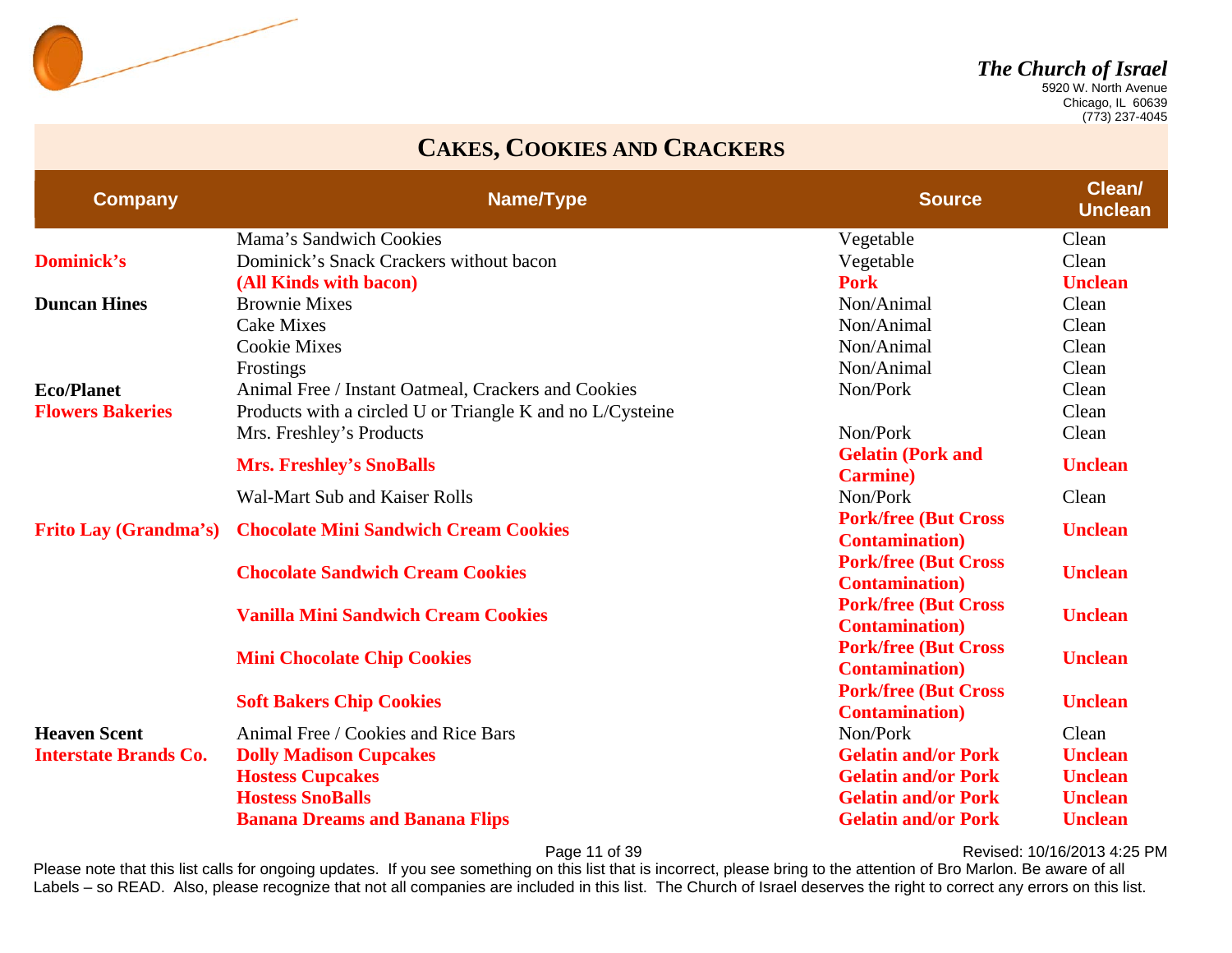

 Chicago, IL 60639 (773) 237-4045

#### **CAKES, COOKIES AND CRACKERS**

| <b>Company</b>               | Name/Type                                                 | <b>Source</b>                                         | <b>Clean/</b><br><b>Unclean</b> |
|------------------------------|-----------------------------------------------------------|-------------------------------------------------------|---------------------------------|
|                              | Mama's Sandwich Cookies                                   | Vegetable                                             | Clean                           |
| <b>Dominick's</b>            | Dominick's Snack Crackers without bacon                   | Vegetable                                             | Clean                           |
|                              | (All Kinds with bacon)                                    | <b>Pork</b>                                           | <b>Unclean</b>                  |
| <b>Duncan Hines</b>          | <b>Brownie Mixes</b>                                      | Non/Animal                                            | Clean                           |
|                              | <b>Cake Mixes</b>                                         | Non/Animal                                            | Clean                           |
|                              | <b>Cookie Mixes</b>                                       | Non/Animal                                            | Clean                           |
|                              | Frostings                                                 | Non/Animal                                            | Clean                           |
| <b>Eco/Planet</b>            | Animal Free / Instant Oatmeal, Crackers and Cookies       | Non/Pork                                              | Clean                           |
| <b>Flowers Bakeries</b>      | Products with a circled U or Triangle K and no L/Cysteine |                                                       | Clean                           |
|                              | Mrs. Freshley's Products                                  | Non/Pork                                              | Clean                           |
|                              | <b>Mrs. Freshley's SnoBalls</b>                           | <b>Gelatin (Pork and</b><br><b>Carmine</b> )          | <b>Unclean</b>                  |
|                              | Wal-Mart Sub and Kaiser Rolls                             | Non/Pork                                              | Clean                           |
| <b>Frito Lay (Grandma's)</b> | <b>Chocolate Mini Sandwich Cream Cookies</b>              | <b>Pork/free (But Cross</b><br><b>Contamination</b> ) | <b>Unclean</b>                  |
|                              | <b>Chocolate Sandwich Cream Cookies</b>                   | <b>Pork/free (But Cross</b><br><b>Contamination</b> ) | <b>Unclean</b>                  |
|                              | <b>Vanilla Mini Sandwich Cream Cookies</b>                | <b>Pork/free (But Cross</b><br><b>Contamination</b> ) | <b>Unclean</b>                  |
|                              | <b>Mini Chocolate Chip Cookies</b>                        | <b>Pork/free (But Cross</b><br><b>Contamination</b> ) | <b>Unclean</b>                  |
|                              | <b>Soft Bakers Chip Cookies</b>                           | <b>Pork/free (But Cross</b><br><b>Contamination</b> ) | <b>Unclean</b>                  |
| <b>Heaven Scent</b>          | Animal Free / Cookies and Rice Bars                       | Non/Pork                                              | Clean                           |
| <b>Interstate Brands Co.</b> | <b>Dolly Madison Cupcakes</b>                             | <b>Gelatin and/or Pork</b>                            | <b>Unclean</b>                  |
|                              | <b>Hostess Cupcakes</b>                                   | <b>Gelatin and/or Pork</b>                            | <b>Unclean</b>                  |
|                              | <b>Hostess SnoBalls</b>                                   | <b>Gelatin and/or Pork</b>                            | <b>Unclean</b>                  |
|                              | <b>Banana Dreams and Banana Flips</b>                     | <b>Gelatin and/or Pork</b>                            | <b>Unclean</b>                  |

Page 11 of 39 **Page 11 of 39** Revised: 10/16/2013 4:25 PM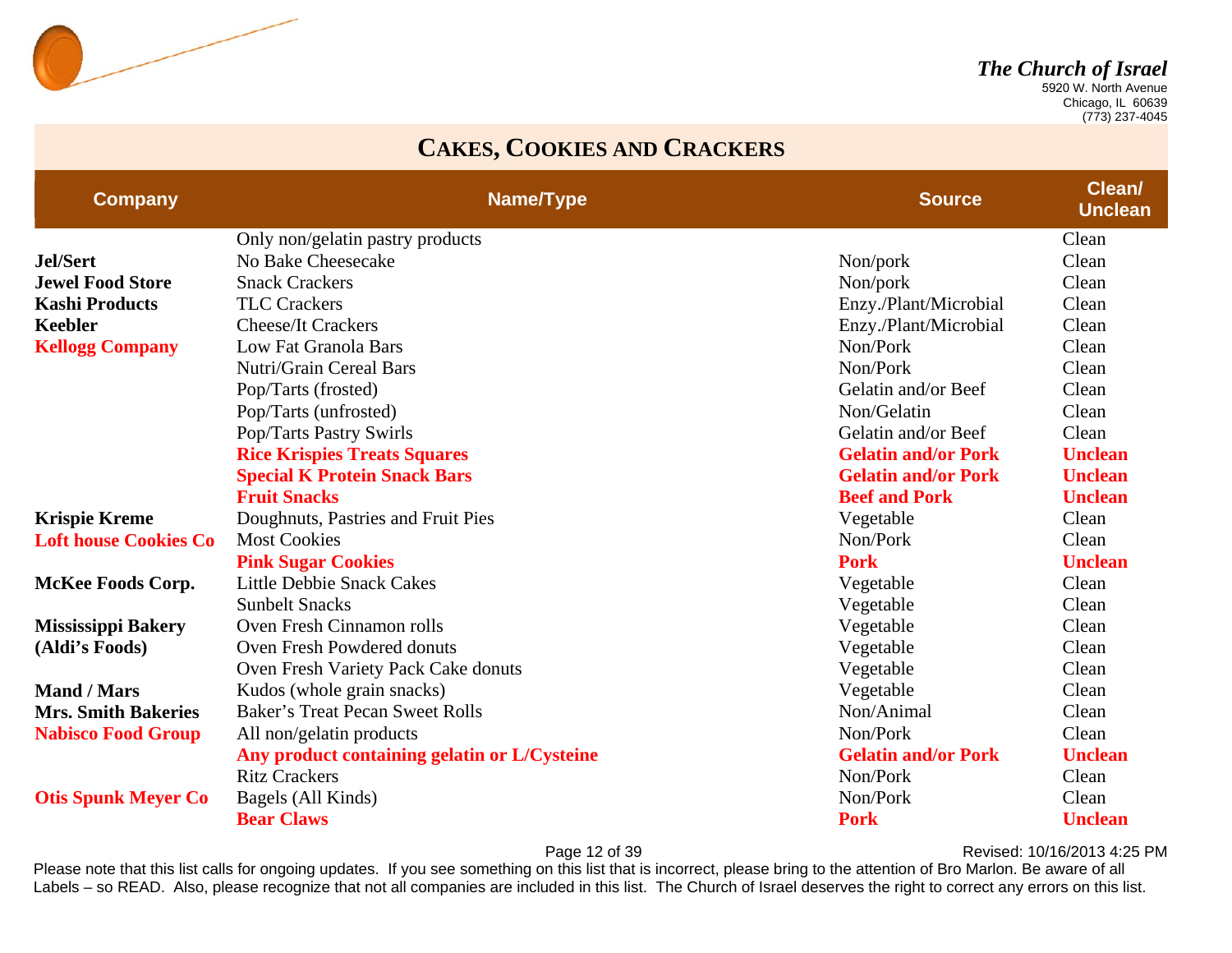

 Chicago, IL 60639 (773) 237-4045

#### **CAKES, COOKIES AND CRACKERS**

| <b>Company</b>               | <b>Name/Type</b>                             | <b>Source</b>              | <b>Clean/</b><br><b>Unclean</b> |
|------------------------------|----------------------------------------------|----------------------------|---------------------------------|
|                              | Only non/gelatin pastry products             |                            | Clean                           |
| <b>Jel/Sert</b>              | No Bake Cheesecake                           | Non/pork                   | Clean                           |
| <b>Jewel Food Store</b>      | <b>Snack Crackers</b>                        | Non/pork                   | Clean                           |
| <b>Kashi Products</b>        | <b>TLC Crackers</b>                          | Enzy./Plant/Microbial      | Clean                           |
| <b>Keebler</b>               | <b>Cheese/It Crackers</b>                    | Enzy./Plant/Microbial      | Clean                           |
| <b>Kellogg Company</b>       | Low Fat Granola Bars                         | Non/Pork                   | Clean                           |
|                              | Nutri/Grain Cereal Bars                      | Non/Pork                   | Clean                           |
|                              | Pop/Tarts (frosted)                          | Gelatin and/or Beef        | Clean                           |
|                              | Pop/Tarts (unfrosted)                        | Non/Gelatin                | Clean                           |
|                              | Pop/Tarts Pastry Swirls                      | Gelatin and/or Beef        | Clean                           |
|                              | <b>Rice Krispies Treats Squares</b>          | <b>Gelatin and/or Pork</b> | <b>Unclean</b>                  |
|                              | <b>Special K Protein Snack Bars</b>          | <b>Gelatin and/or Pork</b> | <b>Unclean</b>                  |
|                              | <b>Fruit Snacks</b>                          | <b>Beef and Pork</b>       | <b>Unclean</b>                  |
| <b>Krispie Kreme</b>         | Doughnuts, Pastries and Fruit Pies           | Vegetable                  | Clean                           |
| <b>Loft house Cookies Co</b> | <b>Most Cookies</b>                          | Non/Pork                   | Clean                           |
|                              | <b>Pink Sugar Cookies</b>                    | <b>Pork</b>                | <b>Unclean</b>                  |
| <b>McKee Foods Corp.</b>     | <b>Little Debbie Snack Cakes</b>             | Vegetable                  | Clean                           |
|                              | <b>Sunbelt Snacks</b>                        | Vegetable                  | Clean                           |
| <b>Mississippi Bakery</b>    | Oven Fresh Cinnamon rolls                    | Vegetable                  | Clean                           |
| (Aldi's Foods)               | Oven Fresh Powdered donuts                   | Vegetable                  | Clean                           |
|                              | Oven Fresh Variety Pack Cake donuts          | Vegetable                  | Clean                           |
| <b>Mand / Mars</b>           | Kudos (whole grain snacks)                   | Vegetable                  | Clean                           |
| <b>Mrs. Smith Bakeries</b>   | <b>Baker's Treat Pecan Sweet Rolls</b>       | Non/Animal                 | Clean                           |
| <b>Nabisco Food Group</b>    | All non/gelatin products                     | Non/Pork                   | Clean                           |
|                              | Any product containing gelatin or L/Cysteine | <b>Gelatin and/or Pork</b> | <b>Unclean</b>                  |
|                              | <b>Ritz Crackers</b>                         | Non/Pork                   | Clean                           |
| <b>Otis Spunk Meyer Co</b>   | Bagels (All Kinds)                           | Non/Pork                   | Clean                           |
|                              | <b>Bear Claws</b>                            | <b>Pork</b>                | <b>Unclean</b>                  |

Page 12 of 39 **Page 12 of 39** Revised: 10/16/2013 4:25 PM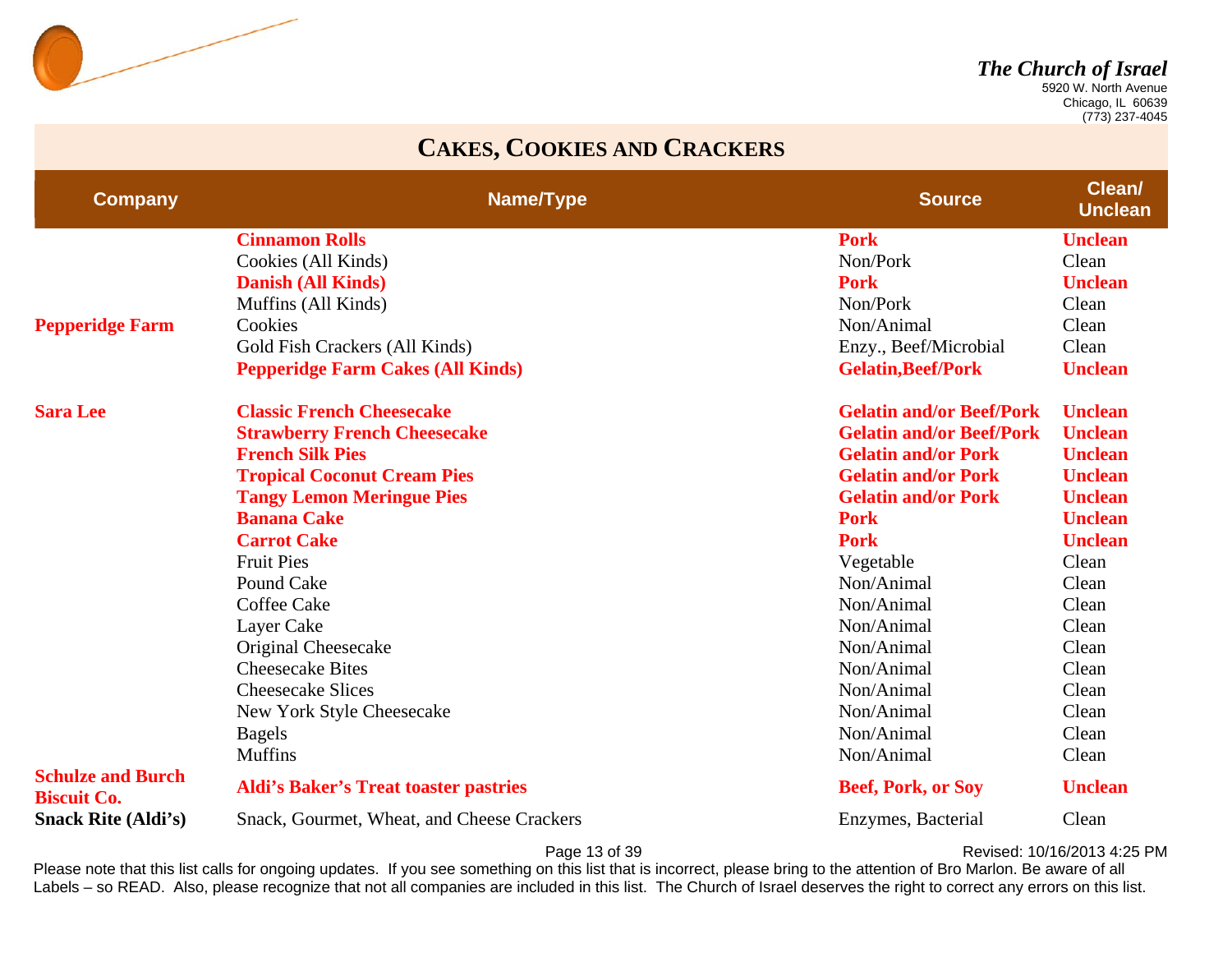

 Chicago, IL 60639 (773) 237-4045

#### **CAKES, COOKIES AND CRACKERS**

| <b>Company</b>                                 | Name/Type                                    | <b>Source</b>                   | <b>Clean</b><br><b>Unclean</b> |
|------------------------------------------------|----------------------------------------------|---------------------------------|--------------------------------|
|                                                | <b>Cinnamon Rolls</b>                        | <b>Pork</b>                     | <b>Unclean</b>                 |
|                                                | Cookies (All Kinds)                          | Non/Pork                        | Clean                          |
|                                                | <b>Danish (All Kinds)</b>                    | <b>Pork</b>                     | <b>Unclean</b>                 |
|                                                | Muffins (All Kinds)                          | Non/Pork                        | Clean                          |
| <b>Pepperidge Farm</b>                         | Cookies                                      | Non/Animal                      | Clean                          |
|                                                | Gold Fish Crackers (All Kinds)               | Enzy., Beef/Microbial           | Clean                          |
|                                                | <b>Pepperidge Farm Cakes (All Kinds)</b>     | <b>Gelatin, Beef/Pork</b>       | <b>Unclean</b>                 |
| <b>Sara Lee</b>                                | <b>Classic French Cheesecake</b>             | <b>Gelatin and/or Beef/Pork</b> | <b>Unclean</b>                 |
|                                                | <b>Strawberry French Cheesecake</b>          | <b>Gelatin and/or Beef/Pork</b> | <b>Unclean</b>                 |
|                                                | <b>French Silk Pies</b>                      | <b>Gelatin and/or Pork</b>      | <b>Unclean</b>                 |
|                                                | <b>Tropical Coconut Cream Pies</b>           | <b>Gelatin and/or Pork</b>      | <b>Unclean</b>                 |
|                                                | <b>Tangy Lemon Meringue Pies</b>             | <b>Gelatin and/or Pork</b>      | <b>Unclean</b>                 |
|                                                | <b>Banana Cake</b>                           | <b>Pork</b>                     | <b>Unclean</b>                 |
|                                                | <b>Carrot Cake</b>                           | <b>Pork</b>                     | <b>Unclean</b>                 |
|                                                | <b>Fruit Pies</b>                            | Vegetable                       | Clean                          |
|                                                | Pound Cake                                   | Non/Animal                      | Clean                          |
|                                                | <b>Coffee Cake</b>                           | Non/Animal                      | Clean                          |
|                                                | Layer Cake                                   | Non/Animal                      | Clean                          |
|                                                | Original Cheesecake                          | Non/Animal                      | Clean                          |
|                                                | <b>Cheesecake Bites</b>                      | Non/Animal                      | Clean                          |
|                                                | <b>Cheesecake Slices</b>                     | Non/Animal                      | Clean                          |
|                                                | New York Style Cheesecake                    | Non/Animal                      | Clean                          |
|                                                | <b>Bagels</b>                                | Non/Animal                      | Clean                          |
|                                                | <b>Muffins</b>                               | Non/Animal                      | Clean                          |
| <b>Schulze and Burch</b><br><b>Biscuit Co.</b> | <b>Aldi's Baker's Treat toaster pastries</b> | <b>Beef, Pork, or Soy</b>       | <b>Unclean</b>                 |
| <b>Snack Rite (Aldi's)</b>                     | Snack, Gourmet, Wheat, and Cheese Crackers   | Enzymes, Bacterial              | Clean                          |

Page 13 of 39 **Page 13 of 39** Revised: 10/16/2013 4:25 PM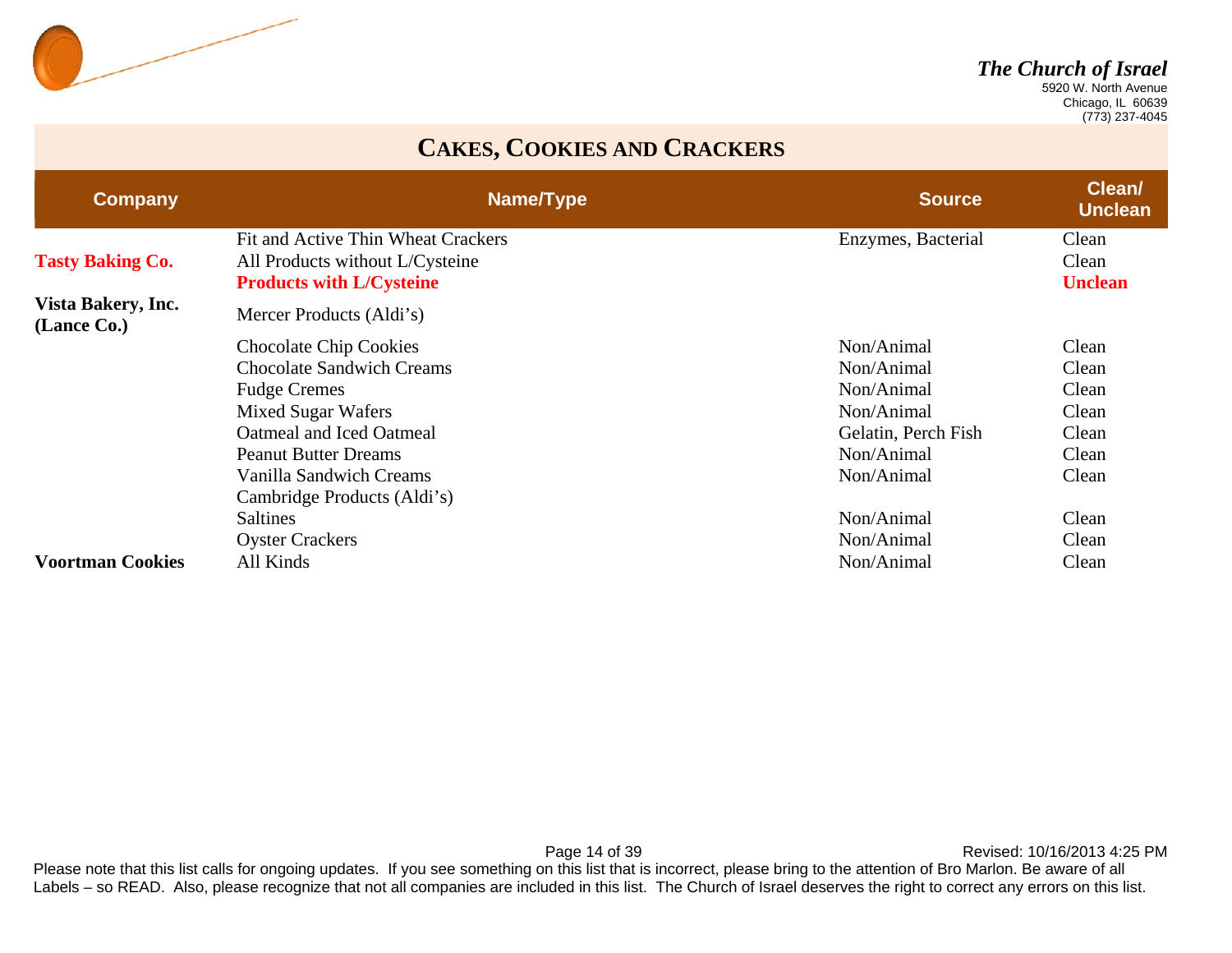

 Chicago, IL 60639 (773) 237-4045

#### **CAKES, COOKIES AND CRACKERS**

| <b>Company</b>                    | Name/Type                          | <b>Source</b>       | <b>Clean/</b><br><b>Unclean</b> |
|-----------------------------------|------------------------------------|---------------------|---------------------------------|
|                                   | Fit and Active Thin Wheat Crackers | Enzymes, Bacterial  | Clean                           |
| <b>Tasty Baking Co.</b>           | All Products without L/Cysteine    |                     | Clean                           |
|                                   | <b>Products with L/Cysteine</b>    |                     | <b>Unclean</b>                  |
| Vista Bakery, Inc.<br>(Lance Co.) | Mercer Products (Aldi's)           |                     |                                 |
|                                   | <b>Chocolate Chip Cookies</b>      | Non/Animal          | Clean                           |
|                                   | <b>Chocolate Sandwich Creams</b>   | Non/Animal          | Clean                           |
|                                   | <b>Fudge Cremes</b>                | Non/Animal          | Clean                           |
|                                   | <b>Mixed Sugar Wafers</b>          | Non/Animal          | Clean                           |
|                                   | Oatmeal and Iced Oatmeal           | Gelatin, Perch Fish | Clean                           |
|                                   | <b>Peanut Butter Dreams</b>        | Non/Animal          | Clean                           |
|                                   | <b>Vanilla Sandwich Creams</b>     | Non/Animal          | Clean                           |
|                                   | Cambridge Products (Aldi's)        |                     |                                 |
|                                   | <b>Saltines</b>                    | Non/Animal          | Clean                           |
|                                   | <b>Oyster Crackers</b>             | Non/Animal          | Clean                           |
| <b>Voortman Cookies</b>           | All Kinds                          | Non/Animal          | Clean                           |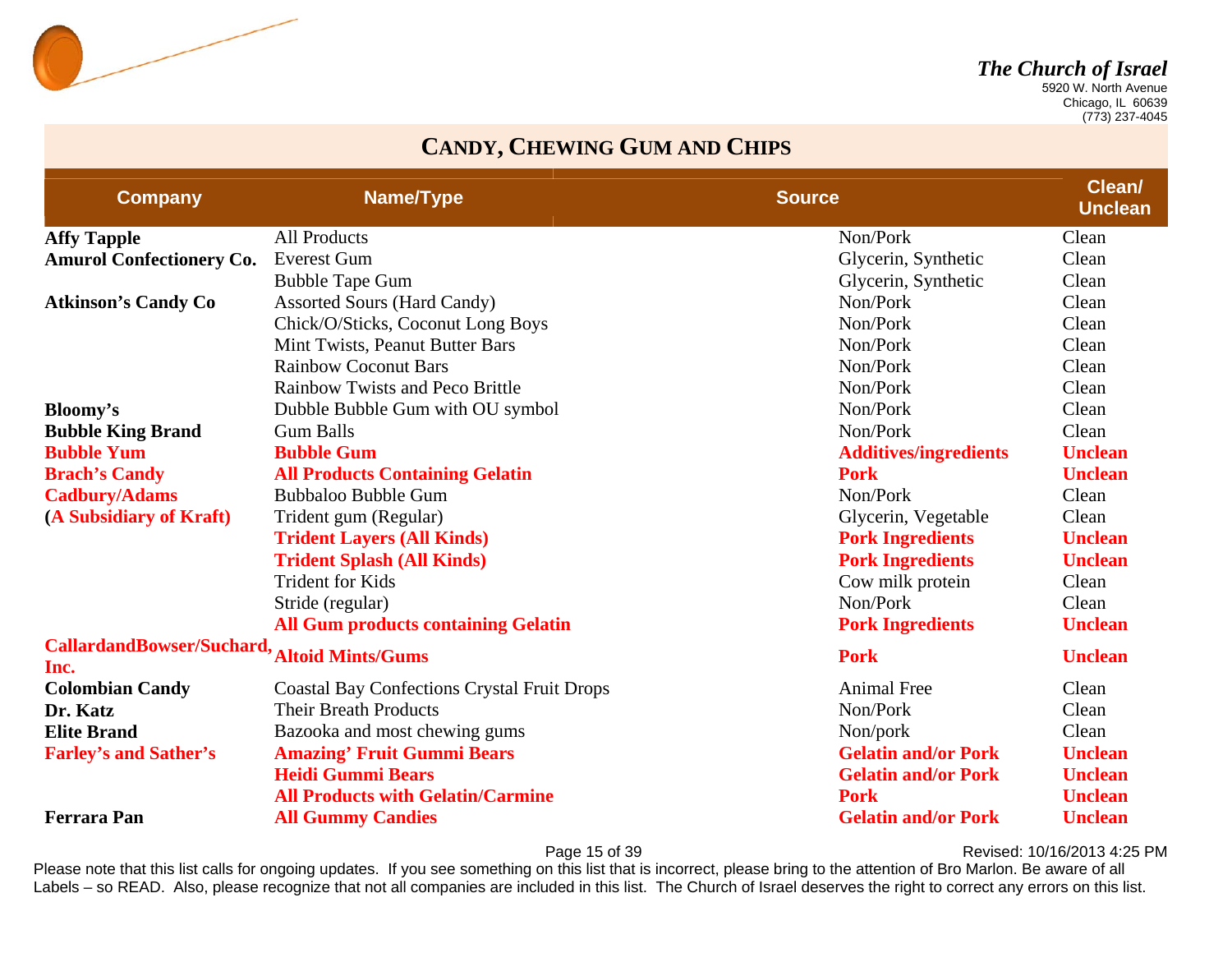

 Chicago, IL 60639 (773) 237-4045

#### **CANDY, CHEWING GUM AND CHIPS**

| <b>Company</b>                           | Name/Type                                          | <b>Source</b>                | Clean/<br><b>Unclean</b> |
|------------------------------------------|----------------------------------------------------|------------------------------|--------------------------|
| <b>Affy Tapple</b>                       | <b>All Products</b>                                | Non/Pork                     | Clean                    |
| <b>Amurol Confectionery Co.</b>          | <b>Everest Gum</b>                                 | Glycerin, Synthetic          | Clean                    |
|                                          | <b>Bubble Tape Gum</b>                             | Glycerin, Synthetic          | Clean                    |
| <b>Atkinson's Candy Co</b>               | <b>Assorted Sours (Hard Candy)</b>                 | Non/Pork                     | Clean                    |
|                                          | Chick/O/Sticks, Coconut Long Boys                  | Non/Pork                     | Clean                    |
|                                          | Mint Twists, Peanut Butter Bars                    | Non/Pork                     | Clean                    |
|                                          | <b>Rainbow Coconut Bars</b>                        | Non/Pork                     | Clean                    |
|                                          | <b>Rainbow Twists and Peco Brittle</b>             | Non/Pork                     | Clean                    |
| Bloomy's                                 | Dubble Bubble Gum with OU symbol                   | Non/Pork                     | Clean                    |
| <b>Bubble King Brand</b>                 | <b>Gum Balls</b>                                   | Non/Pork                     | Clean                    |
| <b>Bubble Yum</b>                        | <b>Bubble Gum</b>                                  | <b>Additives/ingredients</b> | <b>Unclean</b>           |
| <b>Brach's Candy</b>                     | <b>All Products Containing Gelatin</b>             | <b>Pork</b>                  | <b>Unclean</b>           |
| <b>Cadbury/Adams</b>                     | <b>Bubbaloo Bubble Gum</b>                         | Non/Pork                     | Clean                    |
| (A Subsidiary of Kraft)                  | Trident gum (Regular)                              | Glycerin, Vegetable          | Clean                    |
|                                          | <b>Trident Layers (All Kinds)</b>                  | <b>Pork Ingredients</b>      | <b>Unclean</b>           |
|                                          | <b>Trident Splash (All Kinds)</b>                  | <b>Pork Ingredients</b>      | <b>Unclean</b>           |
|                                          | <b>Trident for Kids</b>                            | Cow milk protein             | Clean                    |
|                                          | Stride (regular)                                   | Non/Pork                     | Clean                    |
|                                          | <b>All Gum products containing Gelatin</b>         | <b>Pork Ingredients</b>      | <b>Unclean</b>           |
| <b>CallardandBowser/Suchard,</b><br>Inc. | <b>Altoid Mints/Gums</b>                           | <b>Pork</b>                  | <b>Unclean</b>           |
| <b>Colombian Candy</b>                   | <b>Coastal Bay Confections Crystal Fruit Drops</b> | <b>Animal Free</b>           | Clean                    |
| Dr. Katz                                 | <b>Their Breath Products</b>                       | Non/Pork                     | Clean                    |
| <b>Elite Brand</b>                       | Bazooka and most chewing gums                      | Non/pork                     | Clean                    |
| <b>Farley's and Sather's</b>             | <b>Amazing' Fruit Gummi Bears</b>                  | <b>Gelatin and/or Pork</b>   | <b>Unclean</b>           |
|                                          | <b>Heidi Gummi Bears</b>                           | <b>Gelatin and/or Pork</b>   | <b>Unclean</b>           |
|                                          | <b>All Products with Gelatin/Carmine</b>           | <b>Pork</b>                  | <b>Unclean</b>           |
| <b>Ferrara Pan</b>                       | <b>All Gummy Candies</b>                           | <b>Gelatin and/or Pork</b>   | <b>Unclean</b>           |

Page 15 of 39 **Page 15 of 39** Revised: 10/16/2013 4:25 PM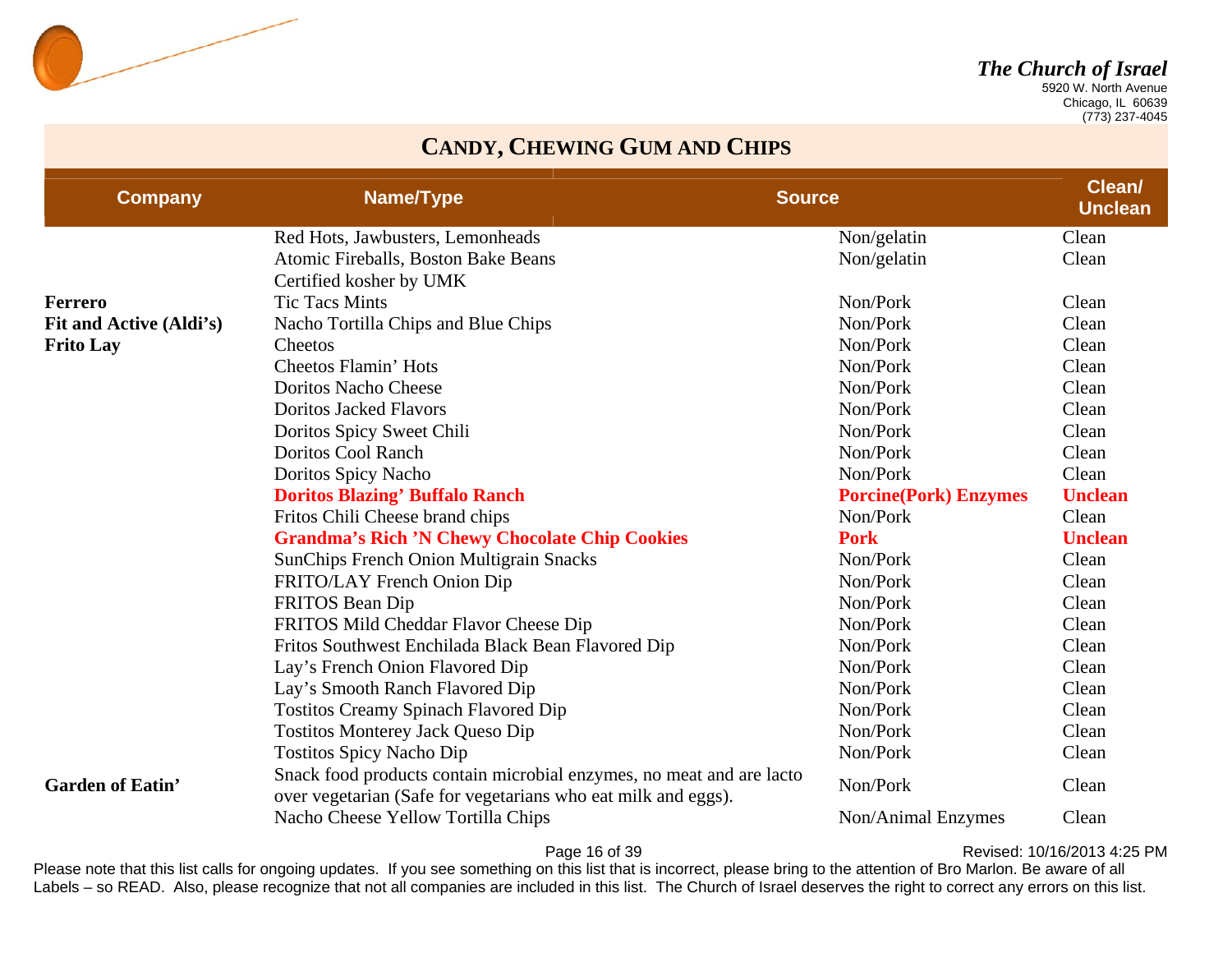

 Chicago, IL 60639 (773) 237-4045

#### **CANDY, CHEWING GUM AND CHIPS**

| <b>Company</b>          | Name/Type                                                                                                                             | <b>Source</b>                | Clean/<br><b>Unclean</b> |
|-------------------------|---------------------------------------------------------------------------------------------------------------------------------------|------------------------------|--------------------------|
|                         | Red Hots, Jawbusters, Lemonheads                                                                                                      | Non/gelatin                  | Clean                    |
|                         | Atomic Fireballs, Boston Bake Beans                                                                                                   | Non/gelatin                  | Clean                    |
|                         | Certified kosher by UMK                                                                                                               |                              |                          |
| <b>Ferrero</b>          | <b>Tic Tacs Mints</b>                                                                                                                 | Non/Pork                     | Clean                    |
| Fit and Active (Aldi's) | Nacho Tortilla Chips and Blue Chips                                                                                                   | Non/Pork                     | Clean                    |
| <b>Frito Lay</b>        | Cheetos                                                                                                                               | Non/Pork                     | Clean                    |
|                         | Cheetos Flamin' Hots                                                                                                                  | Non/Pork                     | Clean                    |
|                         | <b>Doritos Nacho Cheese</b>                                                                                                           | Non/Pork                     | Clean                    |
|                         | <b>Doritos Jacked Flavors</b>                                                                                                         | Non/Pork                     | Clean                    |
|                         | Doritos Spicy Sweet Chili                                                                                                             | Non/Pork                     | Clean                    |
|                         | <b>Doritos Cool Ranch</b>                                                                                                             | Non/Pork                     | Clean                    |
|                         | Doritos Spicy Nacho                                                                                                                   | Non/Pork                     | Clean                    |
|                         | <b>Doritos Blazing' Buffalo Ranch</b>                                                                                                 | <b>Porcine(Pork) Enzymes</b> | <b>Unclean</b>           |
|                         | Fritos Chili Cheese brand chips                                                                                                       | Non/Pork                     | Clean                    |
|                         | <b>Grandma's Rich 'N Chewy Chocolate Chip Cookies</b>                                                                                 | <b>Pork</b>                  | <b>Unclean</b>           |
|                         | <b>SunChips French Onion Multigrain Snacks</b>                                                                                        | Non/Pork                     | Clean                    |
|                         | FRITO/LAY French Onion Dip                                                                                                            | Non/Pork                     | Clean                    |
|                         | FRITOS Bean Dip                                                                                                                       | Non/Pork                     | Clean                    |
|                         | FRITOS Mild Cheddar Flavor Cheese Dip                                                                                                 | Non/Pork                     | Clean                    |
|                         | Fritos Southwest Enchilada Black Bean Flavored Dip                                                                                    | Non/Pork                     | Clean                    |
|                         | Lay's French Onion Flavored Dip                                                                                                       | Non/Pork                     | Clean                    |
|                         | Lay's Smooth Ranch Flavored Dip                                                                                                       | Non/Pork                     | Clean                    |
|                         | <b>Tostitos Creamy Spinach Flavored Dip</b>                                                                                           | Non/Pork                     | Clean                    |
|                         | <b>Tostitos Monterey Jack Queso Dip</b>                                                                                               | Non/Pork                     | Clean                    |
|                         | <b>Tostitos Spicy Nacho Dip</b>                                                                                                       | Non/Pork                     | Clean                    |
| <b>Garden of Eatin'</b> | Snack food products contain microbial enzymes, no meat and are lacto<br>over vegetarian (Safe for vegetarians who eat milk and eggs). | Non/Pork                     | Clean                    |
|                         | Nacho Cheese Yellow Tortilla Chips                                                                                                    | Non/Animal Enzymes           | Clean                    |

Page 16 of 39 **Page 16 of 39** Revised: 10/16/2013 4:25 PM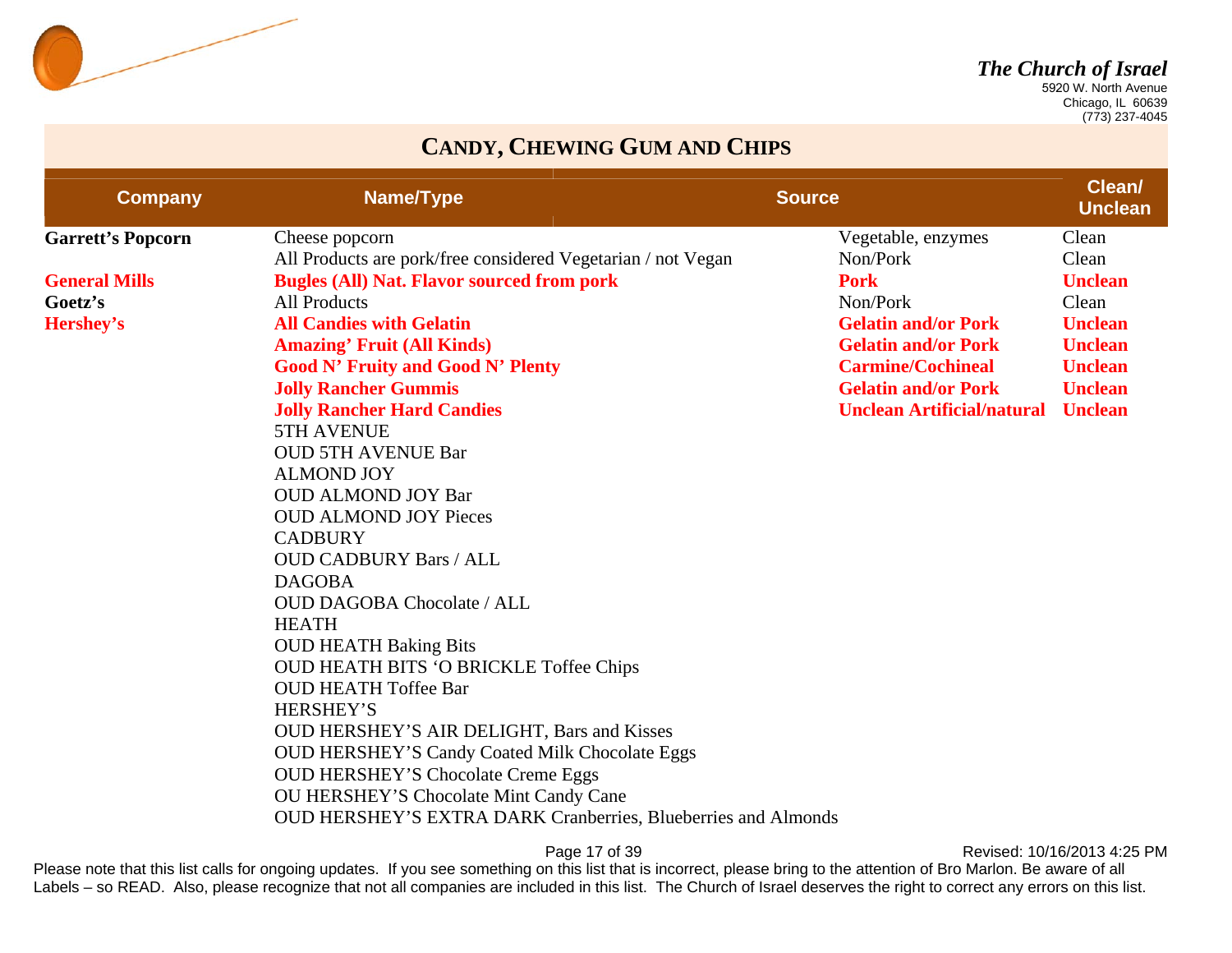

 Chicago, IL 60639 (773) 237-4045

#### **CANDY, CHEWING GUM AND CHIPS**

| <b>Company</b>           | Name/Type                                                            | <b>Source</b> |                                   | Clean/<br><b>Unclean</b> |
|--------------------------|----------------------------------------------------------------------|---------------|-----------------------------------|--------------------------|
| <b>Garrett's Popcorn</b> | Cheese popcorn                                                       |               | Vegetable, enzymes                | Clean                    |
|                          | All Products are pork/free considered Vegetarian / not Vegan         |               | Non/Pork                          | Clean                    |
| <b>General Mills</b>     | <b>Bugles (All) Nat. Flavor sourced from pork</b>                    |               | <b>Pork</b>                       | <b>Unclean</b>           |
| Goetz's                  | <b>All Products</b>                                                  |               | Non/Pork                          | Clean                    |
| Hershey's                | <b>All Candies with Gelatin</b>                                      |               | <b>Gelatin and/or Pork</b>        | <b>Unclean</b>           |
|                          | <b>Amazing' Fruit (All Kinds)</b>                                    |               | <b>Gelatin and/or Pork</b>        | <b>Unclean</b>           |
|                          | <b>Good N' Fruity and Good N' Plenty</b>                             |               | <b>Carmine/Cochineal</b>          | <b>Unclean</b>           |
|                          | <b>Jolly Rancher Gummis</b>                                          |               | <b>Gelatin and/or Pork</b>        | <b>Unclean</b>           |
|                          | <b>Jolly Rancher Hard Candies</b>                                    |               | <b>Unclean Artificial/natural</b> | <b>Unclean</b>           |
|                          | 5TH AVENUE                                                           |               |                                   |                          |
|                          | <b>OUD 5TH AVENUE Bar</b>                                            |               |                                   |                          |
|                          | <b>ALMOND JOY</b>                                                    |               |                                   |                          |
|                          | <b>OUD ALMOND JOY Bar</b>                                            |               |                                   |                          |
|                          | <b>OUD ALMOND JOY Pieces</b>                                         |               |                                   |                          |
|                          | <b>CADBURY</b>                                                       |               |                                   |                          |
|                          | <b>OUD CADBURY Bars / ALL</b>                                        |               |                                   |                          |
|                          | <b>DAGOBA</b>                                                        |               |                                   |                          |
|                          | <b>OUD DAGOBA Chocolate / ALL</b>                                    |               |                                   |                          |
|                          | <b>HEATH</b>                                                         |               |                                   |                          |
|                          | <b>OUD HEATH Baking Bits</b>                                         |               |                                   |                          |
|                          | <b>OUD HEATH BITS 'O BRICKLE Toffee Chips</b>                        |               |                                   |                          |
|                          | <b>OUD HEATH Toffee Bar</b>                                          |               |                                   |                          |
|                          | <b>HERSHEY'S</b>                                                     |               |                                   |                          |
|                          | <b>OUD HERSHEY'S AIR DELIGHT, Bars and Kisses</b>                    |               |                                   |                          |
|                          | <b>OUD HERSHEY'S Candy Coated Milk Chocolate Eggs</b>                |               |                                   |                          |
|                          | <b>OUD HERSHEY'S Chocolate Creme Eggs</b>                            |               |                                   |                          |
|                          | <b>OU HERSHEY'S Chocolate Mint Candy Cane</b>                        |               |                                   |                          |
|                          | <b>OUD HERSHEY'S EXTRA DARK Cranberries, Blueberries and Almonds</b> |               |                                   |                          |

Page 17 of 39 **Page 17 of 39** Revised: 10/16/2013 4:25 PM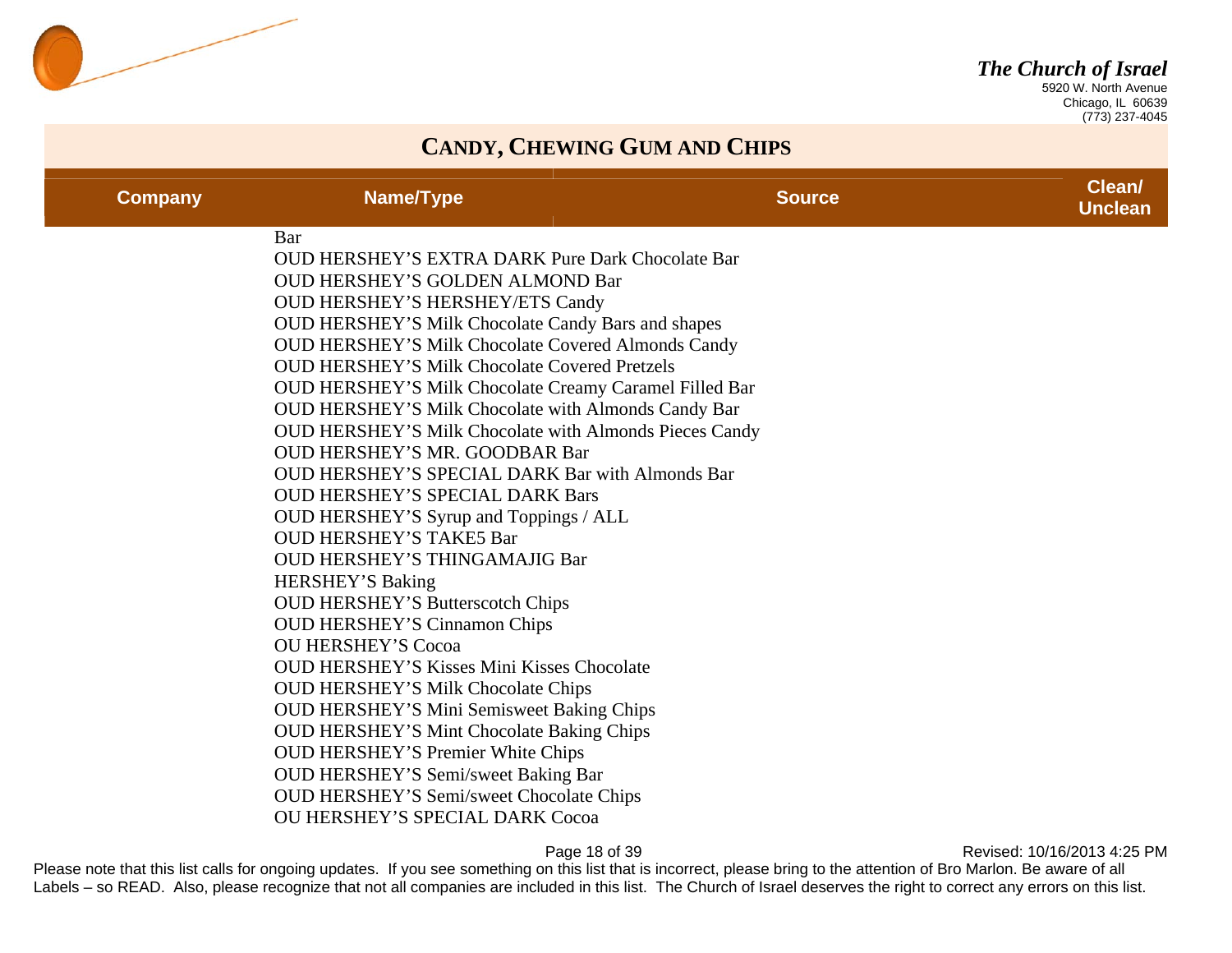

 Chicago, IL 60639 (773) 237-4045

#### **CANDY, CHEWING GUM AND CHIPS**

| <b>Company</b> | Name/Type                                                                                                                                                                                                                                                                                                                                                                                                                                                                                                                                                                                                                                                                                             | <b>Source</b> | Clean/<br><b>Unclean</b> |
|----------------|-------------------------------------------------------------------------------------------------------------------------------------------------------------------------------------------------------------------------------------------------------------------------------------------------------------------------------------------------------------------------------------------------------------------------------------------------------------------------------------------------------------------------------------------------------------------------------------------------------------------------------------------------------------------------------------------------------|---------------|--------------------------|
|                | Bar<br><b>OUD HERSHEY'S EXTRA DARK Pure Dark Chocolate Bar</b><br><b>OUD HERSHEY'S GOLDEN ALMOND Bar</b><br><b>OUD HERSHEY'S HERSHEY/ETS Candy</b><br>OUD HERSHEY'S Milk Chocolate Candy Bars and shapes<br><b>OUD HERSHEY'S Milk Chocolate Covered Almonds Candy</b><br><b>OUD HERSHEY'S Milk Chocolate Covered Pretzels</b><br>OUD HERSHEY'S Milk Chocolate Creamy Caramel Filled Bar<br>OUD HERSHEY'S Milk Chocolate with Almonds Candy Bar<br><b>OUD HERSHEY'S Milk Chocolate with Almonds Pieces Candy</b><br><b>OUD HERSHEY'S MR. GOODBAR Bar</b><br><b>OUD HERSHEY'S SPECIAL DARK Bar with Almonds Bar</b><br><b>OUD HERSHEY'S SPECIAL DARK Bars</b><br>OUD HERSHEY'S Syrup and Toppings / ALL |               |                          |
|                | <b>OUD HERSHEY'S TAKE5 Bar</b><br>OUD HERSHEY'S THINGAMAJIG Bar<br><b>HERSHEY'S Baking</b><br><b>OUD HERSHEY'S Butterscotch Chips</b><br><b>OUD HERSHEY'S Cinnamon Chips</b><br><b>OU HERSHEY'S Cocoa</b><br><b>OUD HERSHEY'S Kisses Mini Kisses Chocolate</b><br><b>OUD HERSHEY'S Milk Chocolate Chips</b><br>OUD HERSHEY'S Mini Semisweet Baking Chips<br><b>OUD HERSHEY'S Mint Chocolate Baking Chips</b><br><b>OUD HERSHEY'S Premier White Chips</b><br>OUD HERSHEY'S Semi/sweet Baking Bar<br><b>OUD HERSHEY'S Semi/sweet Chocolate Chips</b><br><b>OU HERSHEY'S SPECIAL DARK Cocoa</b>                                                                                                          |               |                          |

Page 18 of 39 **Page 18 of 39** Revised: 10/16/2013 4:25 PM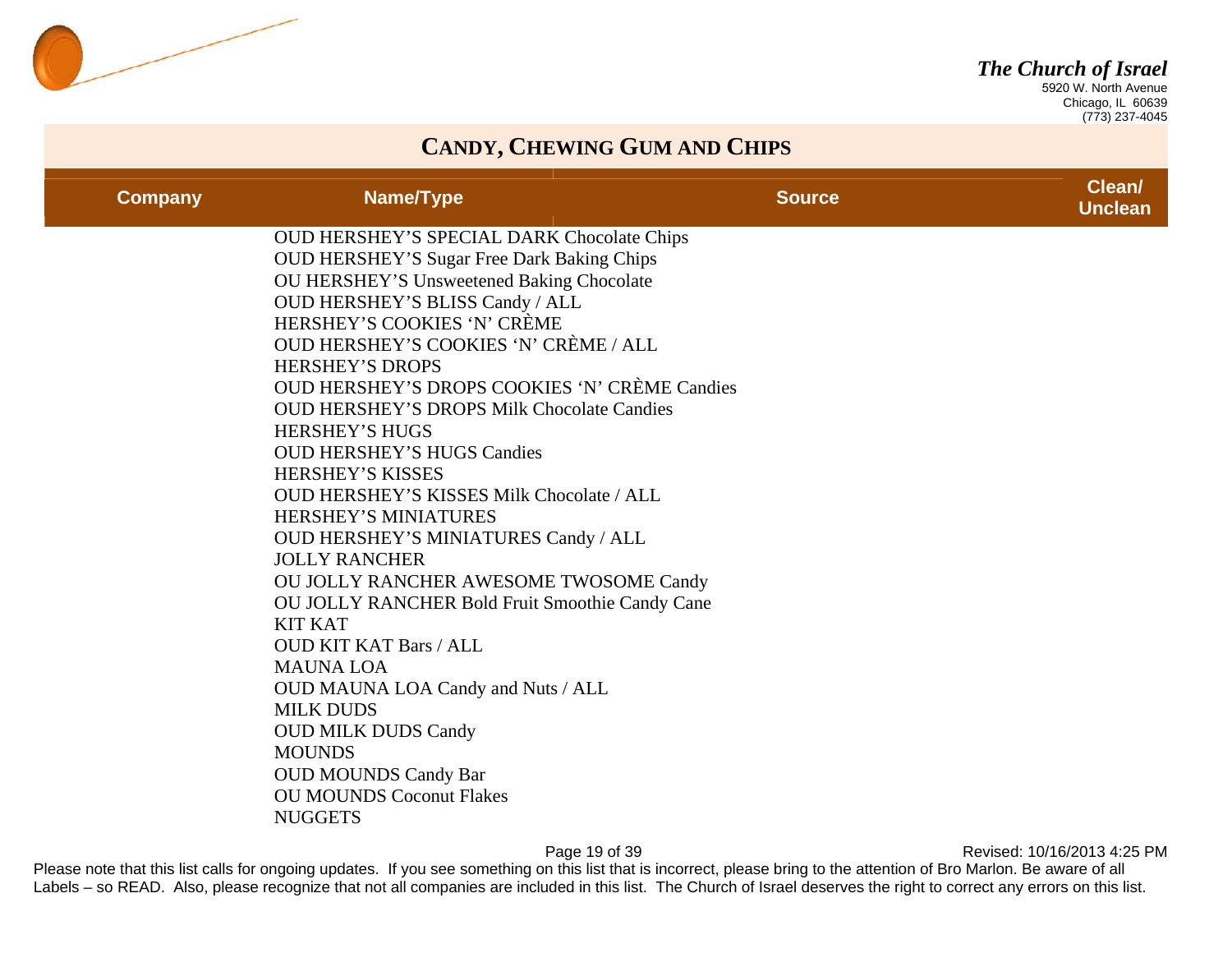

 Chicago, IL 60639 (773) 237-4045

### **CANDY, CHEWING GUM AND CHIPS**

| <b>Company</b> | Name/Type                                                               | <b>Source</b> | Clean/<br><b>Unclean</b> |
|----------------|-------------------------------------------------------------------------|---------------|--------------------------|
|                | OUD HERSHEY'S SPECIAL DARK Chocolate Chips                              |               |                          |
|                | <b>OUD HERSHEY'S Sugar Free Dark Baking Chips</b>                       |               |                          |
|                | OU HERSHEY'S Unsweetened Baking Chocolate                               |               |                          |
|                | OUD HERSHEY'S BLISS Candy / ALL                                         |               |                          |
|                | HERSHEY'S COOKIES 'N' CRÈME                                             |               |                          |
|                | OUD HERSHEY'S COOKIES 'N' CRÈME / ALL                                   |               |                          |
|                | <b>HERSHEY'S DROPS</b><br>OUD HERSHEY'S DROPS COOKIES 'N' CRÈME Candies |               |                          |
|                | <b>OUD HERSHEY'S DROPS Milk Chocolate Candies</b>                       |               |                          |
|                | <b>HERSHEY'S HUGS</b>                                                   |               |                          |
|                | <b>OUD HERSHEY'S HUGS Candies</b>                                       |               |                          |
|                | <b>HERSHEY'S KISSES</b>                                                 |               |                          |
|                | <b>OUD HERSHEY'S KISSES Milk Chocolate / ALL</b>                        |               |                          |
|                | HERSHEY'S MINIATURES                                                    |               |                          |
|                | <b>OUD HERSHEY'S MINIATURES Candy / ALL</b>                             |               |                          |
|                | <b>JOLLY RANCHER</b>                                                    |               |                          |
|                | OU JOLLY RANCHER AWESOME TWOSOME Candy                                  |               |                          |
|                | <b>OU JOLLY RANCHER Bold Fruit Smoothie Candy Cane</b>                  |               |                          |
|                | <b>KIT KAT</b>                                                          |               |                          |
|                | <b>OUD KIT KAT Bars / ALL</b>                                           |               |                          |
|                | <b>MAUNA LOA</b>                                                        |               |                          |
|                | OUD MAUNA LOA Candy and Nuts / ALL                                      |               |                          |
|                | <b>MILK DUDS</b>                                                        |               |                          |
|                | <b>OUD MILK DUDS Candy</b>                                              |               |                          |
|                | <b>MOUNDS</b>                                                           |               |                          |
|                | <b>OUD MOUNDS Candy Bar</b>                                             |               |                          |
|                | <b>OU MOUNDS Coconut Flakes</b>                                         |               |                          |
|                | <b>NUGGETS</b>                                                          |               |                          |

Page 19 of 39 **Page 19 of 39** Revised: 10/16/2013 4:25 PM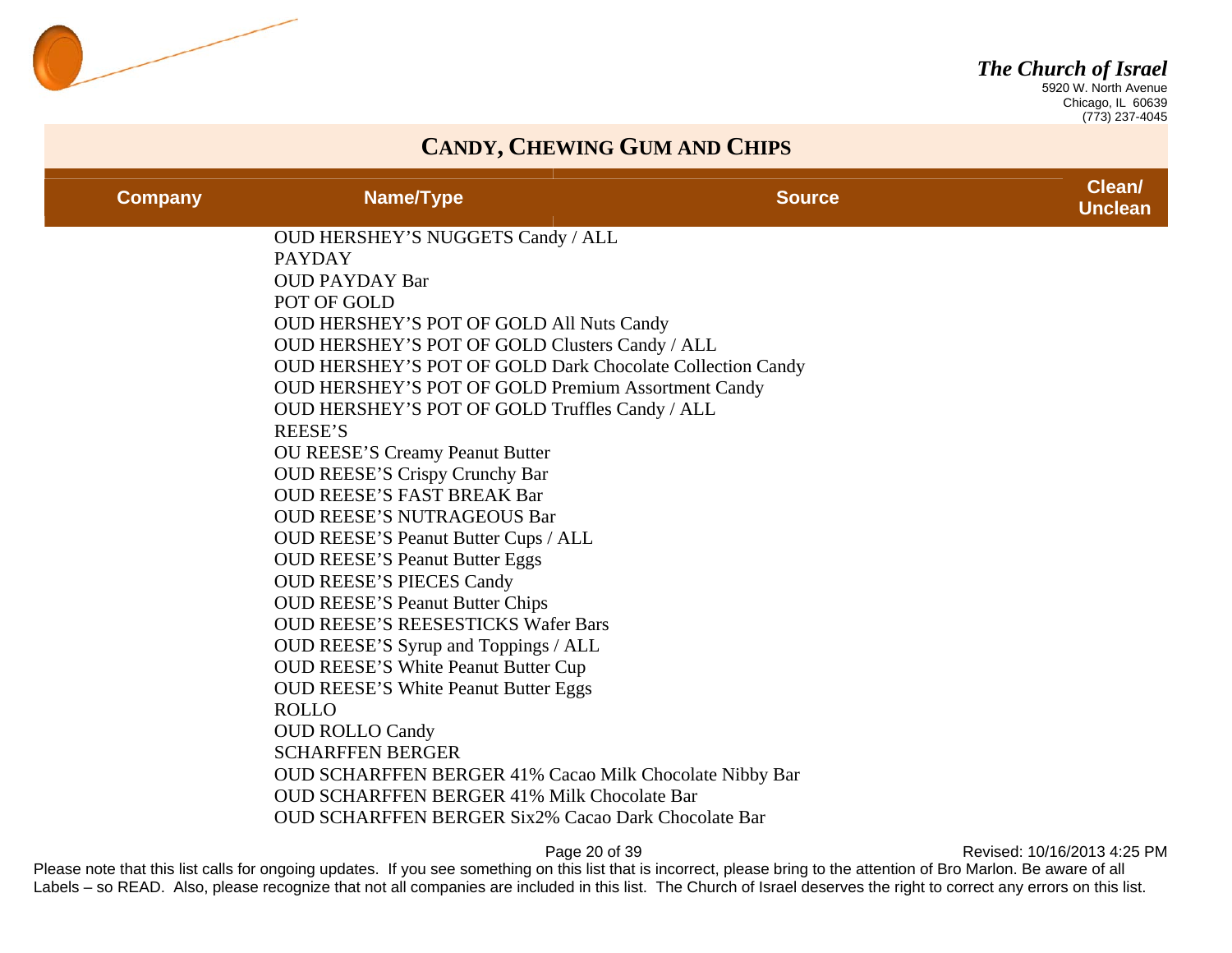

 Chicago, IL 60639 (773) 237-4045

#### **CANDY, CHEWING GUM AND CHIPS**

| <b>Company</b> | Name/Type                                                                                 | <b>Source</b> | <b>Clean</b><br><b>Unclean</b> |
|----------------|-------------------------------------------------------------------------------------------|---------------|--------------------------------|
|                | <b>OUD HERSHEY'S NUGGETS Candy / ALL</b>                                                  |               |                                |
|                | <b>PAYDAY</b>                                                                             |               |                                |
|                | <b>OUD PAYDAY Bar</b><br>POT OF GOLD                                                      |               |                                |
|                | <b>OUD HERSHEY'S POT OF GOLD All Nuts Candy</b>                                           |               |                                |
|                | OUD HERSHEY'S POT OF GOLD Clusters Candy / ALL                                            |               |                                |
|                | OUD HERSHEY'S POT OF GOLD Dark Chocolate Collection Candy                                 |               |                                |
|                | <b>OUD HERSHEY'S POT OF GOLD Premium Assortment Candy</b>                                 |               |                                |
|                | OUD HERSHEY'S POT OF GOLD Truffles Candy / ALL                                            |               |                                |
|                | <b>REESE'S</b>                                                                            |               |                                |
|                | OU REESE'S Creamy Peanut Butter                                                           |               |                                |
|                | <b>OUD REESE'S Crispy Crunchy Bar</b>                                                     |               |                                |
|                | <b>OUD REESE'S FAST BREAK Bar</b>                                                         |               |                                |
|                | <b>OUD REESE'S NUTRAGEOUS Bar</b>                                                         |               |                                |
|                | OUD REESE'S Peanut Butter Cups / ALL                                                      |               |                                |
|                | <b>OUD REESE'S Peanut Butter Eggs</b>                                                     |               |                                |
|                | <b>OUD REESE'S PIECES Candy</b>                                                           |               |                                |
|                | <b>OUD REESE'S Peanut Butter Chips</b>                                                    |               |                                |
|                | <b>OUD REESE'S REESESTICKS Wafer Bars</b>                                                 |               |                                |
|                | OUD REESE'S Syrup and Toppings / ALL                                                      |               |                                |
|                | <b>OUD REESE'S White Peanut Butter Cup</b><br><b>OUD REESE'S White Peanut Butter Eggs</b> |               |                                |
|                | <b>ROLLO</b>                                                                              |               |                                |
|                | <b>OUD ROLLO Candy</b>                                                                    |               |                                |
|                | <b>SCHARFFEN BERGER</b>                                                                   |               |                                |
|                | OUD SCHARFFEN BERGER 41% Cacao Milk Chocolate Nibby Bar                                   |               |                                |
|                | <b>OUD SCHARFFEN BERGER 41% Milk Chocolate Bar</b>                                        |               |                                |
|                | <b>OUD SCHARFFEN BERGER Six2% Cacao Dark Chocolate Bar</b>                                |               |                                |
|                |                                                                                           |               |                                |

Page 20 of 39 **Page 20 of 39** Revised: 10/16/2013 4:25 PM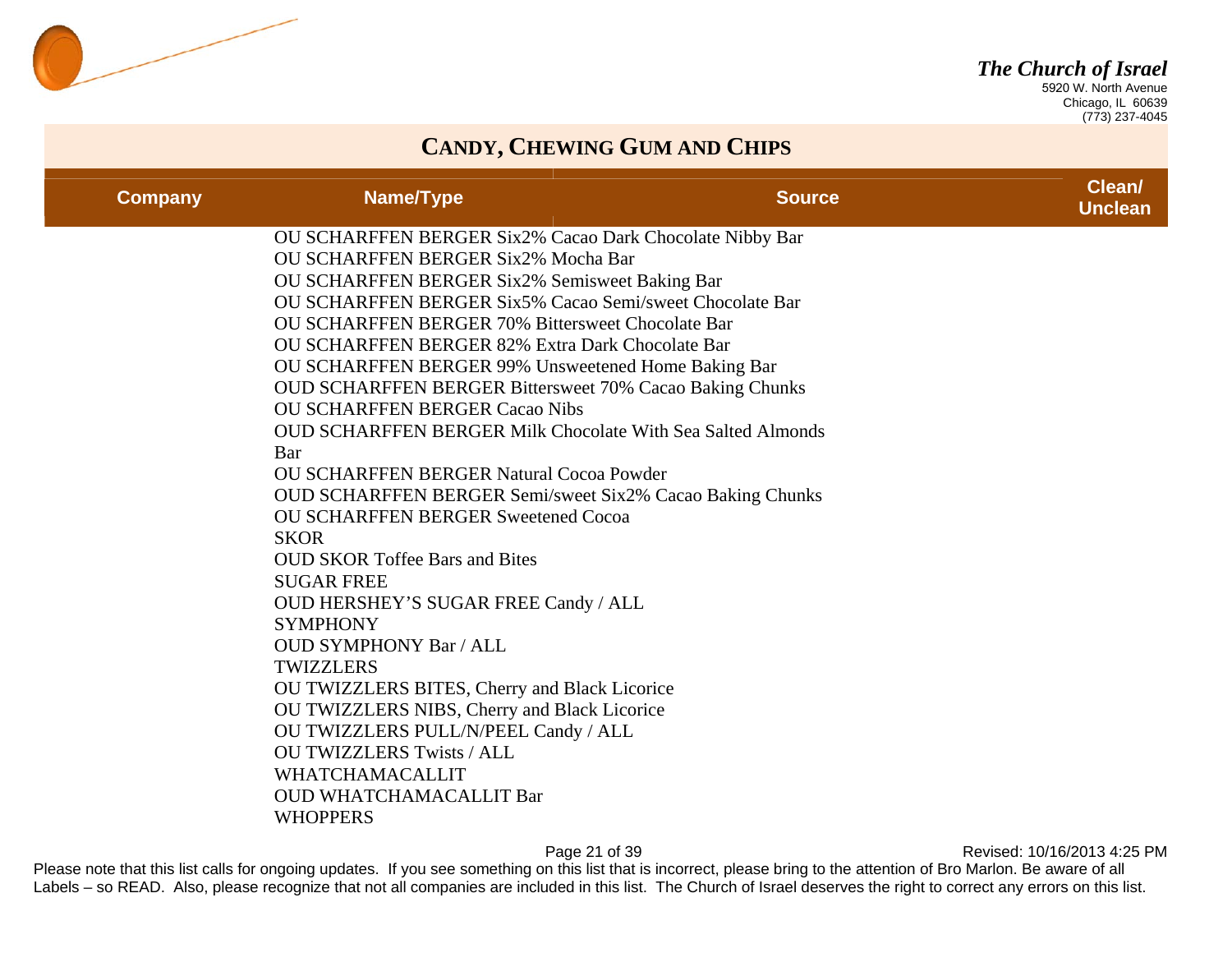

 Chicago, IL 60639 (773) 237-4045

### **CANDY, CHEWING GUM AND CHIPS**

| <b>Company</b> | Name/Type                                                                                                                                                                                                                                                                                                                                                                                                                                                                                                                                                                                                                                                                                                                                                                                                                                                                                                                                                                                                                                                                                                                                                     | <b>Source</b> | Clean/<br><b>Unclean</b> |
|----------------|---------------------------------------------------------------------------------------------------------------------------------------------------------------------------------------------------------------------------------------------------------------------------------------------------------------------------------------------------------------------------------------------------------------------------------------------------------------------------------------------------------------------------------------------------------------------------------------------------------------------------------------------------------------------------------------------------------------------------------------------------------------------------------------------------------------------------------------------------------------------------------------------------------------------------------------------------------------------------------------------------------------------------------------------------------------------------------------------------------------------------------------------------------------|---------------|--------------------------|
|                | OU SCHARFFEN BERGER Six2% Cacao Dark Chocolate Nibby Bar<br>OU SCHARFFEN BERGER Six2% Mocha Bar<br>OU SCHARFFEN BERGER Six2% Semisweet Baking Bar<br>OU SCHARFFEN BERGER Six5% Cacao Semi/sweet Chocolate Bar<br><b>OU SCHARFFEN BERGER 70% Bittersweet Chocolate Bar</b><br><b>OU SCHARFFEN BERGER 82% Extra Dark Chocolate Bar</b><br>OU SCHARFFEN BERGER 99% Unsweetened Home Baking Bar<br><b>OUD SCHARFFEN BERGER Bittersweet 70% Cacao Baking Chunks</b><br><b>OU SCHARFFEN BERGER Cacao Nibs</b><br><b>OUD SCHARFFEN BERGER Milk Chocolate With Sea Salted Almonds</b><br>Bar<br><b>OU SCHARFFEN BERGER Natural Cocoa Powder</b><br><b>OUD SCHARFFEN BERGER Semi/sweet Six2% Cacao Baking Chunks</b><br><b>OU SCHARFFEN BERGER Sweetened Cocoa</b><br><b>SKOR</b><br><b>OUD SKOR Toffee Bars and Bites</b><br><b>SUGAR FREE</b><br>OUD HERSHEY'S SUGAR FREE Candy / ALL<br><b>SYMPHONY</b><br><b>OUD SYMPHONY Bar / ALL</b><br><b>TWIZZLERS</b><br>OU TWIZZLERS BITES, Cherry and Black Licorice<br>OU TWIZZLERS NIBS, Cherry and Black Licorice<br>OU TWIZZLERS PULL/N/PEEL Candy / ALL<br><b>OU TWIZZLERS Twists / ALL</b><br><b>WHATCHAMACALLIT</b> |               |                          |
|                | <b>OUD WHATCHAMACALLIT Bar</b><br><b>WHOPPERS</b>                                                                                                                                                                                                                                                                                                                                                                                                                                                                                                                                                                                                                                                                                                                                                                                                                                                                                                                                                                                                                                                                                                             |               |                          |

Page 21 of 39 **Page 21 of 39** Revised: 10/16/2013 4:25 PM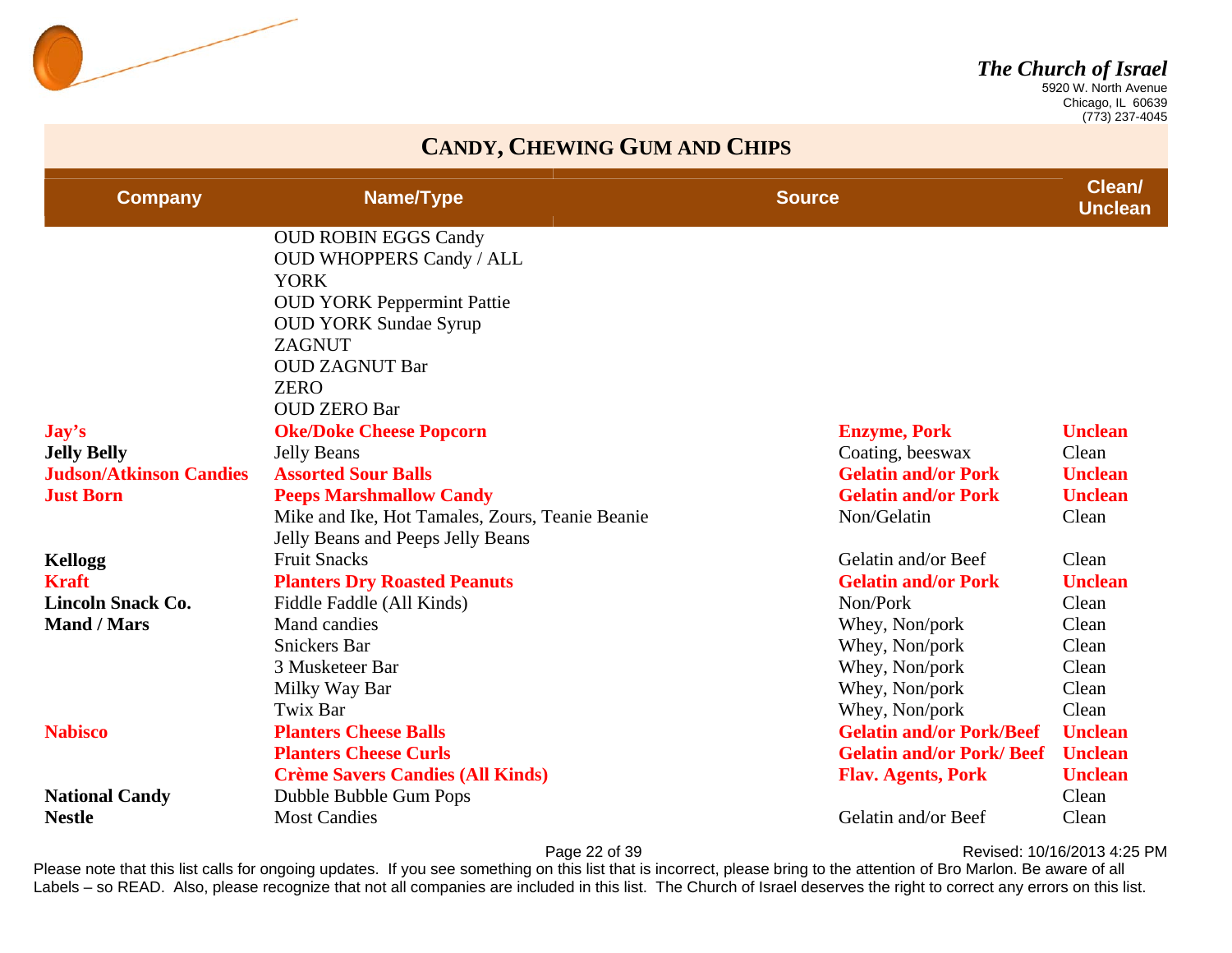

 Chicago, IL 60639 (773) 237-4045

### **CANDY, CHEWING GUM AND CHIPS**

| <b>Company</b>                 | Name/Type                                       | <b>Source</b>                   | Clean/<br><b>Unclean</b> |
|--------------------------------|-------------------------------------------------|---------------------------------|--------------------------|
|                                | <b>OUD ROBIN EGGS Candy</b>                     |                                 |                          |
|                                | <b>OUD WHOPPERS Candy / ALL</b>                 |                                 |                          |
|                                | <b>YORK</b>                                     |                                 |                          |
|                                | <b>OUD YORK Peppermint Pattie</b>               |                                 |                          |
|                                | <b>OUD YORK Sundae Syrup</b>                    |                                 |                          |
|                                | <b>ZAGNUT</b>                                   |                                 |                          |
|                                | <b>OUD ZAGNUT Bar</b>                           |                                 |                          |
|                                | <b>ZERO</b>                                     |                                 |                          |
|                                | <b>OUD ZERO Bar</b>                             |                                 |                          |
| $\bf Jay's$                    | <b>Oke/Doke Cheese Popcorn</b>                  | <b>Enzyme, Pork</b>             | <b>Unclean</b>           |
| <b>Jelly Belly</b>             | <b>Jelly Beans</b>                              | Coating, beeswax                | Clean                    |
| <b>Judson/Atkinson Candies</b> | <b>Assorted Sour Balls</b>                      | <b>Gelatin and/or Pork</b>      | <b>Unclean</b>           |
| <b>Just Born</b>               | <b>Peeps Marshmallow Candy</b>                  | <b>Gelatin and/or Pork</b>      | <b>Unclean</b>           |
|                                | Mike and Ike, Hot Tamales, Zours, Teanie Beanie | Non/Gelatin                     | Clean                    |
|                                | Jelly Beans and Peeps Jelly Beans               |                                 |                          |
| <b>Kellogg</b>                 | <b>Fruit Snacks</b>                             | Gelatin and/or Beef             | Clean                    |
| <b>Kraft</b>                   | <b>Planters Dry Roasted Peanuts</b>             | <b>Gelatin and/or Pork</b>      | <b>Unclean</b>           |
| <b>Lincoln Snack Co.</b>       | Fiddle Faddle (All Kinds)                       | Non/Pork                        | Clean                    |
| <b>Mand / Mars</b>             | Mand candies                                    | Whey, Non/pork                  | Clean                    |
|                                | <b>Snickers Bar</b>                             | Whey, Non/pork                  | Clean                    |
|                                | 3 Musketeer Bar                                 | Whey, Non/pork                  | Clean                    |
|                                | Milky Way Bar                                   | Whey, Non/pork                  | Clean                    |
|                                | Twix Bar                                        | Whey, Non/pork                  | Clean                    |
| <b>Nabisco</b>                 | <b>Planters Cheese Balls</b>                    | <b>Gelatin and/or Pork/Beef</b> | <b>Unclean</b>           |
|                                | <b>Planters Cheese Curls</b>                    | <b>Gelatin and/or Pork/Beef</b> | <b>Unclean</b>           |
|                                | <b>Crème Savers Candies (All Kinds)</b>         | <b>Flav. Agents, Pork</b>       | <b>Unclean</b>           |
| <b>National Candy</b>          | Dubble Bubble Gum Pops                          |                                 | Clean                    |
| <b>Nestle</b>                  | <b>Most Candies</b>                             | Gelatin and/or Beef             | Clean                    |

Page 22 of 39 **Page 22 of 39** Revised: 10/16/2013 4:25 PM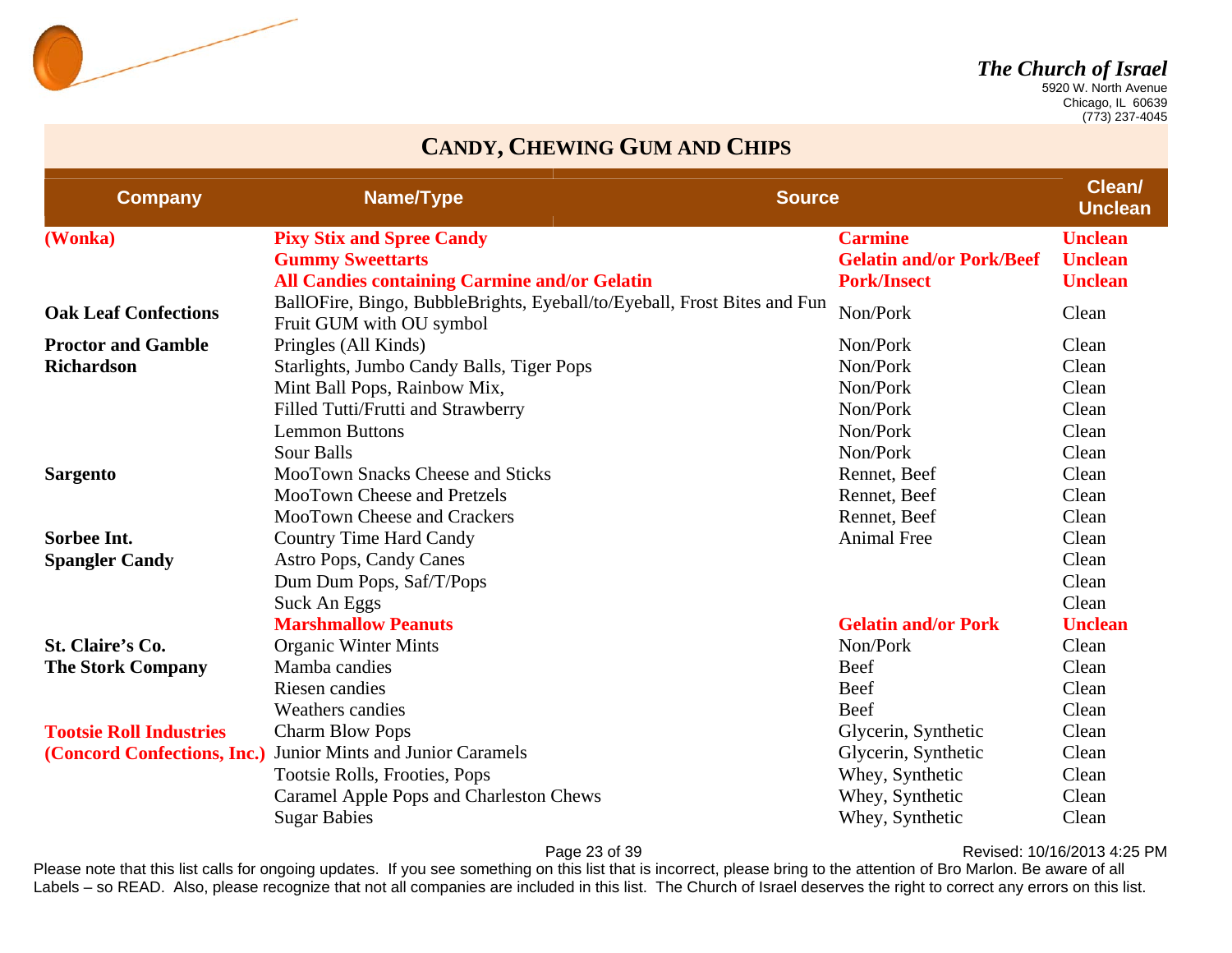

 Chicago, IL 60639 (773) 237-4045

### **CANDY, CHEWING GUM AND CHIPS**

| <b>Company</b>                 | Name/Type                                                                                            | <b>Source</b>                   | Clean/<br><b>Unclean</b> |
|--------------------------------|------------------------------------------------------------------------------------------------------|---------------------------------|--------------------------|
| (Wonka)                        | <b>Pixy Stix and Spree Candy</b>                                                                     | <b>Carmine</b>                  | <b>Unclean</b>           |
|                                | <b>Gummy Sweettarts</b>                                                                              | <b>Gelatin and/or Pork/Beef</b> | <b>Unclean</b>           |
|                                | <b>All Candies containing Carmine and/or Gelatin</b>                                                 | <b>Pork/Insect</b>              | <b>Unclean</b>           |
| <b>Oak Leaf Confections</b>    | BallOFire, Bingo, BubbleBrights, Eyeball/to/Eyeball, Frost Bites and Fun<br>Fruit GUM with OU symbol | Non/Pork                        | Clean                    |
| <b>Proctor and Gamble</b>      | Pringles (All Kinds)                                                                                 | Non/Pork                        | Clean                    |
| <b>Richardson</b>              | Starlights, Jumbo Candy Balls, Tiger Pops                                                            | Non/Pork                        | Clean                    |
|                                | Mint Ball Pops, Rainbow Mix,                                                                         | Non/Pork                        | Clean                    |
|                                | Filled Tutti/Frutti and Strawberry                                                                   | Non/Pork                        | Clean                    |
|                                | <b>Lemmon Buttons</b>                                                                                | Non/Pork                        | Clean                    |
|                                | <b>Sour Balls</b>                                                                                    | Non/Pork                        | Clean                    |
| <b>Sargento</b>                | <b>MooTown Snacks Cheese and Sticks</b>                                                              | Rennet, Beef                    | Clean                    |
|                                | MooTown Cheese and Pretzels                                                                          | Rennet, Beef                    | Clean                    |
|                                | MooTown Cheese and Crackers                                                                          | Rennet, Beef                    | Clean                    |
| Sorbee Int.                    | <b>Country Time Hard Candy</b>                                                                       | <b>Animal Free</b>              | Clean                    |
| <b>Spangler Candy</b>          | <b>Astro Pops, Candy Canes</b>                                                                       |                                 | Clean                    |
|                                | Dum Dum Pops, Saf/T/Pops                                                                             |                                 | Clean                    |
|                                | Suck An Eggs                                                                                         |                                 | Clean                    |
|                                | <b>Marshmallow Peanuts</b>                                                                           | <b>Gelatin and/or Pork</b>      | <b>Unclean</b>           |
| St. Claire's Co.               | <b>Organic Winter Mints</b>                                                                          | Non/Pork                        | Clean                    |
| <b>The Stork Company</b>       | Mamba candies                                                                                        | Beef                            | Clean                    |
|                                | Riesen candies                                                                                       | Beef                            | Clean                    |
|                                | <b>Weathers candies</b>                                                                              | <b>Beef</b>                     | Clean                    |
| <b>Tootsie Roll Industries</b> | <b>Charm Blow Pops</b>                                                                               | Glycerin, Synthetic             | Clean                    |
| (Concord Confections, Inc.)    | Junior Mints and Junior Caramels                                                                     | Glycerin, Synthetic             | Clean                    |
|                                | Tootsie Rolls, Frooties, Pops                                                                        | Whey, Synthetic                 | Clean                    |
|                                | Caramel Apple Pops and Charleston Chews                                                              | Whey, Synthetic                 | Clean                    |
|                                | <b>Sugar Babies</b>                                                                                  | Whey, Synthetic                 | Clean                    |

Page 23 of 39 **Page 23 of 39** Revised: 10/16/2013 4:25 PM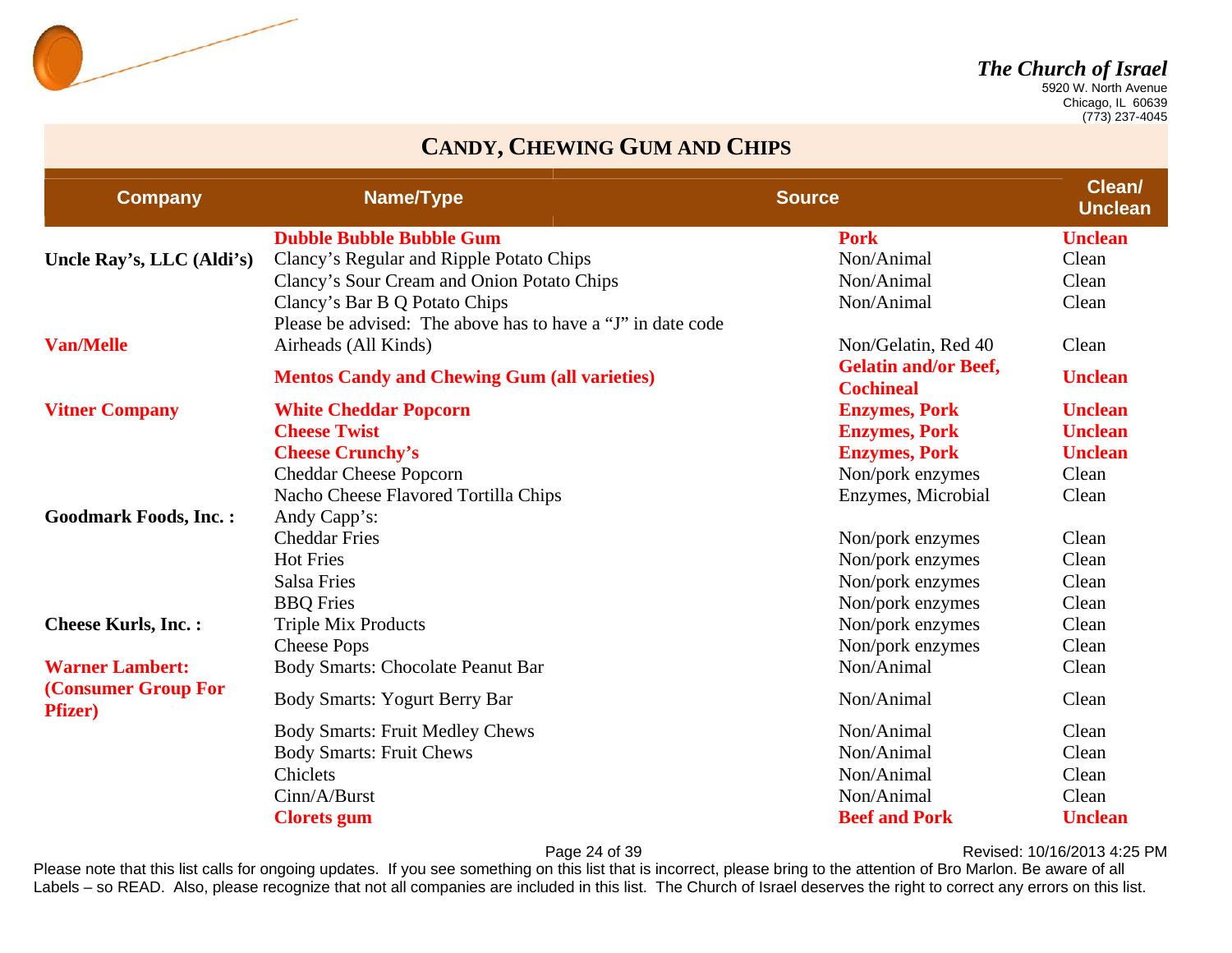

 Chicago, IL 60639 (773) 237-4045

#### **CANDY, CHEWING GUM AND CHIPS**

| <b>Company</b>                         | Name/Type                                                   | <b>Source</b>                                   | Clean/<br><b>Unclean</b> |
|----------------------------------------|-------------------------------------------------------------|-------------------------------------------------|--------------------------|
|                                        | <b>Dubble Bubble Bubble Gum</b>                             | <b>Pork</b>                                     | <b>Unclean</b>           |
| Uncle Ray's, LLC (Aldi's)              | Clancy's Regular and Ripple Potato Chips                    | Non/Animal                                      | Clean                    |
|                                        | Clancy's Sour Cream and Onion Potato Chips                  | Non/Animal                                      | Clean                    |
|                                        | Clancy's Bar B Q Potato Chips                               | Non/Animal                                      | Clean                    |
|                                        | Please be advised: The above has to have a "J" in date code |                                                 |                          |
| <b>Van/Melle</b>                       | Airheads (All Kinds)                                        | Non/Gelatin, Red 40                             | Clean                    |
|                                        | <b>Mentos Candy and Chewing Gum (all varieties)</b>         | <b>Gelatin and/or Beef,</b><br><b>Cochineal</b> | <b>Unclean</b>           |
| <b>Vitner Company</b>                  | <b>White Cheddar Popcorn</b>                                | <b>Enzymes, Pork</b>                            | <b>Unclean</b>           |
|                                        | <b>Cheese Twist</b>                                         | <b>Enzymes, Pork</b>                            | <b>Unclean</b>           |
|                                        | <b>Cheese Crunchy's</b>                                     | <b>Enzymes, Pork</b>                            | <b>Unclean</b>           |
|                                        | <b>Cheddar Cheese Popcorn</b>                               | Non/pork enzymes                                | Clean                    |
|                                        | Nacho Cheese Flavored Tortilla Chips                        | Enzymes, Microbial                              | Clean                    |
| <b>Goodmark Foods, Inc.:</b>           | Andy Capp's:                                                |                                                 |                          |
|                                        | <b>Cheddar Fries</b>                                        | Non/pork enzymes                                | Clean                    |
|                                        | <b>Hot Fries</b>                                            | Non/pork enzymes                                | Clean                    |
|                                        | <b>Salsa Fries</b>                                          | Non/pork enzymes                                | Clean                    |
|                                        | <b>BBQ</b> Fries                                            | Non/pork enzymes                                | Clean                    |
| <b>Cheese Kurls, Inc.:</b>             | <b>Triple Mix Products</b>                                  | Non/pork enzymes                                | Clean                    |
|                                        | <b>Cheese Pops</b>                                          | Non/pork enzymes                                | Clean                    |
| <b>Warner Lambert:</b>                 | <b>Body Smarts: Chocolate Peanut Bar</b>                    | Non/Animal                                      | Clean                    |
| (Consumer Group For<br><b>Pfizer</b> ) | <b>Body Smarts: Yogurt Berry Bar</b>                        | Non/Animal                                      | Clean                    |
|                                        | <b>Body Smarts: Fruit Medley Chews</b>                      | Non/Animal                                      | Clean                    |
|                                        | <b>Body Smarts: Fruit Chews</b>                             | Non/Animal                                      | Clean                    |
|                                        | Chiclets                                                    | Non/Animal                                      | Clean                    |
|                                        | Cinn/A/Burst                                                | Non/Animal                                      | Clean                    |
|                                        | <b>Clorets</b> gum                                          | <b>Beef and Pork</b>                            | <b>Unclean</b>           |

Page 24 of 39 **Page 24 of 39** Revised: 10/16/2013 4:25 PM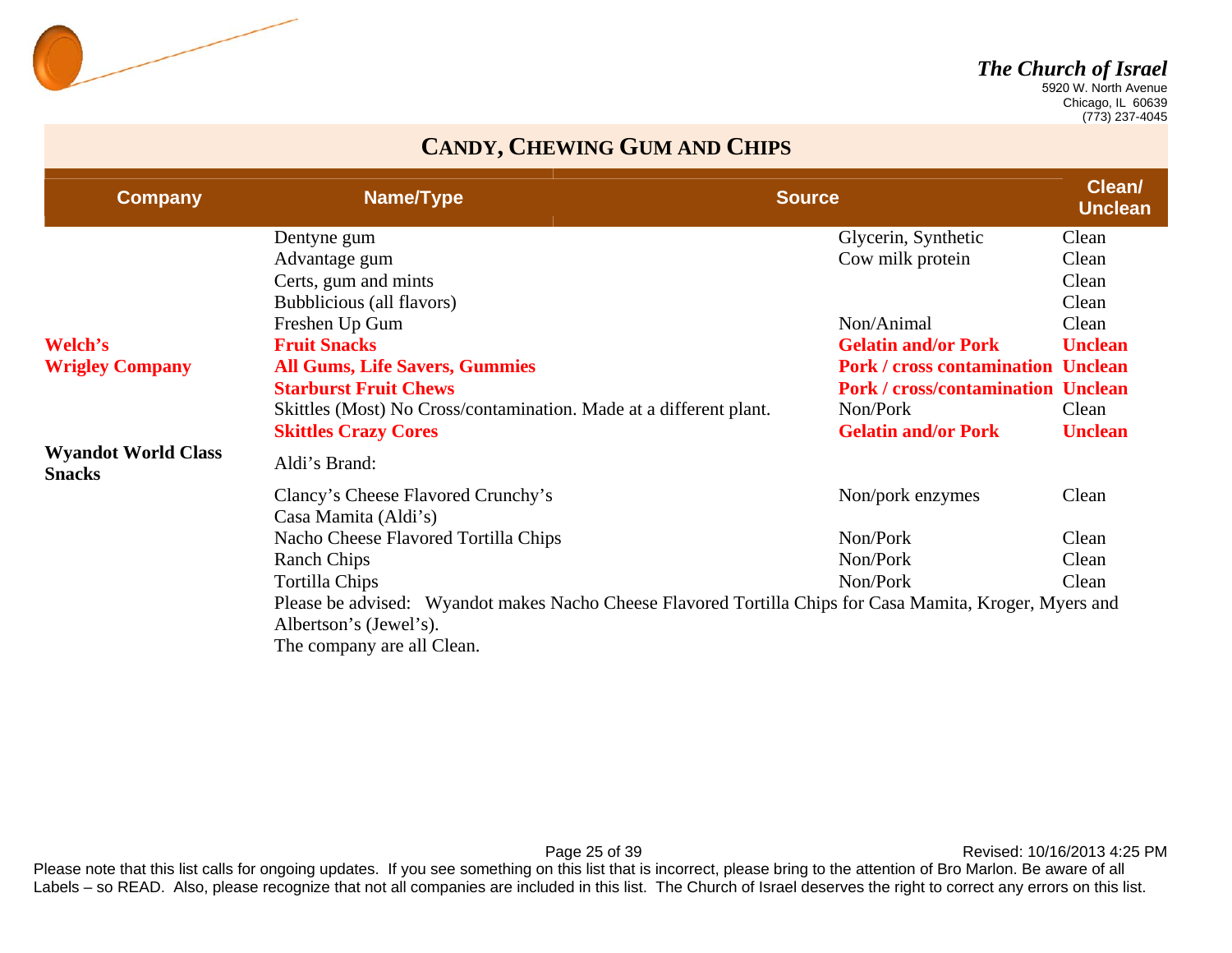

 Chicago, IL 60639 (773) 237-4045

#### **CANDY, CHEWING GUM AND CHIPS**

| <b>Company</b>                              | Name/Type                                                                                                | <b>Source</b> |                                           | Clean/<br><b>Unclean</b> |
|---------------------------------------------|----------------------------------------------------------------------------------------------------------|---------------|-------------------------------------------|--------------------------|
|                                             | Dentyne gum                                                                                              |               | Glycerin, Synthetic                       | Clean                    |
|                                             | Advantage gum                                                                                            |               | Cow milk protein                          | Clean                    |
|                                             | Certs, gum and mints                                                                                     |               |                                           | Clean                    |
|                                             | Bubblicious (all flavors)                                                                                |               |                                           | Clean                    |
|                                             | Freshen Up Gum                                                                                           |               | Non/Animal                                | Clean                    |
| Welch's                                     | <b>Fruit Snacks</b>                                                                                      |               | <b>Gelatin and/or Pork</b>                | <b>Unclean</b>           |
| <b>Wrigley Company</b>                      | <b>All Gums, Life Savers, Gummies</b>                                                                    |               | <b>Pork / cross contamination Unclean</b> |                          |
|                                             | <b>Starburst Fruit Chews</b>                                                                             |               | <b>Pork / cross/contamination Unclean</b> |                          |
|                                             | Skittles (Most) No Cross/contamination. Made at a different plant.                                       |               | Non/Pork                                  | Clean                    |
|                                             | <b>Skittles Crazy Cores</b>                                                                              |               | <b>Gelatin and/or Pork</b>                | <b>Unclean</b>           |
| <b>Wyandot World Class</b><br><b>Snacks</b> | Aldi's Brand:                                                                                            |               |                                           |                          |
|                                             | Clancy's Cheese Flavored Crunchy's                                                                       |               | Non/pork enzymes                          | Clean                    |
|                                             | Casa Mamita (Aldi's)                                                                                     |               |                                           |                          |
|                                             | Nacho Cheese Flavored Tortilla Chips                                                                     |               | Non/Pork                                  | Clean                    |
|                                             | <b>Ranch Chips</b>                                                                                       |               | Non/Pork                                  | Clean                    |
|                                             | <b>Tortilla Chips</b>                                                                                    |               | Non/Pork                                  | Clean                    |
|                                             | Please be advised: Wyandot makes Nacho Cheese Flavored Tortilla Chips for Casa Mamita, Kroger, Myers and |               |                                           |                          |
|                                             | Albertson's (Jewel's).                                                                                   |               |                                           |                          |
|                                             | The company are all Clean.                                                                               |               |                                           |                          |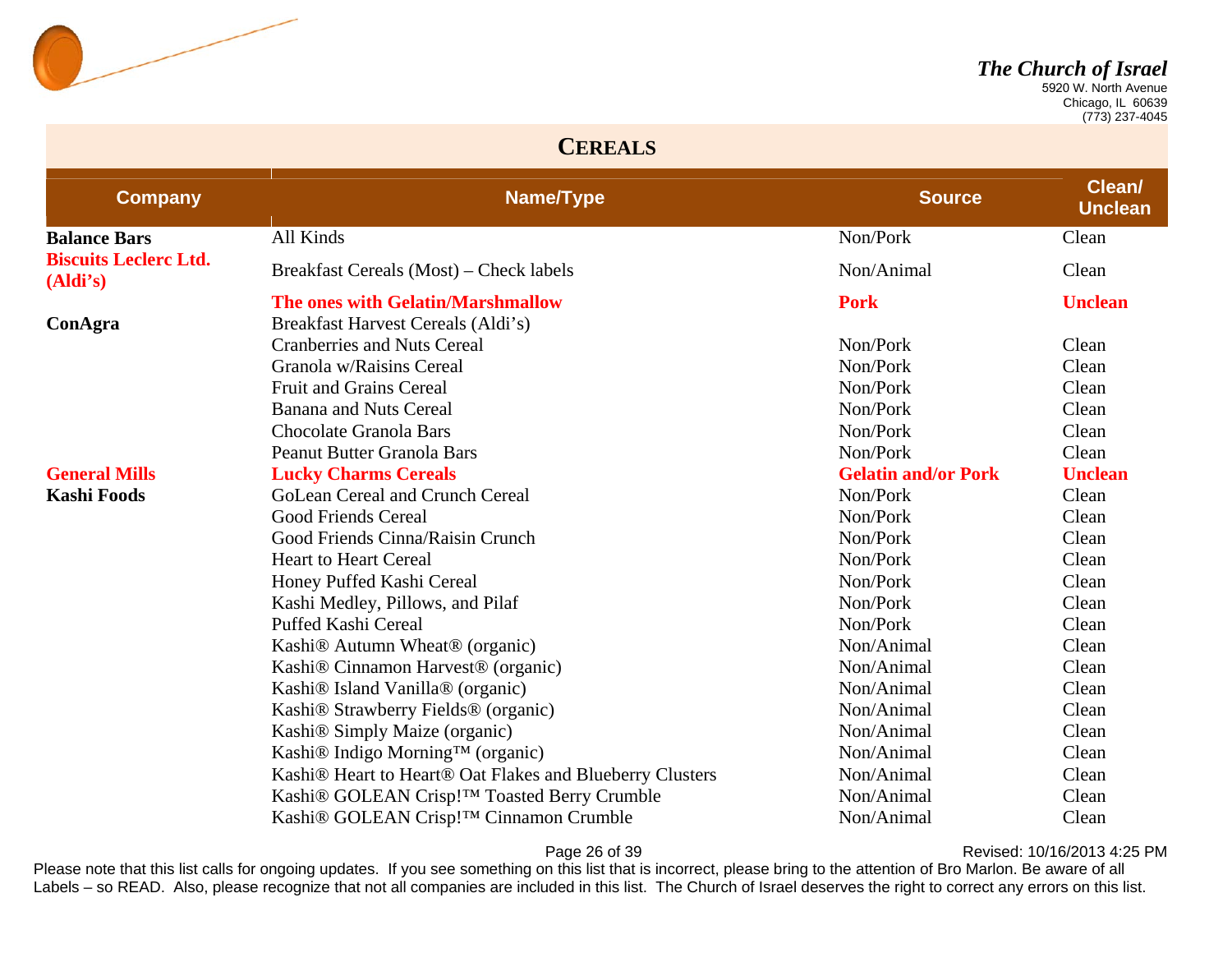

 Chicago, IL 60639 (773) 237-4045

#### **CEREALS**

| <b>Company</b>                           | Name/Type                                                                        | <b>Source</b>              | Clean/<br><b>Unclean</b> |
|------------------------------------------|----------------------------------------------------------------------------------|----------------------------|--------------------------|
| <b>Balance Bars</b>                      | All Kinds                                                                        | Non/Pork                   | Clean                    |
| <b>Biscuits Leclerc Ltd.</b><br>(Aldi's) | Breakfast Cereals (Most) – Check labels                                          | Non/Animal                 | Clean                    |
|                                          | The ones with Gelatin/Marshmallow                                                | <b>Pork</b>                | <b>Unclean</b>           |
| ConAgra                                  | Breakfast Harvest Cereals (Aldi's)                                               |                            |                          |
|                                          | <b>Cranberries and Nuts Cereal</b>                                               | Non/Pork                   | Clean                    |
|                                          | Granola w/Raisins Cereal                                                         | Non/Pork                   | Clean                    |
|                                          | <b>Fruit and Grains Cereal</b>                                                   | Non/Pork                   | Clean                    |
|                                          | <b>Banana and Nuts Cereal</b>                                                    | Non/Pork                   | Clean                    |
|                                          | <b>Chocolate Granola Bars</b>                                                    | Non/Pork                   | Clean                    |
|                                          | <b>Peanut Butter Granola Bars</b>                                                | Non/Pork                   | Clean                    |
| <b>General Mills</b>                     | <b>Lucky Charms Cereals</b>                                                      | <b>Gelatin and/or Pork</b> | <b>Unclean</b>           |
| <b>Kashi Foods</b>                       | GoLean Cereal and Crunch Cereal                                                  | Non/Pork                   | Clean                    |
|                                          | <b>Good Friends Cereal</b>                                                       | Non/Pork                   | Clean                    |
|                                          | Good Friends Cinna/Raisin Crunch                                                 | Non/Pork                   | Clean                    |
|                                          | <b>Heart to Heart Cereal</b>                                                     | Non/Pork                   | Clean                    |
|                                          | Honey Puffed Kashi Cereal                                                        | Non/Pork                   | Clean                    |
|                                          | Kashi Medley, Pillows, and Pilaf                                                 | Non/Pork                   | Clean                    |
|                                          | Puffed Kashi Cereal                                                              | Non/Pork                   | Clean                    |
|                                          | Kashi <sup>®</sup> Autumn Wheat <sup>®</sup> (organic)                           | Non/Animal                 | Clean                    |
|                                          | Kashi <sup>®</sup> Cinnamon Harvest <sup>®</sup> (organic)                       | Non/Animal                 | Clean                    |
|                                          | Kashi <sup>®</sup> Island Vanilla <sup>®</sup> (organic)                         | Non/Animal                 | Clean                    |
|                                          | Kashi® Strawberry Fields® (organic)                                              | Non/Animal                 | Clean                    |
|                                          | Kashi <sup>®</sup> Simply Maize (organic)                                        | Non/Animal                 | Clean                    |
|                                          | Kashi® Indigo Morning™ (organic)                                                 | Non/Animal                 | Clean                    |
|                                          | Kashi <sup>®</sup> Heart to Heart <sup>®</sup> Oat Flakes and Blueberry Clusters | Non/Animal                 | Clean                    |
|                                          | Kashi® GOLEAN Crisp!™ Toasted Berry Crumble                                      | Non/Animal                 | Clean                    |
|                                          | Kashi <sup>®</sup> GOLEAN Crisp!™ Cinnamon Crumble                               | Non/Animal                 | Clean                    |

Page 26 of 39 **Page 26 of 39** Revised: 10/16/2013 4:25 PM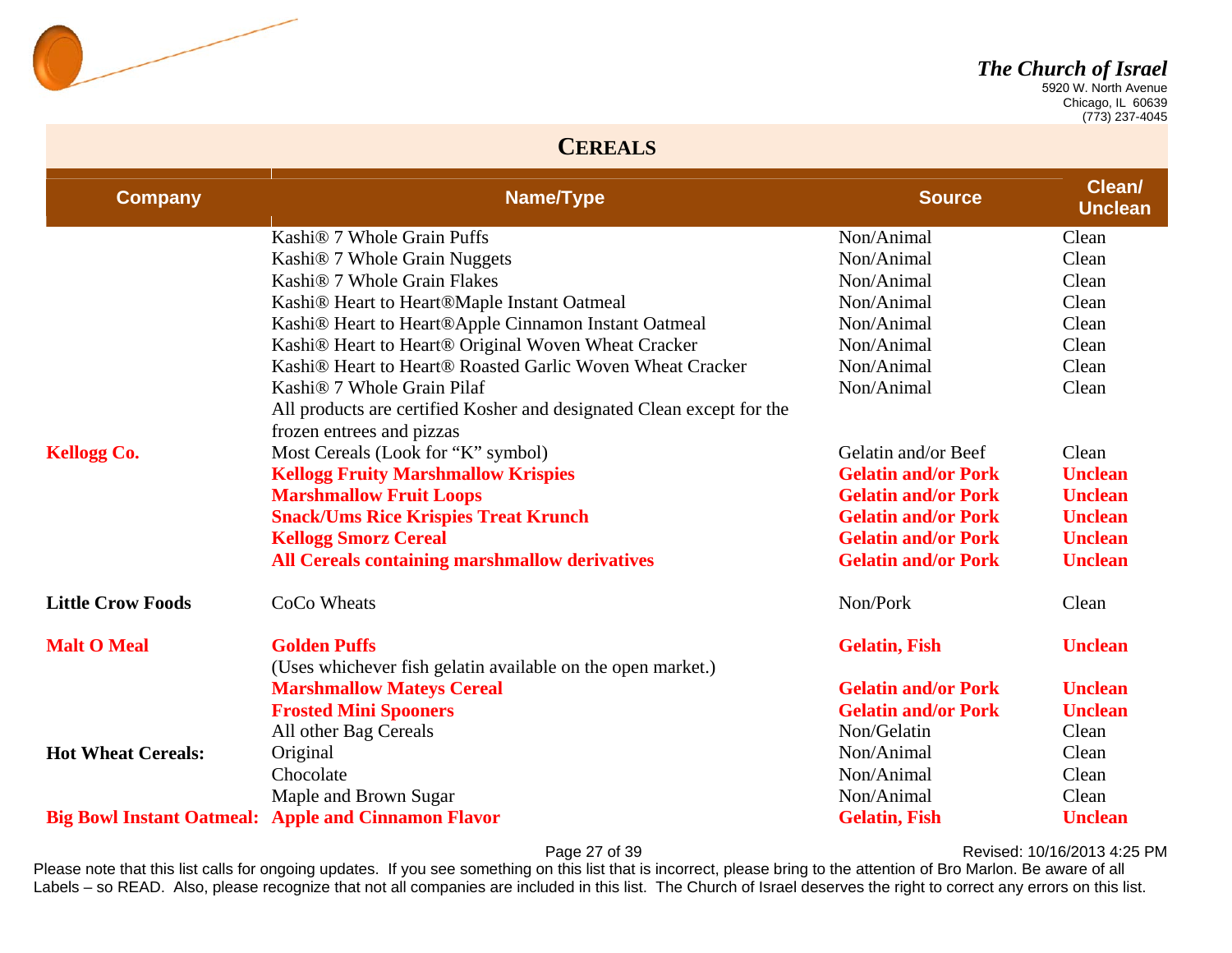

 Chicago, IL 60639 (773) 237-4045

#### **CEREALS**

| <b>Company</b>            | Name/Type                                                                                          | <b>Source</b>              | Clean/<br><b>Unclean</b> |
|---------------------------|----------------------------------------------------------------------------------------------------|----------------------------|--------------------------|
|                           | Kashi <sup>®</sup> 7 Whole Grain Puffs                                                             | Non/Animal                 | Clean                    |
|                           | Kashi <sup>®</sup> 7 Whole Grain Nuggets                                                           | Non/Animal                 | Clean                    |
|                           | Kashi <sup>®</sup> 7 Whole Grain Flakes                                                            | Non/Animal                 | Clean                    |
|                           | Kashi® Heart to Heart®Maple Instant Oatmeal                                                        | Non/Animal                 | Clean                    |
|                           | Kashi® Heart to Heart®Apple Cinnamon Instant Oatmeal                                               | Non/Animal                 | Clean                    |
|                           | Kashi® Heart to Heart® Original Woven Wheat Cracker                                                | Non/Animal                 | Clean                    |
|                           | Kashi <sup>®</sup> Heart to Heart <sup>®</sup> Roasted Garlic Woven Wheat Cracker                  | Non/Animal                 | Clean                    |
|                           | Kashi <sup>®</sup> 7 Whole Grain Pilaf                                                             | Non/Animal                 | Clean                    |
|                           | All products are certified Kosher and designated Clean except for the<br>frozen entrees and pizzas |                            |                          |
| <b>Kellogg Co.</b>        | Most Cereals (Look for "K" symbol)                                                                 | Gelatin and/or Beef        | Clean                    |
|                           | <b>Kellogg Fruity Marshmallow Krispies</b>                                                         | <b>Gelatin and/or Pork</b> | <b>Unclean</b>           |
|                           | <b>Marshmallow Fruit Loops</b>                                                                     | <b>Gelatin and/or Pork</b> | <b>Unclean</b>           |
|                           | <b>Snack/Ums Rice Krispies Treat Krunch</b>                                                        | <b>Gelatin and/or Pork</b> | <b>Unclean</b>           |
|                           | <b>Kellogg Smorz Cereal</b>                                                                        | <b>Gelatin and/or Pork</b> | <b>Unclean</b>           |
|                           | All Cereals containing marshmallow derivatives                                                     | <b>Gelatin and/or Pork</b> | <b>Unclean</b>           |
| <b>Little Crow Foods</b>  | CoCo Wheats                                                                                        | Non/Pork                   | Clean                    |
| <b>Malt O Meal</b>        | <b>Golden Puffs</b>                                                                                | <b>Gelatin, Fish</b>       | <b>Unclean</b>           |
|                           | (Uses whichever fish gelatin available on the open market.)                                        |                            |                          |
|                           | <b>Marshmallow Mateys Cereal</b>                                                                   | <b>Gelatin and/or Pork</b> | <b>Unclean</b>           |
|                           | <b>Frosted Mini Spooners</b>                                                                       | <b>Gelatin and/or Pork</b> | <b>Unclean</b>           |
|                           | All other Bag Cereals                                                                              | Non/Gelatin                | Clean                    |
| <b>Hot Wheat Cereals:</b> | Original                                                                                           | Non/Animal                 | Clean                    |
|                           | Chocolate                                                                                          | Non/Animal                 | Clean                    |
|                           | Maple and Brown Sugar                                                                              | Non/Animal                 | Clean                    |
|                           | <b>Big Bowl Instant Oatmeal: Apple and Cinnamon Flavor</b>                                         | <b>Gelatin, Fish</b>       | <b>Unclean</b>           |

Page 27 of 39 **Page 27 of 39** Revised: 10/16/2013 4:25 PM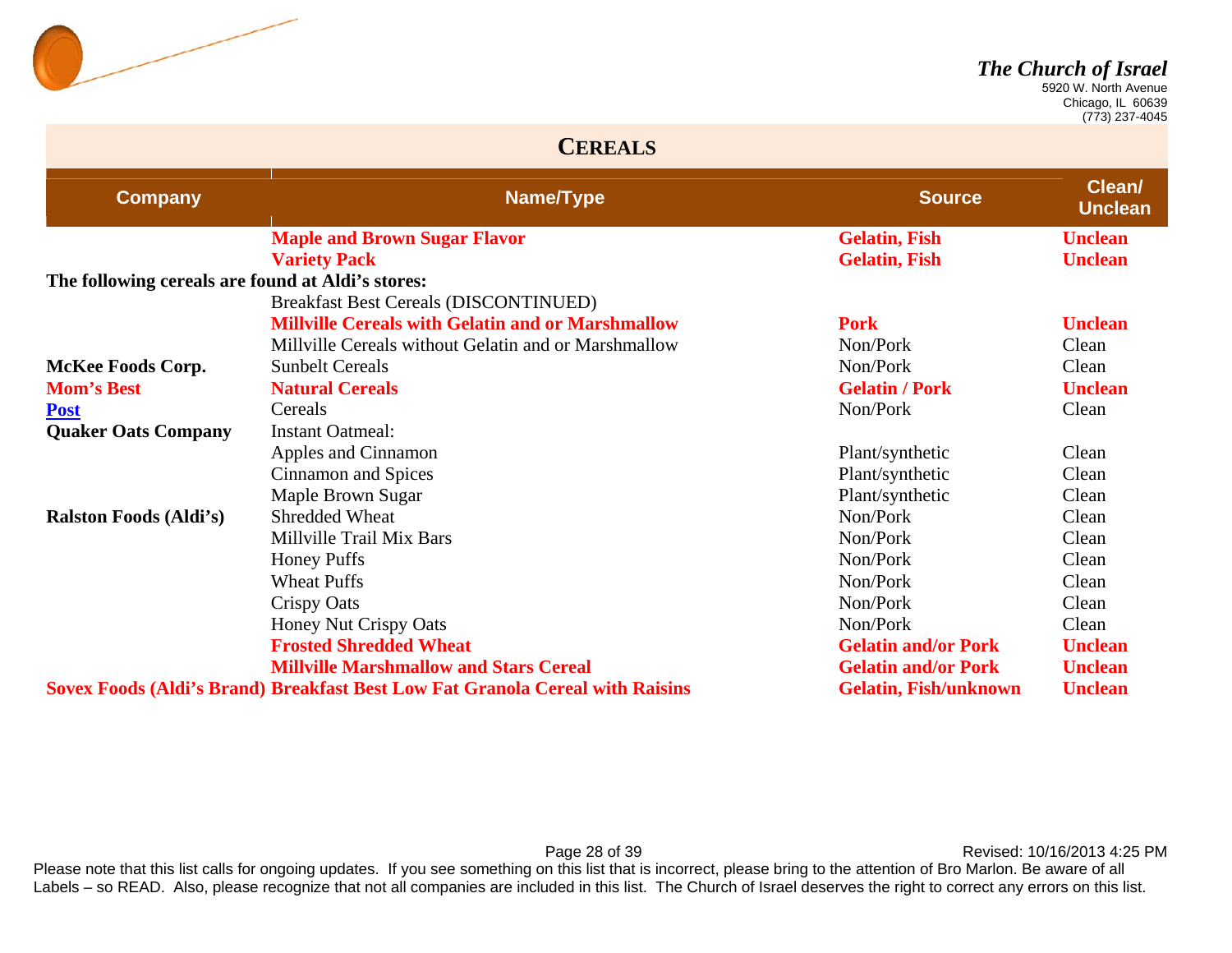

 Chicago, IL 60639 (773) 237-4045

#### **CEREALS**

| <b>Company</b>                                    | Name/Type                                                                            | <b>Source</b>                | Clean/<br><b>Unclean</b> |
|---------------------------------------------------|--------------------------------------------------------------------------------------|------------------------------|--------------------------|
|                                                   | <b>Maple and Brown Sugar Flavor</b>                                                  | <b>Gelatin, Fish</b>         | <b>Unclean</b>           |
|                                                   | <b>Variety Pack</b>                                                                  | <b>Gelatin, Fish</b>         | <b>Unclean</b>           |
| The following cereals are found at Aldi's stores: |                                                                                      |                              |                          |
|                                                   | <b>Breakfast Best Cereals (DISCONTINUED)</b>                                         |                              |                          |
|                                                   | <b>Millville Cereals with Gelatin and or Marshmallow</b>                             | <b>Pork</b>                  | <b>Unclean</b>           |
|                                                   | Millville Cereals without Gelatin and or Marshmallow                                 | Non/Pork                     | Clean                    |
| <b>McKee Foods Corp.</b>                          | <b>Sunbelt Cereals</b>                                                               | Non/Pork                     | Clean                    |
| <b>Mom's Best</b>                                 | <b>Natural Cereals</b>                                                               | <b>Gelatin / Pork</b>        | <b>Unclean</b>           |
| <b>Post</b>                                       | Cereals                                                                              | Non/Pork                     | Clean                    |
| <b>Quaker Oats Company</b>                        | <b>Instant Oatmeal:</b>                                                              |                              |                          |
|                                                   | Apples and Cinnamon                                                                  | Plant/synthetic              | Clean                    |
|                                                   | Cinnamon and Spices                                                                  | Plant/synthetic              | Clean                    |
|                                                   | Maple Brown Sugar                                                                    | Plant/synthetic              | Clean                    |
| <b>Ralston Foods (Aldi's)</b>                     | <b>Shredded Wheat</b>                                                                | Non/Pork                     | Clean                    |
|                                                   | Millville Trail Mix Bars                                                             | Non/Pork                     | Clean                    |
|                                                   | <b>Honey Puffs</b>                                                                   | Non/Pork                     | Clean                    |
|                                                   | <b>Wheat Puffs</b>                                                                   | Non/Pork                     | Clean                    |
|                                                   | <b>Crispy Oats</b>                                                                   | Non/Pork                     | Clean                    |
|                                                   | Honey Nut Crispy Oats                                                                | Non/Pork                     | Clean                    |
|                                                   | <b>Frosted Shredded Wheat</b>                                                        | <b>Gelatin and/or Pork</b>   | <b>Unclean</b>           |
|                                                   | <b>Millville Marshmallow and Stars Cereal</b>                                        | <b>Gelatin and/or Pork</b>   | <b>Unclean</b>           |
|                                                   | <b>Sovex Foods (Aldi's Brand) Breakfast Best Low Fat Granola Cereal with Raisins</b> | <b>Gelatin, Fish/unknown</b> | <b>Unclean</b>           |

Page 28 of 39 **Page 28 of 39** Revised: 10/16/2013 4:25 PM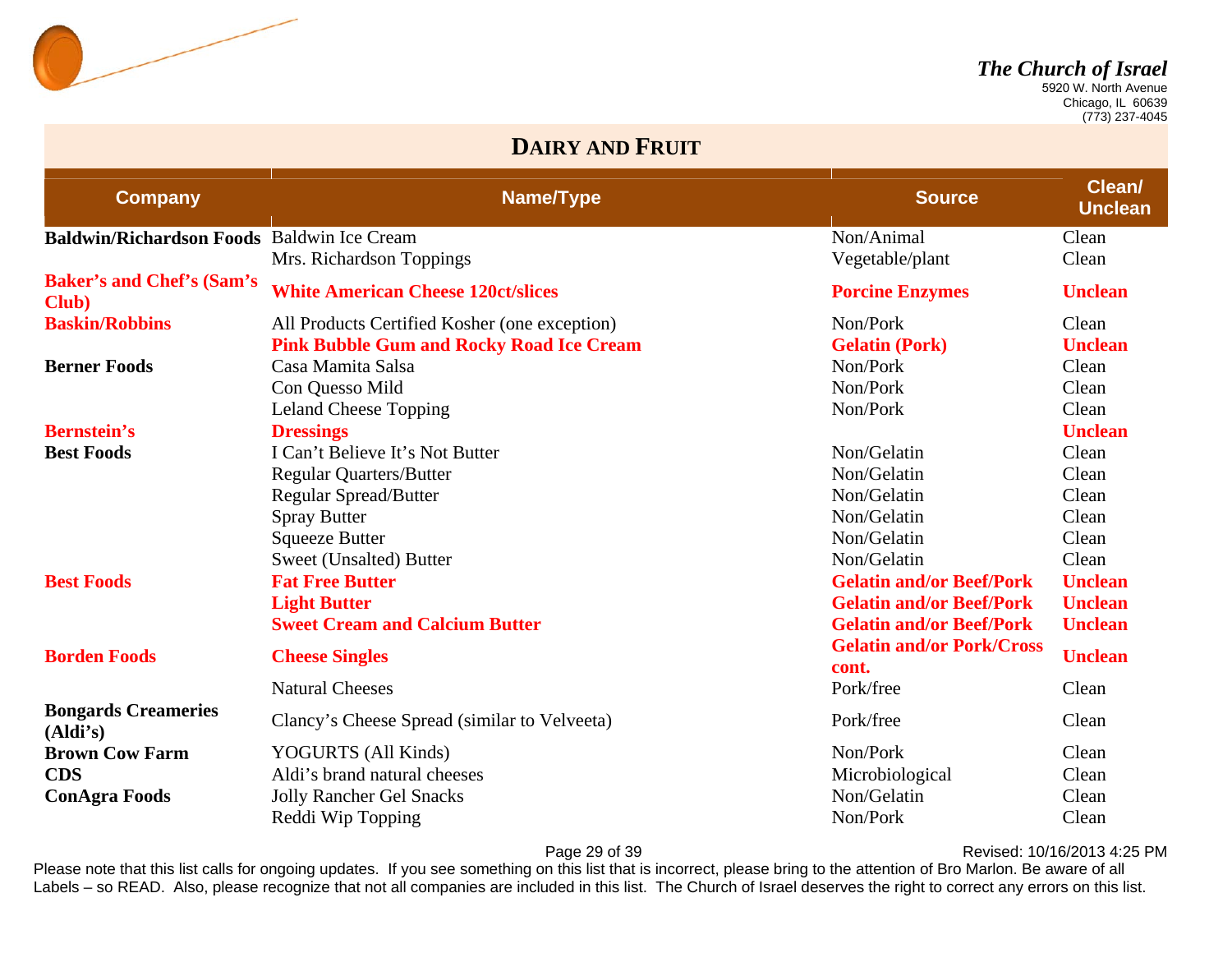

 Chicago, IL 60639 (773) 237-4045

#### **DAIRY AND FRUIT**

| <b>Company</b>                             | <b>Name/Type</b>                                | <b>Source</b>                             | Clean/<br><b>Unclean</b> |
|--------------------------------------------|-------------------------------------------------|-------------------------------------------|--------------------------|
| Baldwin/Richardson Foods Baldwin Ice Cream |                                                 | Non/Animal                                | Clean                    |
|                                            | Mrs. Richardson Toppings                        | Vegetable/plant                           | Clean                    |
| <b>Baker's and Chef's (Sam's)</b><br>Club) | <b>White American Cheese 120ct/slices</b>       | <b>Porcine Enzymes</b>                    | <b>Unclean</b>           |
| <b>Baskin/Robbins</b>                      | All Products Certified Kosher (one exception)   | Non/Pork                                  | Clean                    |
|                                            | <b>Pink Bubble Gum and Rocky Road Ice Cream</b> | <b>Gelatin (Pork)</b>                     | <b>Unclean</b>           |
| <b>Berner Foods</b>                        | Casa Mamita Salsa                               | Non/Pork                                  | Clean                    |
|                                            | Con Quesso Mild                                 | Non/Pork                                  | Clean                    |
|                                            | <b>Leland Cheese Topping</b>                    | Non/Pork                                  | Clean                    |
| <b>Bernstein's</b>                         | <b>Dressings</b>                                |                                           | <b>Unclean</b>           |
| <b>Best Foods</b>                          | I Can't Believe It's Not Butter                 | Non/Gelatin                               | Clean                    |
|                                            | <b>Regular Quarters/Butter</b>                  | Non/Gelatin                               | Clean                    |
|                                            | Regular Spread/Butter                           | Non/Gelatin                               | Clean                    |
|                                            | <b>Spray Butter</b>                             | Non/Gelatin                               | Clean                    |
|                                            | <b>Squeeze Butter</b>                           | Non/Gelatin                               | Clean                    |
|                                            | Sweet (Unsalted) Butter                         | Non/Gelatin                               | Clean                    |
| <b>Best Foods</b>                          | <b>Fat Free Butter</b>                          | <b>Gelatin and/or Beef/Pork</b>           | <b>Unclean</b>           |
|                                            | <b>Light Butter</b>                             | <b>Gelatin and/or Beef/Pork</b>           | <b>Unclean</b>           |
|                                            | <b>Sweet Cream and Calcium Butter</b>           | <b>Gelatin and/or Beef/Pork</b>           | <b>Unclean</b>           |
| <b>Borden Foods</b>                        | <b>Cheese Singles</b>                           | <b>Gelatin and/or Pork/Cross</b><br>cont. | <b>Unclean</b>           |
|                                            | <b>Natural Cheeses</b>                          | Pork/free                                 | Clean                    |
| <b>Bongards Creameries</b><br>(Aldi's)     | Clancy's Cheese Spread (similar to Velveeta)    | Pork/free                                 | Clean                    |
| <b>Brown Cow Farm</b>                      | YOGURTS (All Kinds)                             | Non/Pork                                  | Clean                    |
| <b>CDS</b>                                 | Aldi's brand natural cheeses                    | Microbiological                           | Clean                    |
| <b>ConAgra Foods</b>                       | <b>Jolly Rancher Gel Snacks</b>                 | Non/Gelatin                               | Clean                    |
|                                            | Reddi Wip Topping                               | Non/Pork                                  | Clean                    |

Page 29 of 39 **Page 29 of 39** Revised: 10/16/2013 4:25 PM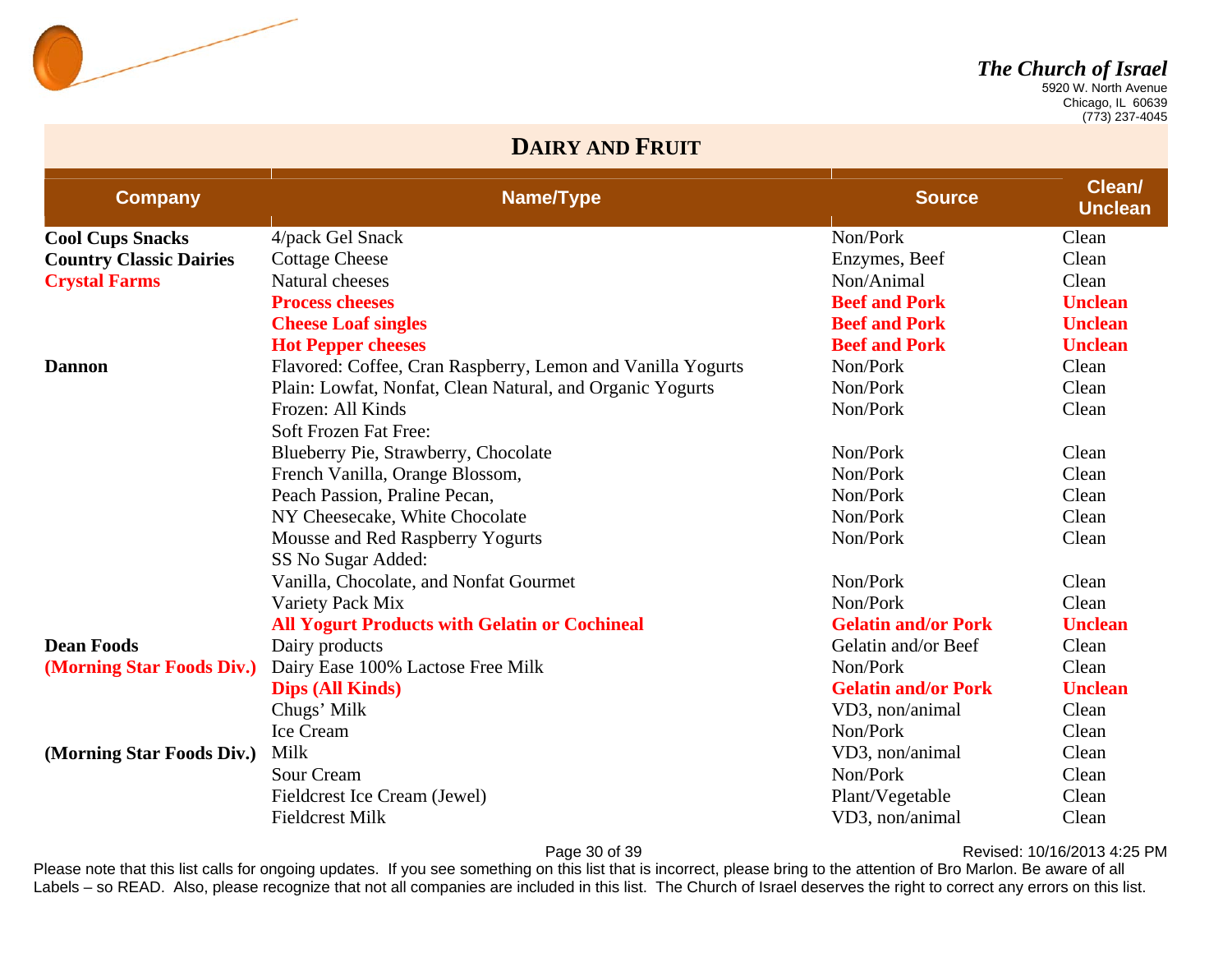

 Chicago, IL 60639 (773) 237-4045

#### **DAIRY AND FRUIT**

| <b>Company</b>                 | Name/Type                                                   | <b>Source</b>              | Clean/<br><b>Unclean</b> |
|--------------------------------|-------------------------------------------------------------|----------------------------|--------------------------|
| <b>Cool Cups Snacks</b>        | 4/pack Gel Snack                                            | Non/Pork                   | Clean                    |
| <b>Country Classic Dairies</b> | <b>Cottage Cheese</b>                                       | Enzymes, Beef              | Clean                    |
| <b>Crystal Farms</b>           | Natural cheeses                                             | Non/Animal                 | Clean                    |
|                                | <b>Process cheeses</b>                                      | <b>Beef and Pork</b>       | <b>Unclean</b>           |
|                                | <b>Cheese Loaf singles</b>                                  | <b>Beef and Pork</b>       | <b>Unclean</b>           |
|                                | <b>Hot Pepper cheeses</b>                                   | <b>Beef and Pork</b>       | <b>Unclean</b>           |
| <b>Dannon</b>                  | Flavored: Coffee, Cran Raspberry, Lemon and Vanilla Yogurts | Non/Pork                   | Clean                    |
|                                | Plain: Lowfat, Nonfat, Clean Natural, and Organic Yogurts   | Non/Pork                   | Clean                    |
|                                | Frozen: All Kinds                                           | Non/Pork                   | Clean                    |
|                                | Soft Frozen Fat Free:                                       |                            |                          |
|                                | Blueberry Pie, Strawberry, Chocolate                        | Non/Pork                   | Clean                    |
|                                | French Vanilla, Orange Blossom,                             | Non/Pork                   | Clean                    |
|                                | Peach Passion, Praline Pecan,                               | Non/Pork                   | Clean                    |
|                                | NY Cheesecake, White Chocolate                              | Non/Pork                   | Clean                    |
|                                | Mousse and Red Raspberry Yogurts                            | Non/Pork                   | Clean                    |
|                                | SS No Sugar Added:                                          |                            |                          |
|                                | Vanilla, Chocolate, and Nonfat Gourmet                      | Non/Pork                   | Clean                    |
|                                | Variety Pack Mix                                            | Non/Pork                   | Clean                    |
|                                | <b>All Yogurt Products with Gelatin or Cochineal</b>        | <b>Gelatin and/or Pork</b> | <b>Unclean</b>           |
| <b>Dean Foods</b>              | Dairy products                                              | Gelatin and/or Beef        | Clean                    |
| (Morning Star Foods Div.)      | Dairy Ease 100% Lactose Free Milk                           | Non/Pork                   | Clean                    |
|                                | <b>Dips (All Kinds)</b>                                     | <b>Gelatin and/or Pork</b> | <b>Unclean</b>           |
|                                | Chugs' Milk                                                 | VD3, non/animal            | Clean                    |
|                                | Ice Cream                                                   | Non/Pork                   | Clean                    |
| (Morning Star Foods Div.)      | Milk                                                        | VD3, non/animal            | Clean                    |
|                                | Sour Cream                                                  | Non/Pork                   | Clean                    |
|                                | Fieldcrest Ice Cream (Jewel)                                | Plant/Vegetable            | Clean                    |
|                                | <b>Fieldcrest Milk</b>                                      | VD3, non/animal            | Clean                    |

Page 30 of 39 **Page 30 of 39** Revised: 10/16/2013 4:25 PM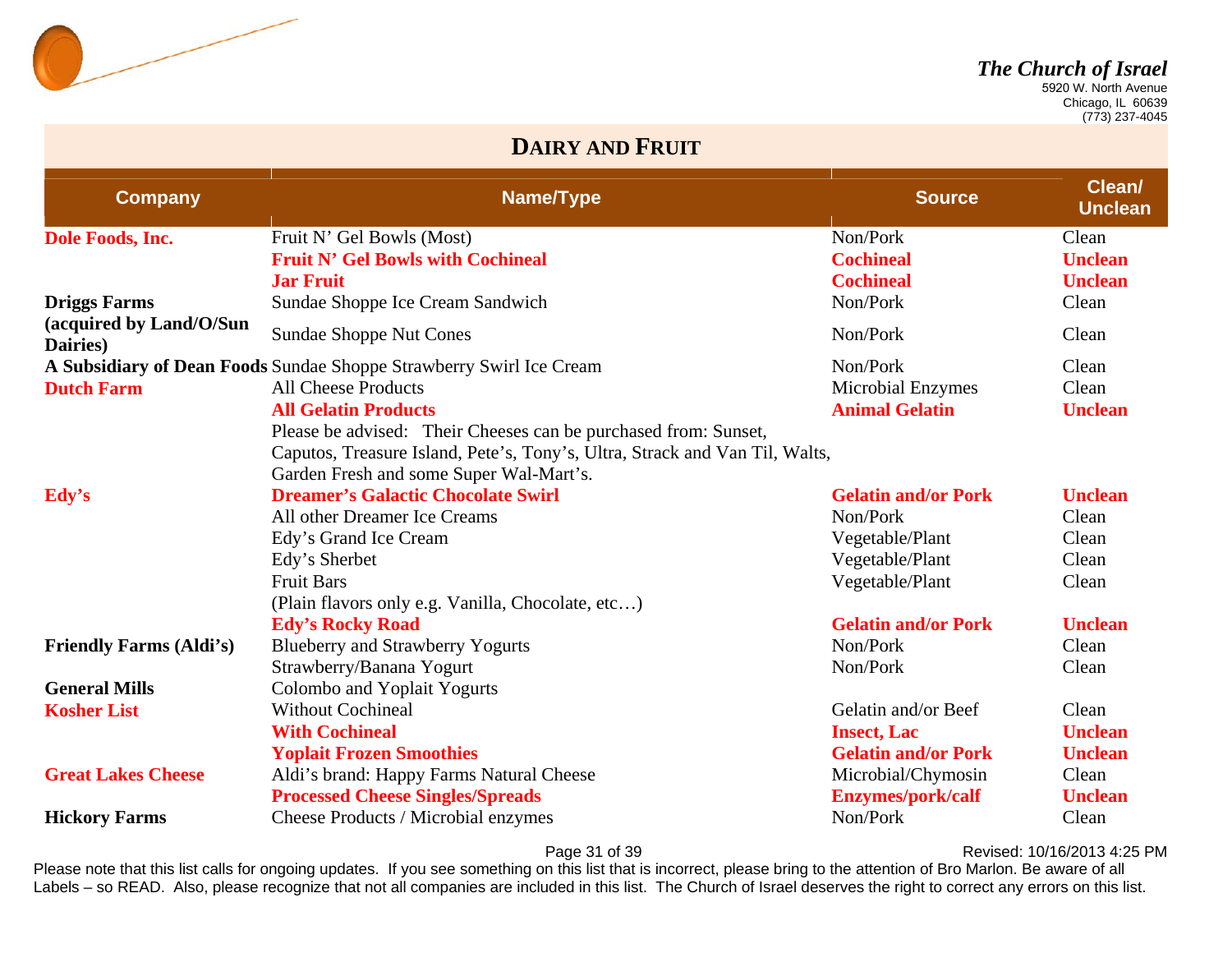

 Chicago, IL 60639 (773) 237-4045

#### **DAIRY AND FRUIT**

| <b>Company</b>                      | Name/Type                                                                   | <b>Source</b>              | Clean/<br><b>Unclean</b> |
|-------------------------------------|-----------------------------------------------------------------------------|----------------------------|--------------------------|
| Dole Foods, Inc.                    | Fruit N' Gel Bowls (Most)                                                   | Non/Pork                   | Clean                    |
|                                     | <b>Fruit N' Gel Bowls with Cochineal</b>                                    | <b>Cochineal</b>           | <b>Unclean</b>           |
|                                     | <b>Jar Fruit</b>                                                            | <b>Cochineal</b>           | <b>Unclean</b>           |
| <b>Driggs Farms</b>                 | Sundae Shoppe Ice Cream Sandwich                                            | Non/Pork                   | Clean                    |
| (acquired by Land/O/Sun<br>Dairies) | <b>Sundae Shoppe Nut Cones</b>                                              | Non/Pork                   | Clean                    |
|                                     | A Subsidiary of Dean Foods Sundae Shoppe Strawberry Swirl Ice Cream         | Non/Pork                   | Clean                    |
| <b>Dutch Farm</b>                   | <b>All Cheese Products</b>                                                  | <b>Microbial Enzymes</b>   | Clean                    |
|                                     | <b>All Gelatin Products</b>                                                 | <b>Animal Gelatin</b>      | <b>Unclean</b>           |
|                                     | Please be advised: Their Cheeses can be purchased from: Sunset,             |                            |                          |
|                                     | Caputos, Treasure Island, Pete's, Tony's, Ultra, Strack and Van Til, Walts, |                            |                          |
|                                     | Garden Fresh and some Super Wal-Mart's.                                     |                            |                          |
| Edy's                               | <b>Dreamer's Galactic Chocolate Swirl</b>                                   | <b>Gelatin and/or Pork</b> | <b>Unclean</b>           |
|                                     | All other Dreamer Ice Creams                                                | Non/Pork                   | Clean                    |
|                                     | Edy's Grand Ice Cream                                                       | Vegetable/Plant            | Clean                    |
|                                     | Edy's Sherbet                                                               | Vegetable/Plant            | Clean                    |
|                                     | <b>Fruit Bars</b>                                                           | Vegetable/Plant            | Clean                    |
|                                     | (Plain flavors only e.g. Vanilla, Chocolate, etc)                           |                            |                          |
|                                     | <b>Edy's Rocky Road</b>                                                     | <b>Gelatin and/or Pork</b> | <b>Unclean</b>           |
| <b>Friendly Farms (Aldi's)</b>      | <b>Blueberry and Strawberry Yogurts</b>                                     | Non/Pork                   | Clean                    |
|                                     | Strawberry/Banana Yogurt                                                    | Non/Pork                   | Clean                    |
| <b>General Mills</b>                | Colombo and Yoplait Yogurts                                                 |                            |                          |
| <b>Kosher List</b>                  | <b>Without Cochineal</b>                                                    | Gelatin and/or Beef        | Clean                    |
|                                     | <b>With Cochineal</b>                                                       | <b>Insect, Lac</b>         | <b>Unclean</b>           |
|                                     | <b>Yoplait Frozen Smoothies</b>                                             | <b>Gelatin and/or Pork</b> | <b>Unclean</b>           |
| <b>Great Lakes Cheese</b>           | Aldi's brand: Happy Farms Natural Cheese                                    | Microbial/Chymosin         | Clean                    |
|                                     | <b>Processed Cheese Singles/Spreads</b>                                     | <b>Enzymes/pork/calf</b>   | <b>Unclean</b>           |
| <b>Hickory Farms</b>                | Cheese Products / Microbial enzymes                                         | Non/Pork                   | Clean                    |

Page 31 of 39 **Page 31 of 39** Revised: 10/16/2013 4:25 PM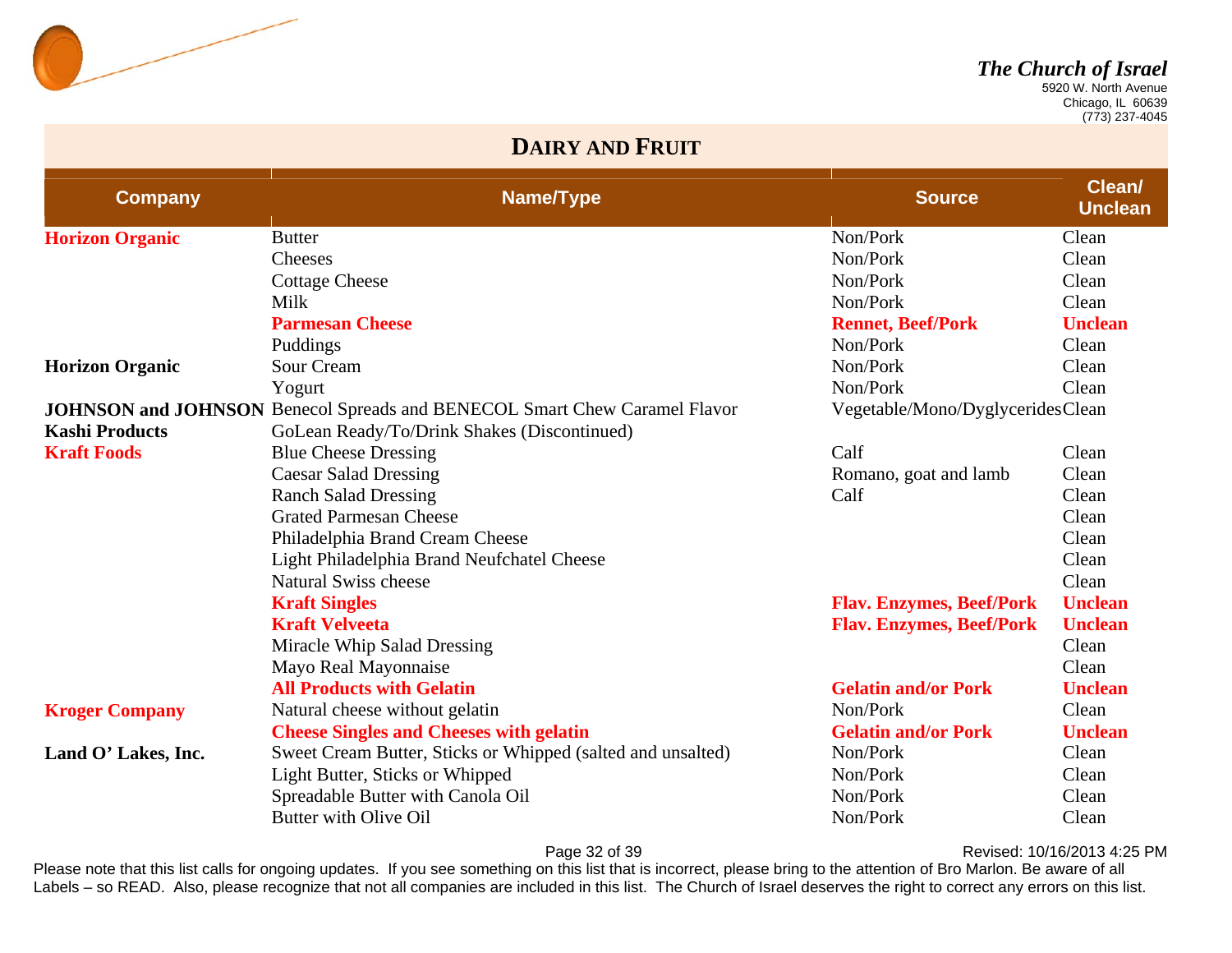

 Chicago, IL 60639 (773) 237-4045

#### **DAIRY AND FRUIT**

| <b>Company</b>         | Name/Type                                                                        | <b>Source</b>                    | Clean/<br><b>Unclean</b> |
|------------------------|----------------------------------------------------------------------------------|----------------------------------|--------------------------|
| <b>Horizon Organic</b> | <b>Butter</b>                                                                    | Non/Pork                         | Clean                    |
|                        | Cheeses                                                                          | Non/Pork                         | Clean                    |
|                        | <b>Cottage Cheese</b>                                                            | Non/Pork                         | Clean                    |
|                        | Milk                                                                             | Non/Pork                         | Clean                    |
|                        | <b>Parmesan Cheese</b>                                                           | <b>Rennet, Beef/Pork</b>         | <b>Unclean</b>           |
|                        | Puddings                                                                         | Non/Pork                         | Clean                    |
| <b>Horizon Organic</b> | <b>Sour Cream</b>                                                                | Non/Pork                         | Clean                    |
|                        | Yogurt                                                                           | Non/Pork                         | Clean                    |
|                        | <b>JOHNSON and JOHNSON</b> Benecol Spreads and BENECOL Smart Chew Caramel Flavor | Vegetable/Mono/DyglyceridesClean |                          |
| <b>Kashi Products</b>  | GoLean Ready/To/Drink Shakes (Discontinued)                                      |                                  |                          |
| <b>Kraft Foods</b>     | <b>Blue Cheese Dressing</b>                                                      | Calf                             | Clean                    |
|                        | <b>Caesar Salad Dressing</b>                                                     | Romano, goat and lamb            | Clean                    |
|                        | <b>Ranch Salad Dressing</b>                                                      | Calf                             | Clean                    |
|                        | <b>Grated Parmesan Cheese</b>                                                    |                                  | Clean                    |
|                        | Philadelphia Brand Cream Cheese                                                  |                                  | Clean                    |
|                        | Light Philadelphia Brand Neufchatel Cheese                                       |                                  | Clean                    |
|                        | <b>Natural Swiss cheese</b>                                                      |                                  | Clean                    |
|                        | <b>Kraft Singles</b>                                                             | <b>Flav. Enzymes, Beef/Pork</b>  | <b>Unclean</b>           |
|                        | <b>Kraft Velveeta</b>                                                            | <b>Flav. Enzymes, Beef/Pork</b>  | <b>Unclean</b>           |
|                        | Miracle Whip Salad Dressing                                                      |                                  | Clean                    |
|                        | Mayo Real Mayonnaise                                                             |                                  | Clean                    |
|                        | <b>All Products with Gelatin</b>                                                 | <b>Gelatin and/or Pork</b>       | <b>Unclean</b>           |
| <b>Kroger Company</b>  | Natural cheese without gelatin                                                   | Non/Pork                         | Clean                    |
|                        | <b>Cheese Singles and Cheeses with gelatin</b>                                   | <b>Gelatin and/or Pork</b>       | <b>Unclean</b>           |
| Land O' Lakes, Inc.    | Sweet Cream Butter, Sticks or Whipped (salted and unsalted)                      | Non/Pork                         | Clean                    |
|                        | Light Butter, Sticks or Whipped                                                  | Non/Pork                         | Clean                    |
|                        | Spreadable Butter with Canola Oil                                                | Non/Pork                         | Clean                    |
|                        | Butter with Olive Oil                                                            | Non/Pork                         | Clean                    |

Page 32 of 39 **Page 32 of 39** Revised: 10/16/2013 4:25 PM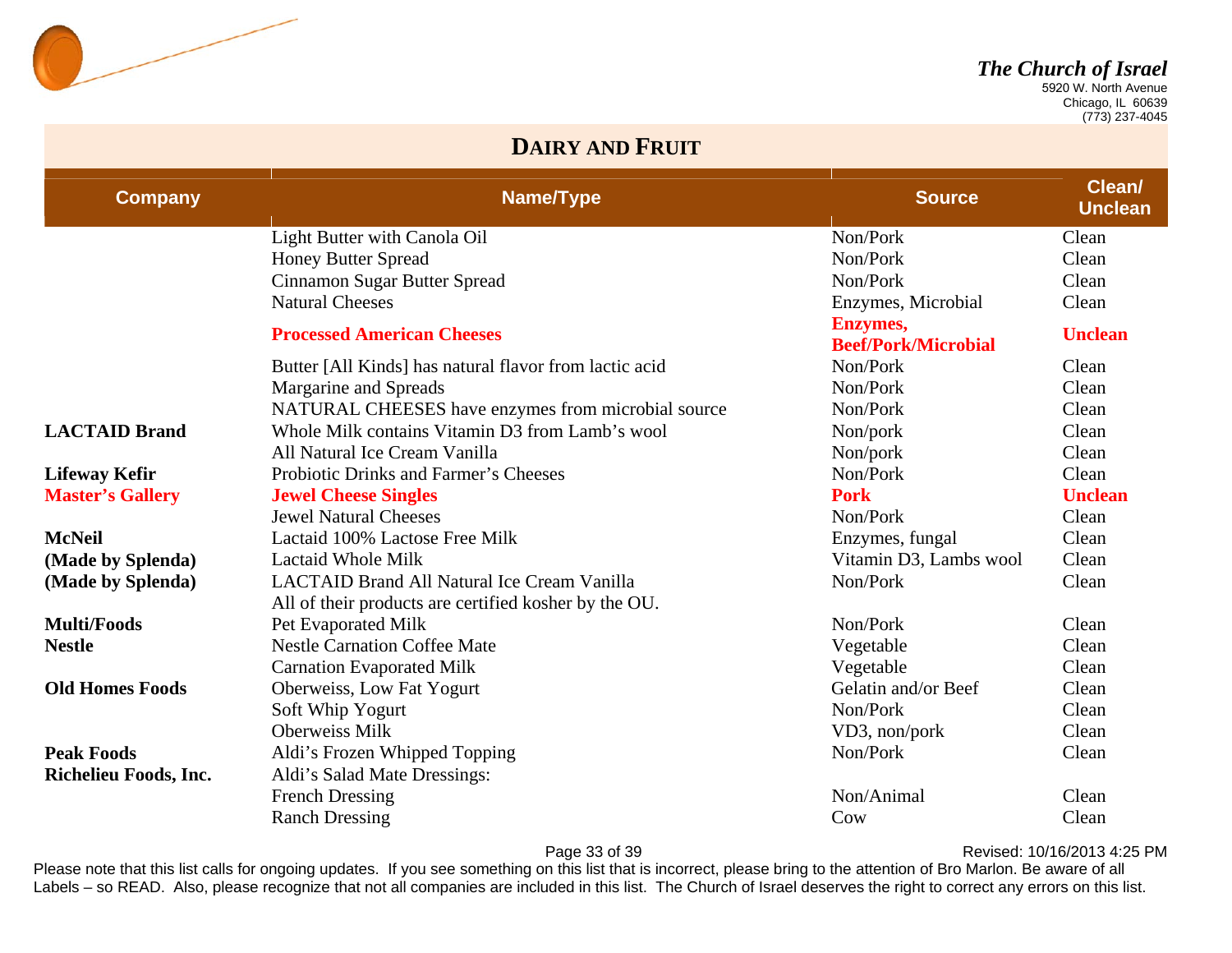

 Chicago, IL 60639 (773) 237-4045

#### **DAIRY AND FRUIT**

| <b>Company</b>          | Name/Type                                                                                                   | <b>Source</b>                                 | Clean/<br><b>Unclean</b> |
|-------------------------|-------------------------------------------------------------------------------------------------------------|-----------------------------------------------|--------------------------|
|                         | Light Butter with Canola Oil                                                                                | Non/Pork                                      | Clean                    |
|                         | <b>Honey Butter Spread</b>                                                                                  | Non/Pork                                      | Clean                    |
|                         | Cinnamon Sugar Butter Spread                                                                                | Non/Pork                                      | Clean                    |
|                         | <b>Natural Cheeses</b>                                                                                      | Enzymes, Microbial                            | Clean                    |
|                         | <b>Processed American Cheeses</b>                                                                           | <b>Enzymes,</b><br><b>Beef/Pork/Microbial</b> | <b>Unclean</b>           |
|                         | Butter [All Kinds] has natural flavor from lactic acid                                                      | Non/Pork                                      | Clean                    |
|                         | Margarine and Spreads                                                                                       | Non/Pork                                      | Clean                    |
|                         | NATURAL CHEESES have enzymes from microbial source                                                          | Non/Pork                                      | Clean                    |
| <b>LACTAID Brand</b>    | Whole Milk contains Vitamin D3 from Lamb's wool                                                             | Non/pork                                      | Clean                    |
|                         | All Natural Ice Cream Vanilla                                                                               | Non/pork                                      | Clean                    |
| <b>Lifeway Kefir</b>    | <b>Probiotic Drinks and Farmer's Cheeses</b>                                                                | Non/Pork                                      | Clean                    |
| <b>Master's Gallery</b> | <b>Jewel Cheese Singles</b>                                                                                 | <b>Pork</b>                                   | <b>Unclean</b>           |
|                         | <b>Jewel Natural Cheeses</b>                                                                                | Non/Pork                                      | Clean                    |
| <b>McNeil</b>           | Lactaid 100% Lactose Free Milk                                                                              | Enzymes, fungal                               | Clean                    |
| (Made by Splenda)       | <b>Lactaid Whole Milk</b>                                                                                   | Vitamin D3, Lambs wool                        | Clean                    |
| (Made by Splenda)       | <b>LACTAID Brand All Natural Ice Cream Vanilla</b><br>All of their products are certified kosher by the OU. | Non/Pork                                      | Clean                    |
| <b>Multi/Foods</b>      | Pet Evaporated Milk                                                                                         | Non/Pork                                      | Clean                    |
| <b>Nestle</b>           | <b>Nestle Carnation Coffee Mate</b>                                                                         | Vegetable                                     | Clean                    |
|                         | <b>Carnation Evaporated Milk</b>                                                                            | Vegetable                                     | Clean                    |
| <b>Old Homes Foods</b>  | Oberweiss, Low Fat Yogurt                                                                                   | Gelatin and/or Beef                           | Clean                    |
|                         | Soft Whip Yogurt                                                                                            | Non/Pork                                      | Clean                    |
|                         | <b>Oberweiss Milk</b>                                                                                       | VD3, non/pork                                 | Clean                    |
| <b>Peak Foods</b>       | Aldi's Frozen Whipped Topping                                                                               | Non/Pork                                      | Clean                    |
| Richelieu Foods, Inc.   | Aldi's Salad Mate Dressings:                                                                                |                                               |                          |
|                         | <b>French Dressing</b>                                                                                      | Non/Animal                                    | Clean                    |
|                         | <b>Ranch Dressing</b>                                                                                       | Cow                                           | Clean                    |

Page 33 of 39 **Page 33 of 39** Revised: 10/16/2013 4:25 PM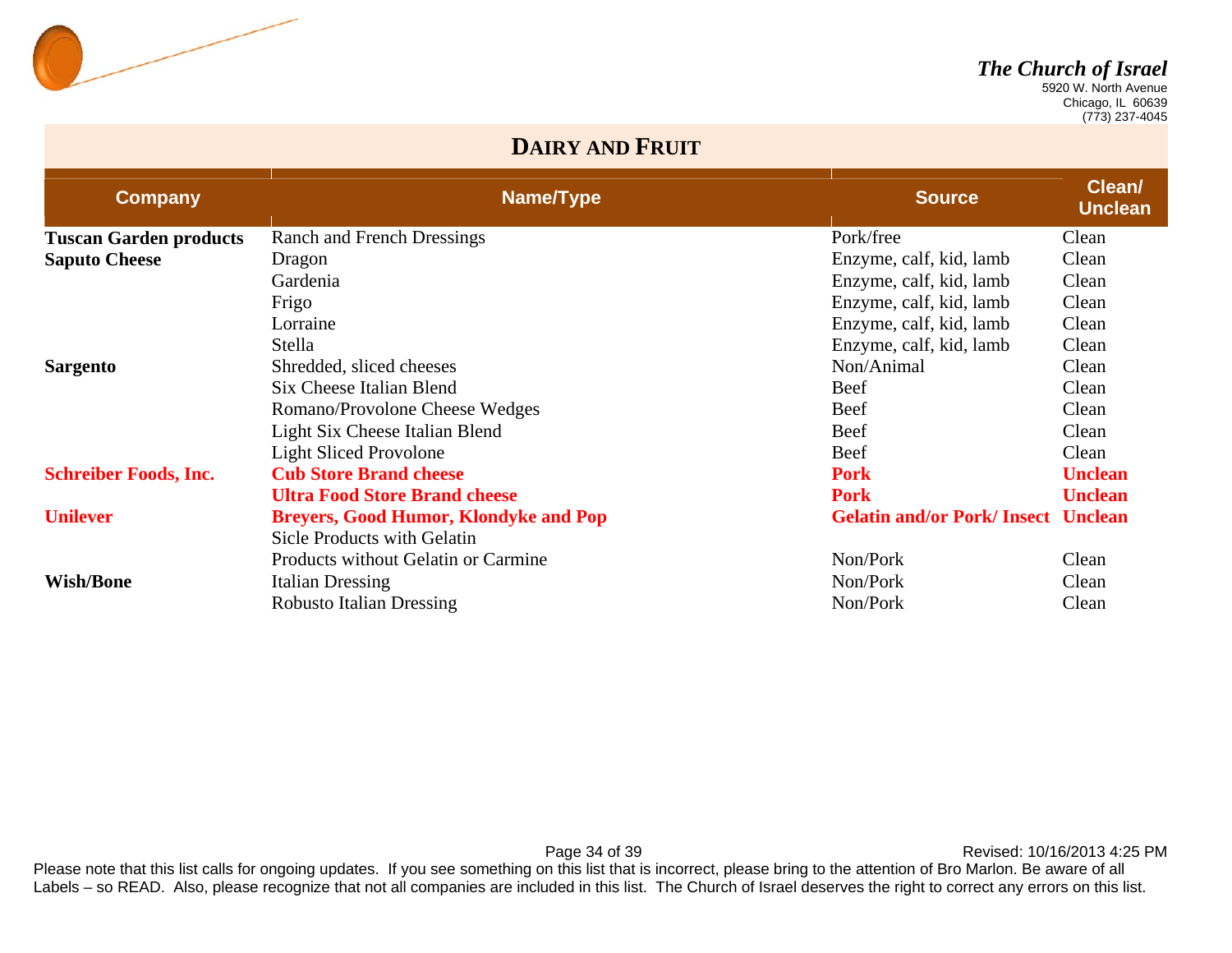

 Chicago, IL 60639 (773) 237-4045

#### **DAIRY AND FRUIT**

| <b>Company</b>                | Name/Type                                    | <b>Source</b>                             | Clean/<br><b>Unclean</b> |
|-------------------------------|----------------------------------------------|-------------------------------------------|--------------------------|
| <b>Tuscan Garden products</b> | Ranch and French Dressings                   | Pork/free                                 | Clean                    |
| <b>Saputo Cheese</b>          | Dragon                                       | Enzyme, calf, kid, lamb                   | Clean                    |
|                               | Gardenia                                     | Enzyme, calf, kid, lamb                   | Clean                    |
|                               | Frigo                                        | Enzyme, calf, kid, lamb                   | Clean                    |
|                               | Lorraine                                     | Enzyme, calf, kid, lamb                   | Clean                    |
|                               | Stella                                       | Enzyme, calf, kid, lamb                   | Clean                    |
| <b>Sargento</b>               | Shredded, sliced cheeses                     | Non/Animal                                | Clean                    |
|                               | Six Cheese Italian Blend                     | <b>Beef</b>                               | Clean                    |
|                               | Romano/Provolone Cheese Wedges               | Beef                                      | Clean                    |
|                               | Light Six Cheese Italian Blend               | <b>Beef</b>                               | Clean                    |
|                               | <b>Light Sliced Provolone</b>                | Beef                                      | Clean                    |
| <b>Schreiber Foods, Inc.</b>  | <b>Cub Store Brand cheese</b>                | <b>Pork</b>                               | <b>Unclean</b>           |
|                               | <b>Ultra Food Store Brand cheese</b>         | <b>Pork</b>                               | <b>Unclean</b>           |
| <b>Unilever</b>               | <b>Breyers, Good Humor, Klondyke and Pop</b> | <b>Gelatin and/or Pork/Insect Unclean</b> |                          |
|                               | Sicle Products with Gelatin                  |                                           |                          |
|                               | Products without Gelatin or Carmine          | Non/Pork                                  | Clean                    |
| <b>Wish/Bone</b>              | <b>Italian Dressing</b>                      | Non/Pork                                  | Clean                    |
|                               | <b>Robusto Italian Dressing</b>              | Non/Pork                                  | Clean                    |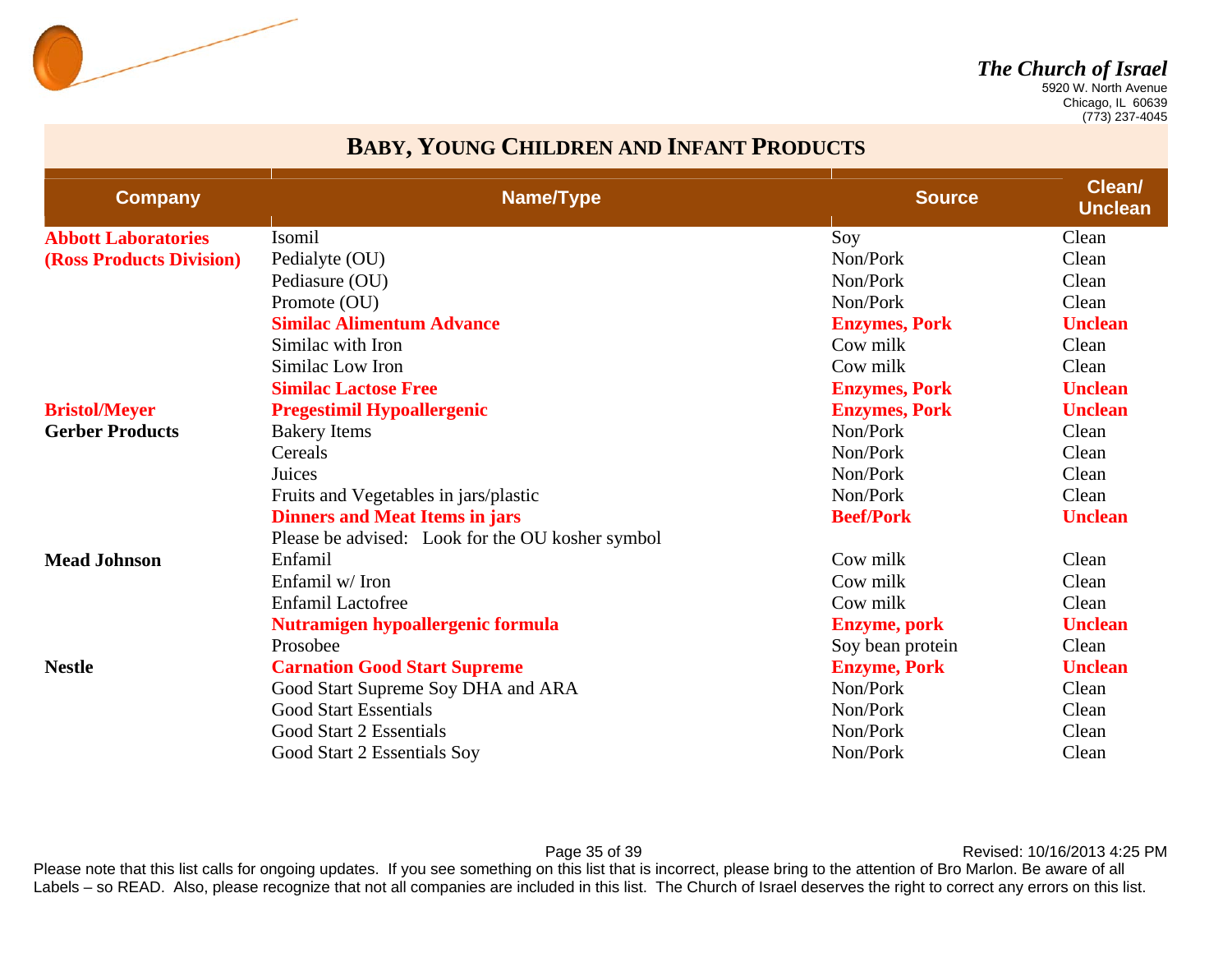

 Chicago, IL 60639 (773) 237-4045

#### **BABY, YOUNG CHILDREN AND INFANT PRODUCTS**

| <b>Company</b>             | Name/Type                                        | <b>Source</b>        | Clean/<br><b>Unclean</b> |
|----------------------------|--------------------------------------------------|----------------------|--------------------------|
| <b>Abbott Laboratories</b> | Isomil                                           | Soy                  | Clean                    |
| (Ross Products Division)   | Pedialyte (OU)                                   | Non/Pork             | Clean                    |
|                            | Pediasure (OU)                                   | Non/Pork             | Clean                    |
|                            | Promote (OU)                                     | Non/Pork             | Clean                    |
|                            | <b>Similac Alimentum Advance</b>                 | <b>Enzymes, Pork</b> | <b>Unclean</b>           |
|                            | Similac with Iron                                | Cow milk             | Clean                    |
|                            | Similac Low Iron                                 | Cow milk             | Clean                    |
|                            | <b>Similac Lactose Free</b>                      | <b>Enzymes, Pork</b> | <b>Unclean</b>           |
| <b>Bristol/Meyer</b>       | <b>Pregestimil Hypoallergenic</b>                | <b>Enzymes, Pork</b> | <b>Unclean</b>           |
| <b>Gerber Products</b>     | <b>Bakery Items</b>                              | Non/Pork             | Clean                    |
|                            | Cereals                                          | Non/Pork             | Clean                    |
|                            | Juices                                           | Non/Pork             | Clean                    |
|                            | Fruits and Vegetables in jars/plastic            | Non/Pork             | Clean                    |
|                            | <b>Dinners and Meat Items in jars</b>            | <b>Beef/Pork</b>     | <b>Unclean</b>           |
|                            | Please be advised: Look for the OU kosher symbol |                      |                          |
| <b>Mead Johnson</b>        | Enfamil                                          | Cow milk             | Clean                    |
|                            | Enfamil w/Iron                                   | Cow milk             | Clean                    |
|                            | <b>Enfamil Lactofree</b>                         | Cow milk             | Clean                    |
|                            | Nutramigen hypoallergenic formula                | <b>Enzyme</b> , pork | <b>Unclean</b>           |
|                            | Prosobee                                         | Soy bean protein     | Clean                    |
| <b>Nestle</b>              | <b>Carnation Good Start Supreme</b>              | <b>Enzyme, Pork</b>  | <b>Unclean</b>           |
|                            | Good Start Supreme Soy DHA and ARA               | Non/Pork             | Clean                    |
|                            | <b>Good Start Essentials</b>                     | Non/Pork             | Clean                    |
|                            | Good Start 2 Essentials                          | Non/Pork             | Clean                    |
|                            | Good Start 2 Essentials Soy                      | Non/Pork             | Clean                    |

Page 35 of 39 **Page 35 of 39** Revised: 10/16/2013 4:25 PM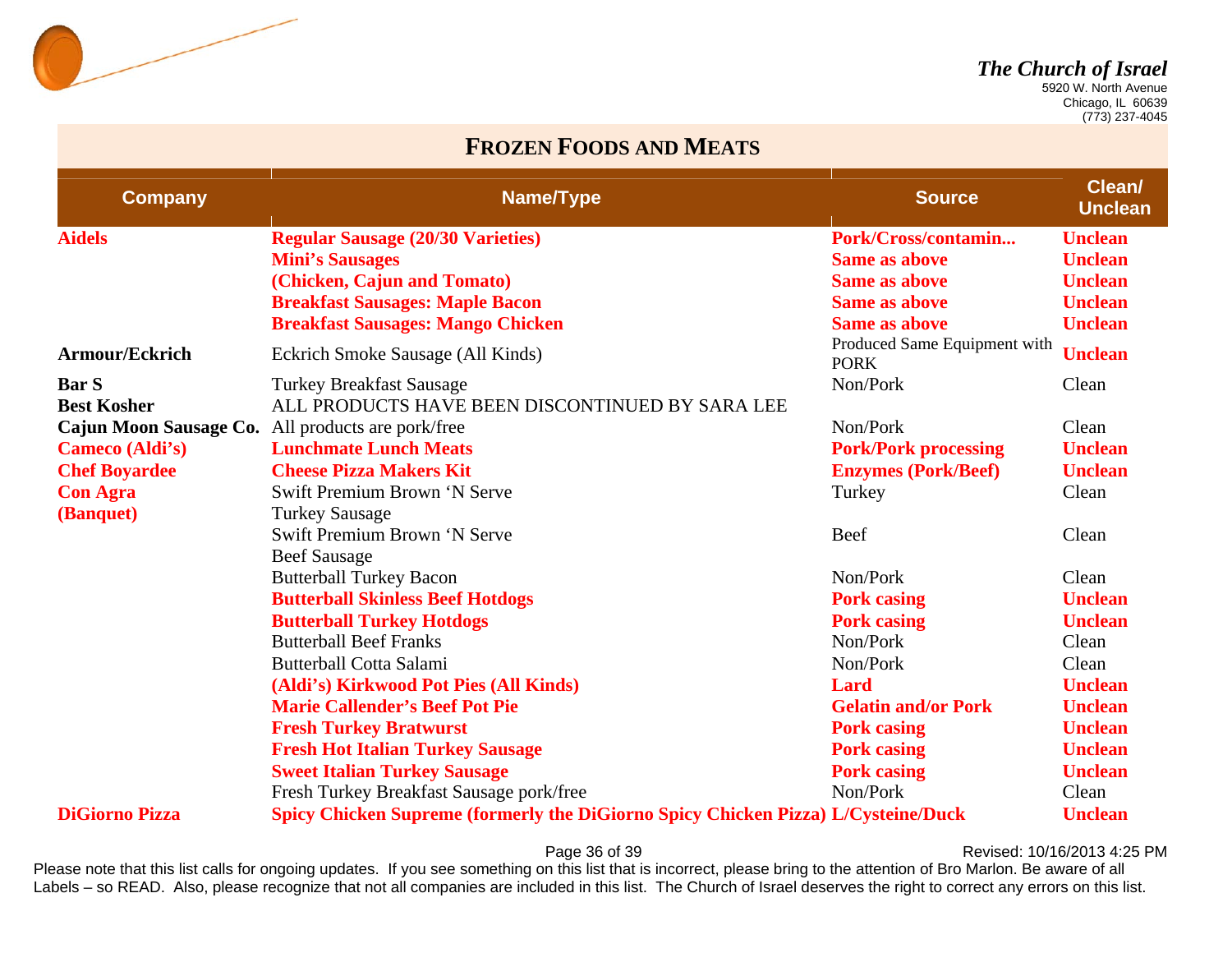

 Chicago, IL 60639 (773) 237-4045

#### **FROZEN FOODS AND MEATS**

| <b>Company</b>         | Name/Type                                                                                | <b>Source</b>                               | Clean/<br><b>Unclean</b> |
|------------------------|------------------------------------------------------------------------------------------|---------------------------------------------|--------------------------|
| <b>Aidels</b>          | <b>Regular Sausage (20/30 Varieties)</b>                                                 | Pork/Cross/contamin                         | <b>Unclean</b>           |
|                        | <b>Mini's Sausages</b>                                                                   | <b>Same as above</b>                        | <b>Unclean</b>           |
|                        | (Chicken, Cajun and Tomato)                                                              | <b>Same as above</b>                        | <b>Unclean</b>           |
|                        | <b>Breakfast Sausages: Maple Bacon</b>                                                   | <b>Same as above</b>                        | <b>Unclean</b>           |
|                        | <b>Breakfast Sausages: Mango Chicken</b>                                                 | <b>Same as above</b>                        | <b>Unclean</b>           |
| Armour/Eckrich         | Eckrich Smoke Sausage (All Kinds)                                                        | Produced Same Equipment with<br><b>PORK</b> | <b>Unclean</b>           |
| <b>Bar S</b>           | <b>Turkey Breakfast Sausage</b>                                                          | Non/Pork                                    | Clean                    |
| <b>Best Kosher</b>     | ALL PRODUCTS HAVE BEEN DISCONTINUED BY SARA LEE                                          |                                             |                          |
| Cajun Moon Sausage Co. | All products are pork/free                                                               | Non/Pork                                    | Clean                    |
| Cameco (Aldi's)        | <b>Lunchmate Lunch Meats</b>                                                             | <b>Pork/Pork processing</b>                 | <b>Unclean</b>           |
| <b>Chef Boyardee</b>   | <b>Cheese Pizza Makers Kit</b>                                                           | <b>Enzymes (Pork/Beef)</b>                  | <b>Unclean</b>           |
| <b>Con Agra</b>        | Swift Premium Brown 'N Serve                                                             | Turkey                                      | Clean                    |
| (Banquet)              | <b>Turkey Sausage</b>                                                                    |                                             |                          |
|                        | Swift Premium Brown 'N Serve                                                             | Beef                                        | Clean                    |
|                        | <b>Beef Sausage</b>                                                                      |                                             |                          |
|                        | <b>Butterball Turkey Bacon</b>                                                           | Non/Pork                                    | Clean                    |
|                        | <b>Butterball Skinless Beef Hotdogs</b>                                                  | <b>Pork casing</b>                          | <b>Unclean</b>           |
|                        | <b>Butterball Turkey Hotdogs</b>                                                         | <b>Pork casing</b>                          | <b>Unclean</b>           |
|                        | <b>Butterball Beef Franks</b>                                                            | Non/Pork                                    | Clean                    |
|                        | <b>Butterball Cotta Salami</b>                                                           | Non/Pork                                    | Clean                    |
|                        | (Aldi's) Kirkwood Pot Pies (All Kinds)                                                   | Lard                                        | <b>Unclean</b>           |
|                        | <b>Marie Callender's Beef Pot Pie</b>                                                    | <b>Gelatin and/or Pork</b>                  | <b>Unclean</b>           |
|                        | <b>Fresh Turkey Bratwurst</b>                                                            | <b>Pork casing</b>                          | <b>Unclean</b>           |
|                        | <b>Fresh Hot Italian Turkey Sausage</b>                                                  | <b>Pork casing</b>                          | <b>Unclean</b>           |
|                        | <b>Sweet Italian Turkey Sausage</b>                                                      | <b>Pork casing</b>                          | <b>Unclean</b>           |
|                        | Fresh Turkey Breakfast Sausage pork/free                                                 | Non/Pork                                    | Clean                    |
| <b>DiGiorno Pizza</b>  | <b>Spicy Chicken Supreme (formerly the DiGiorno Spicy Chicken Pizza) L/Cysteine/Duck</b> |                                             | <b>Unclean</b>           |

Page 36 of 39 **Page 36 of 39** Revised: 10/16/2013 4:25 PM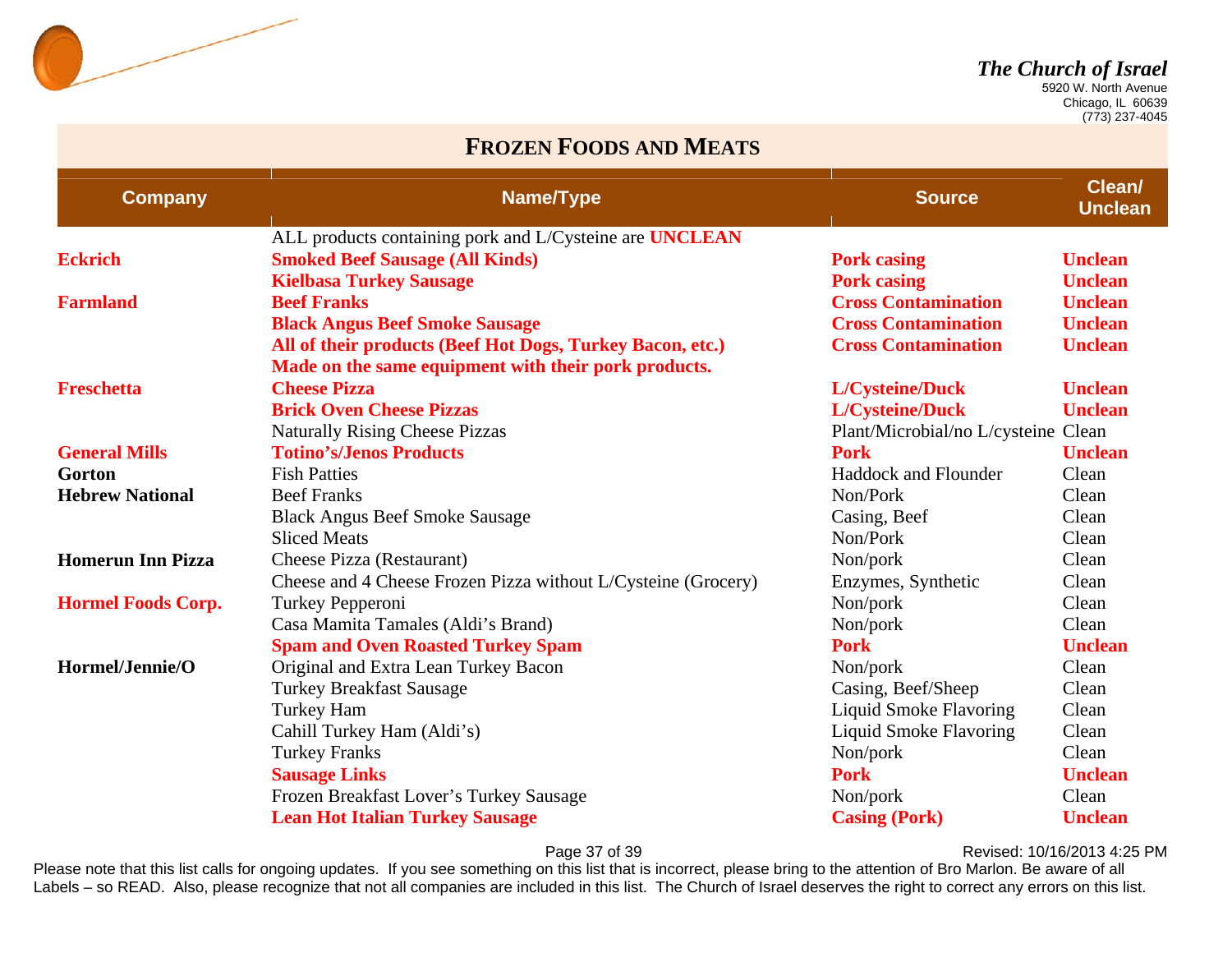

 Chicago, IL 60639 (773) 237-4045

#### **FROZEN FOODS AND MEATS**

| <b>Company</b>            | Name/Type                                                     | <b>Source</b>                       | <b>Clean/</b><br><b>Unclean</b> |
|---------------------------|---------------------------------------------------------------|-------------------------------------|---------------------------------|
|                           | ALL products containing pork and L/Cysteine are UNCLEAN       |                                     |                                 |
| <b>Eckrich</b>            | <b>Smoked Beef Sausage (All Kinds)</b>                        | <b>Pork casing</b>                  | <b>Unclean</b>                  |
|                           | <b>Kielbasa Turkey Sausage</b>                                | <b>Pork casing</b>                  | <b>Unclean</b>                  |
| <b>Farmland</b>           | <b>Beef Franks</b>                                            | <b>Cross Contamination</b>          | <b>Unclean</b>                  |
|                           | <b>Black Angus Beef Smoke Sausage</b>                         | <b>Cross Contamination</b>          | <b>Unclean</b>                  |
|                           | All of their products (Beef Hot Dogs, Turkey Bacon, etc.)     | <b>Cross Contamination</b>          | <b>Unclean</b>                  |
|                           | Made on the same equipment with their pork products.          |                                     |                                 |
| <b>Freschetta</b>         | <b>Cheese Pizza</b>                                           | <b>L/Cysteine/Duck</b>              | <b>Unclean</b>                  |
|                           | <b>Brick Oven Cheese Pizzas</b>                               | <b>L/Cysteine/Duck</b>              | <b>Unclean</b>                  |
|                           | <b>Naturally Rising Cheese Pizzas</b>                         | Plant/Microbial/no L/cysteine Clean |                                 |
| <b>General Mills</b>      | <b>Totino's/Jenos Products</b>                                | <b>Pork</b>                         | <b>Unclean</b>                  |
| Gorton                    | <b>Fish Patties</b>                                           | <b>Haddock and Flounder</b>         | Clean                           |
| <b>Hebrew National</b>    | <b>Beef Franks</b>                                            | Non/Pork                            | Clean                           |
|                           | <b>Black Angus Beef Smoke Sausage</b>                         | Casing, Beef                        | Clean                           |
|                           | <b>Sliced Meats</b>                                           | Non/Pork                            | Clean                           |
| <b>Homerun Inn Pizza</b>  | Cheese Pizza (Restaurant)                                     | Non/pork                            | Clean                           |
|                           | Cheese and 4 Cheese Frozen Pizza without L/Cysteine (Grocery) | Enzymes, Synthetic                  | Clean                           |
| <b>Hormel Foods Corp.</b> | Turkey Pepperoni                                              | Non/pork                            | Clean                           |
|                           | Casa Mamita Tamales (Aldi's Brand)                            | Non/pork                            | Clean                           |
|                           | <b>Spam and Oven Roasted Turkey Spam</b>                      | <b>Pork</b>                         | <b>Unclean</b>                  |
| Hormel/Jennie/O           | Original and Extra Lean Turkey Bacon                          | Non/pork                            | Clean                           |
|                           | <b>Turkey Breakfast Sausage</b>                               | Casing, Beef/Sheep                  | Clean                           |
|                           | <b>Turkey Ham</b>                                             | <b>Liquid Smoke Flavoring</b>       | Clean                           |
|                           | Cahill Turkey Ham (Aldi's)                                    | Liquid Smoke Flavoring              | Clean                           |
|                           | <b>Turkey Franks</b>                                          | Non/pork                            | Clean                           |
|                           | <b>Sausage Links</b>                                          | <b>Pork</b>                         | <b>Unclean</b>                  |
|                           | Frozen Breakfast Lover's Turkey Sausage                       | Non/pork                            | Clean                           |
|                           | <b>Lean Hot Italian Turkey Sausage</b>                        | <b>Casing (Pork)</b>                | <b>Unclean</b>                  |

Page 37 of 39 **Page 37 of 39** Revised: 10/16/2013 4:25 PM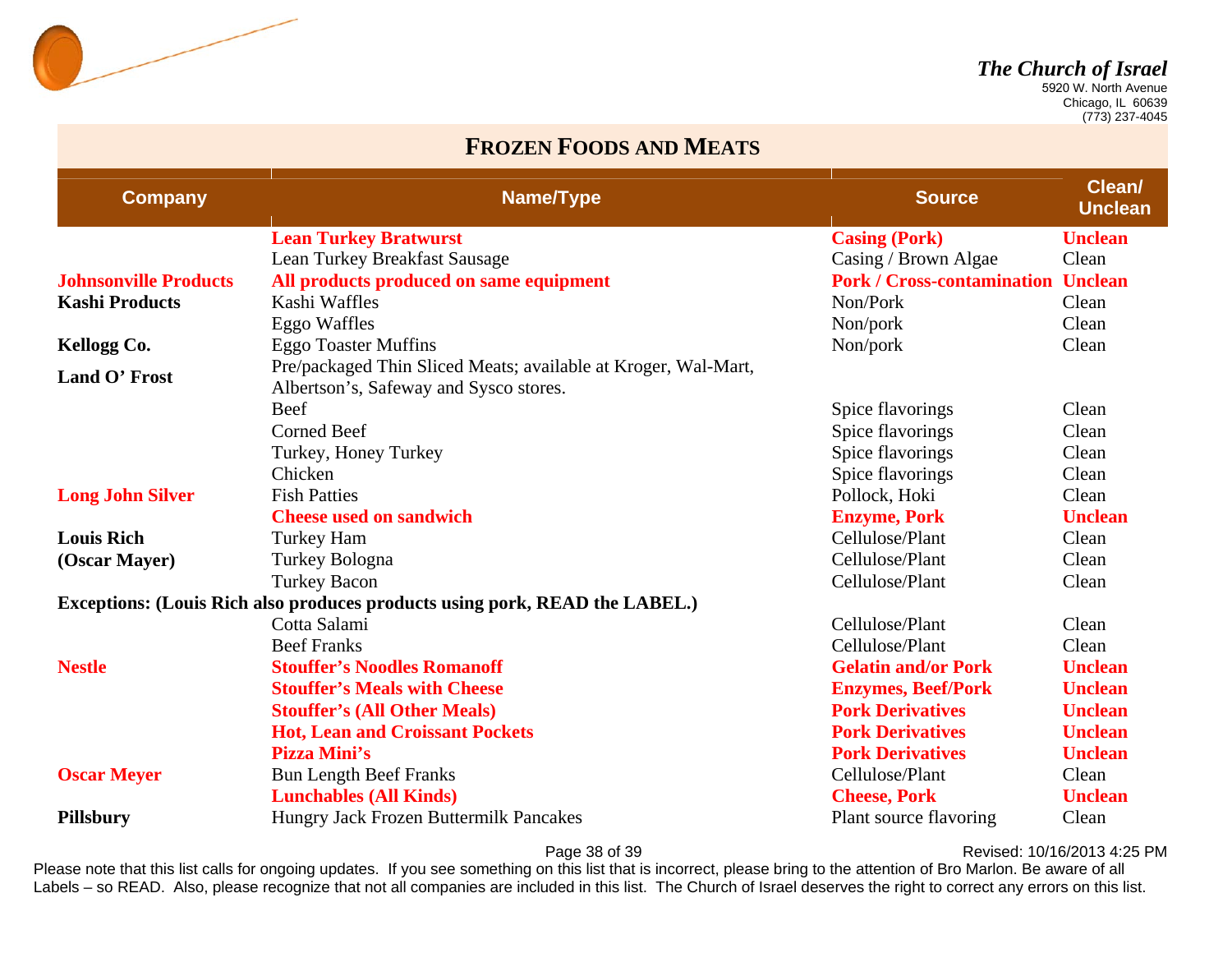

 Chicago, IL 60639 (773) 237-4045

#### **FROZEN FOODS AND MEATS**

| <b>Company</b>                                                                     | Name/Type                                                                                                | <b>Source</b>                     | Clean/<br><b>Unclean</b> |  |  |
|------------------------------------------------------------------------------------|----------------------------------------------------------------------------------------------------------|-----------------------------------|--------------------------|--|--|
|                                                                                    | <b>Lean Turkey Bratwurst</b>                                                                             | <b>Casing (Pork)</b>              | <b>Unclean</b>           |  |  |
|                                                                                    | Lean Turkey Breakfast Sausage                                                                            | Casing / Brown Algae              | Clean                    |  |  |
| <b>Johnsonville Products</b>                                                       | All products produced on same equipment                                                                  | <b>Pork / Cross-contamination</b> | <b>Unclean</b>           |  |  |
| <b>Kashi Products</b>                                                              | Kashi Waffles                                                                                            | Non/Pork                          | Clean                    |  |  |
|                                                                                    | Eggo Waffles                                                                                             | Non/pork                          | Clean                    |  |  |
| Kellogg Co.                                                                        | <b>Eggo Toaster Muffins</b>                                                                              | Non/pork                          | Clean                    |  |  |
| Land O' Frost                                                                      | Pre/packaged Thin Sliced Meats; available at Kroger, Wal-Mart,<br>Albertson's, Safeway and Sysco stores. |                                   |                          |  |  |
|                                                                                    | Beef                                                                                                     | Spice flavorings                  | Clean                    |  |  |
|                                                                                    | <b>Corned Beef</b>                                                                                       | Spice flavorings                  | Clean                    |  |  |
|                                                                                    | Turkey, Honey Turkey                                                                                     | Spice flavorings                  | Clean                    |  |  |
|                                                                                    | Chicken                                                                                                  | Spice flavorings                  | Clean                    |  |  |
| <b>Long John Silver</b>                                                            | <b>Fish Patties</b>                                                                                      | Pollock, Hoki                     | Clean                    |  |  |
|                                                                                    | <b>Cheese used on sandwich</b>                                                                           | <b>Enzyme, Pork</b>               | <b>Unclean</b>           |  |  |
| <b>Louis Rich</b>                                                                  | <b>Turkey Ham</b>                                                                                        | Cellulose/Plant                   | Clean                    |  |  |
| (Oscar Mayer)                                                                      | Turkey Bologna                                                                                           | Cellulose/Plant                   | Clean                    |  |  |
|                                                                                    | <b>Turkey Bacon</b>                                                                                      | Cellulose/Plant                   | Clean                    |  |  |
| <b>Exceptions: (Louis Rich also produces products using pork, READ the LABEL.)</b> |                                                                                                          |                                   |                          |  |  |
|                                                                                    | Cotta Salami                                                                                             | Cellulose/Plant                   | Clean                    |  |  |
|                                                                                    | <b>Beef Franks</b>                                                                                       | Cellulose/Plant                   | Clean                    |  |  |
| <b>Nestle</b>                                                                      | <b>Stouffer's Noodles Romanoff</b>                                                                       | <b>Gelatin and/or Pork</b>        | <b>Unclean</b>           |  |  |
|                                                                                    | <b>Stouffer's Meals with Cheese</b>                                                                      | <b>Enzymes, Beef/Pork</b>         | <b>Unclean</b>           |  |  |
|                                                                                    | <b>Stouffer's (All Other Meals)</b>                                                                      | <b>Pork Derivatives</b>           | <b>Unclean</b>           |  |  |
|                                                                                    | <b>Hot, Lean and Croissant Pockets</b>                                                                   | <b>Pork Derivatives</b>           | <b>Unclean</b>           |  |  |
|                                                                                    | Pizza Mini's                                                                                             | <b>Pork Derivatives</b>           | <b>Unclean</b>           |  |  |
| <b>Oscar Meyer</b>                                                                 | <b>Bun Length Beef Franks</b>                                                                            | Cellulose/Plant                   | Clean                    |  |  |
|                                                                                    | <b>Lunchables (All Kinds)</b>                                                                            | <b>Cheese, Pork</b>               | <b>Unclean</b>           |  |  |
| <b>Pillsbury</b>                                                                   | Hungry Jack Frozen Buttermilk Pancakes                                                                   | Plant source flavoring            | Clean                    |  |  |

Page 38 of 39 **Page 38 of 39** Revised: 10/16/2013 4:25 PM